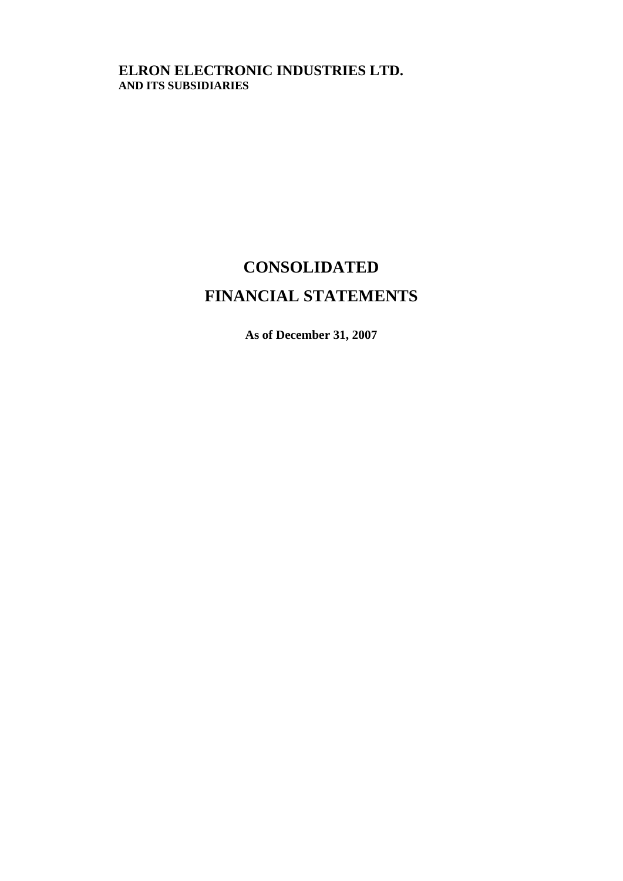## **ELRON ELECTRONIC INDUSTRIES LTD. AND ITS SUBSIDIARIES**

# **CONSOLIDATED**

## **FINANCIAL STATEMENTS**

**As of December 31, 2007**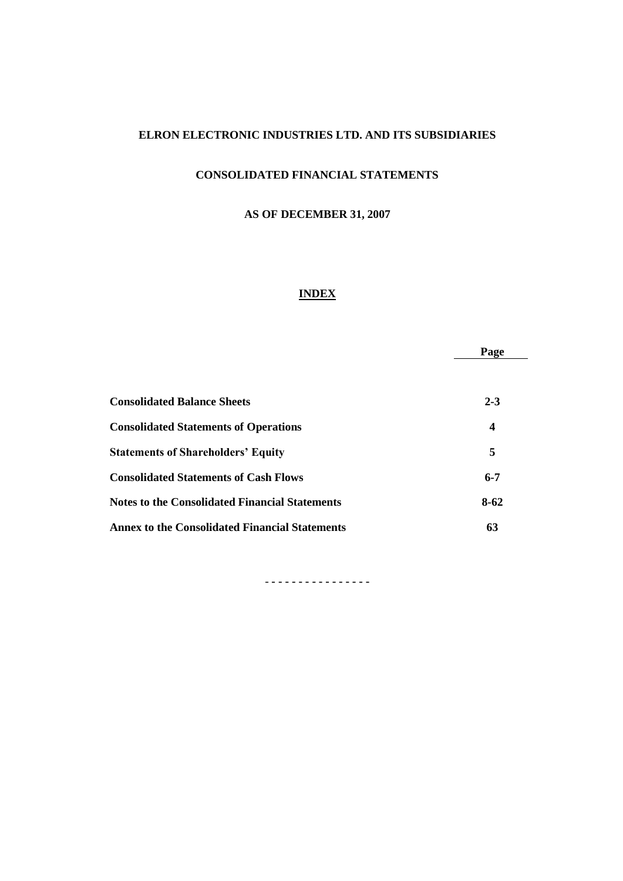## **ELRON ELECTRONIC INDUSTRIES LTD. AND ITS SUBSIDIARIES**

## **CONSOLIDATED FINANCIAL STATEMENTS**

## **AS OF DECEMBER 31, 2007**

## **INDEX**

|                                                       | Page             |
|-------------------------------------------------------|------------------|
|                                                       |                  |
| <b>Consolidated Balance Sheets</b>                    | $2 - 3$          |
| <b>Consolidated Statements of Operations</b>          | $\boldsymbol{4}$ |
| <b>Statements of Shareholders' Equity</b>             | 5                |
| <b>Consolidated Statements of Cash Flows</b>          | $6 - 7$          |
| <b>Notes to the Consolidated Financial Statements</b> | $8 - 62$         |
| <b>Annex to the Consolidated Financial Statements</b> | 63               |

- **- - - - - - - - - - - - - - -**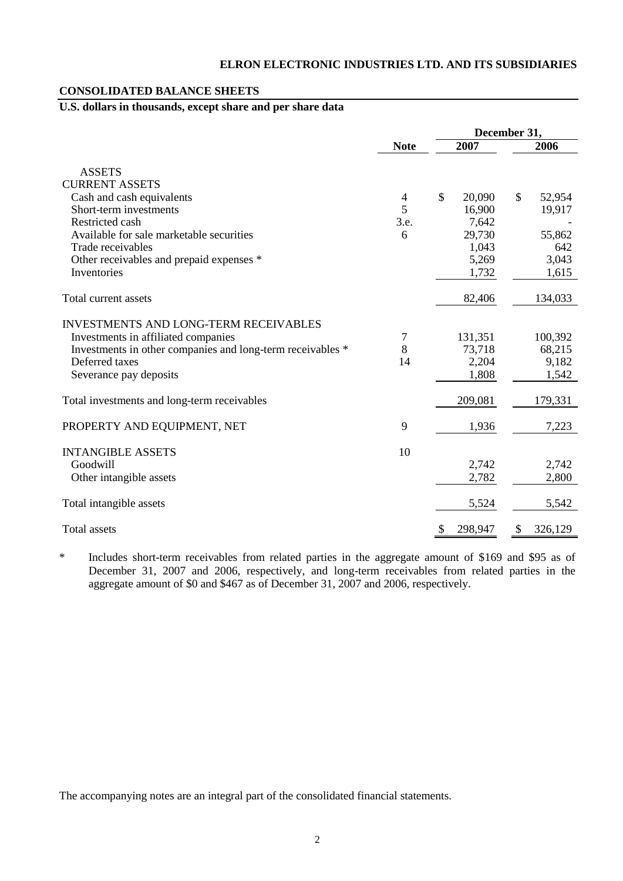#### **CONSOLIDATED BALANCE SHEETS**

## **U.S. dollars in thousands, except share and per share data**

|                                                                                                                                                                                               |                   | December 31,                        |                                     |  |  |
|-----------------------------------------------------------------------------------------------------------------------------------------------------------------------------------------------|-------------------|-------------------------------------|-------------------------------------|--|--|
|                                                                                                                                                                                               | <b>Note</b>       | 2007                                | 2006                                |  |  |
| <b>ASSETS</b><br><b>CURRENT ASSETS</b>                                                                                                                                                        |                   |                                     |                                     |  |  |
| Cash and cash equivalents<br>Short-term investments<br>Restricted cash                                                                                                                        | 4<br>5<br>3.e.    | \$<br>20,090<br>16,900<br>7,642     | $\mathbb{S}$<br>52,954<br>19,917    |  |  |
| Available for sale marketable securities<br>Trade receivables<br>Other receivables and prepaid expenses *                                                                                     | 6                 | 29,730<br>1,043<br>5,269            | 55,862<br>642<br>3,043              |  |  |
| Inventories                                                                                                                                                                                   |                   | 1,732                               | 1,615                               |  |  |
| Total current assets                                                                                                                                                                          |                   | 82,406                              | 134,033                             |  |  |
| <b>INVESTMENTS AND LONG-TERM RECEIVABLES</b><br>Investments in affiliated companies<br>Investments in other companies and long-term receivables *<br>Deferred taxes<br>Severance pay deposits | $\tau$<br>8<br>14 | 131,351<br>73,718<br>2,204<br>1,808 | 100,392<br>68,215<br>9,182<br>1,542 |  |  |
| Total investments and long-term receivables                                                                                                                                                   |                   | 209,081                             | 179,331                             |  |  |
| PROPERTY AND EQUIPMENT, NET                                                                                                                                                                   | 9                 | 1,936                               | 7,223                               |  |  |
| <b>INTANGIBLE ASSETS</b><br>Goodwill<br>Other intangible assets                                                                                                                               | 10                | 2,742<br>2,782                      | 2,742<br>2,800                      |  |  |
| Total intangible assets                                                                                                                                                                       |                   | 5,524                               | 5,542                               |  |  |
| <b>Total assets</b>                                                                                                                                                                           |                   | 298,947<br>\$                       | \$<br>326,129                       |  |  |

\* Includes short-term receivables from related parties in the aggregate amount of \$169 and \$95 as of December 31, 2007 and 2006, respectively, and long-term receivables from related parties in the aggregate amount of \$0 and \$467 as of December 31, 2007 and 2006, respectively.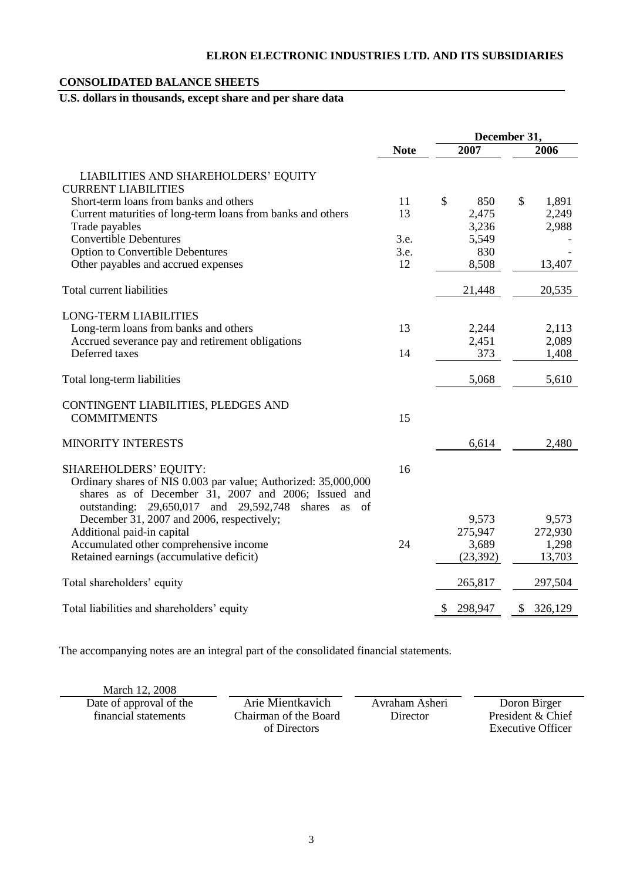## **CONSOLIDATED BALANCE SHEETS**

## **U.S. dollars in thousands, except share and per share data**

|                                                                                                                                                                                    |             | December 31,  |           |    |         |
|------------------------------------------------------------------------------------------------------------------------------------------------------------------------------------|-------------|---------------|-----------|----|---------|
|                                                                                                                                                                                    | <b>Note</b> |               | 2007      |    | 2006    |
| LIABILITIES AND SHAREHOLDERS' EQUITY                                                                                                                                               |             |               |           |    |         |
| <b>CURRENT LIABILITIES</b>                                                                                                                                                         |             |               |           |    |         |
| Short-term loans from banks and others                                                                                                                                             | 11          | $\mathcal{S}$ | 850       | \$ | 1,891   |
| Current maturities of long-term loans from banks and others                                                                                                                        | 13          |               | 2,475     |    | 2,249   |
| Trade payables                                                                                                                                                                     |             |               | 3,236     |    | 2,988   |
| <b>Convertible Debentures</b>                                                                                                                                                      | 3.e.        |               | 5,549     |    |         |
| <b>Option to Convertible Debentures</b>                                                                                                                                            | 3.e.        |               | 830       |    |         |
| Other payables and accrued expenses                                                                                                                                                | 12          |               | 8,508     |    | 13,407  |
| Total current liabilities                                                                                                                                                          |             |               | 21,448    |    | 20,535  |
| <b>LONG-TERM LIABILITIES</b>                                                                                                                                                       |             |               |           |    |         |
| Long-term loans from banks and others                                                                                                                                              | 13          |               | 2,244     |    | 2,113   |
| Accrued severance pay and retirement obligations                                                                                                                                   |             |               | 2,451     |    | 2,089   |
| Deferred taxes                                                                                                                                                                     | 14          |               | 373       |    | 1,408   |
| Total long-term liabilities                                                                                                                                                        |             |               | 5,068     |    | 5,610   |
| CONTINGENT LIABILITIES, PLEDGES AND                                                                                                                                                |             |               |           |    |         |
| <b>COMMITMENTS</b>                                                                                                                                                                 | 15          |               |           |    |         |
| <b>MINORITY INTERESTS</b>                                                                                                                                                          |             |               | 6,614     |    | 2,480   |
| <b>SHAREHOLDERS' EQUITY:</b>                                                                                                                                                       | 16          |               |           |    |         |
| Ordinary shares of NIS 0.003 par value; Authorized: 35,000,000<br>shares as of December 31, 2007 and 2006; Issued and<br>outstanding: 29,650,017 and 29,592,748<br>shares as<br>of |             |               |           |    |         |
| December 31, 2007 and 2006, respectively;                                                                                                                                          |             |               | 9,573     |    | 9,573   |
| Additional paid-in capital                                                                                                                                                         |             |               | 275,947   |    | 272,930 |
| Accumulated other comprehensive income                                                                                                                                             | 24          |               | 3,689     |    | 1,298   |
| Retained earnings (accumulative deficit)                                                                                                                                           |             |               | (23, 392) |    | 13,703  |
| Total shareholders' equity                                                                                                                                                         |             |               | 265,817   |    | 297,504 |
| Total liabilities and shareholders' equity                                                                                                                                         |             | \$            | 298,947   | \$ | 326,129 |

| March 12, 2008          |                       |                |                   |
|-------------------------|-----------------------|----------------|-------------------|
| Date of approval of the | Arie Mientkavich      | Avraham Asheri | Doron Birger      |
| financial statements    | Chairman of the Board | Director       | President & Chief |
|                         | of Directors          |                | Executive Officer |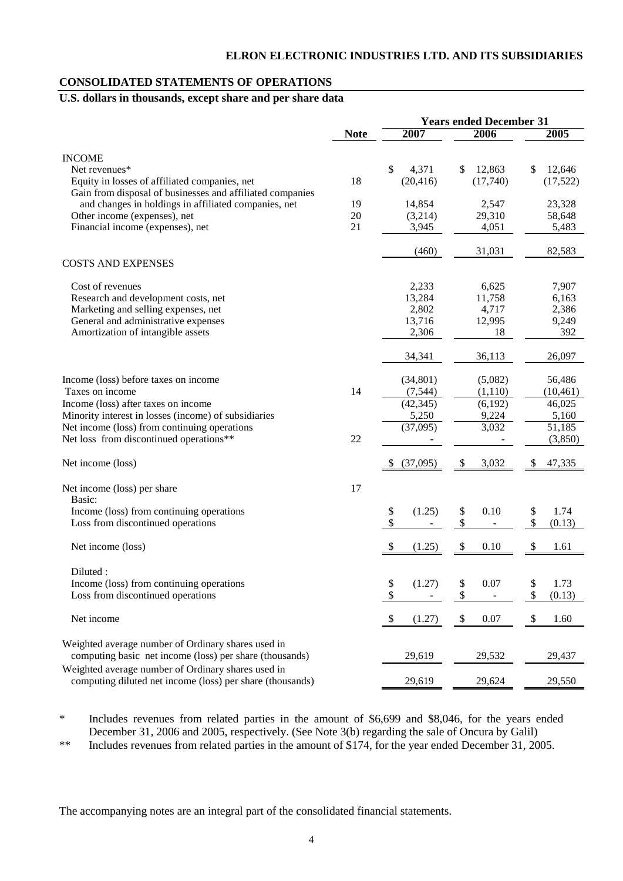#### **CONSOLIDATED STATEMENTS OF OPERATIONS**

## **U.S. dollars in thousands, except share and per share data**

|                                                           |             | <b>Years ended December 31</b> |              |              |  |
|-----------------------------------------------------------|-------------|--------------------------------|--------------|--------------|--|
|                                                           | <b>Note</b> | 2007                           | 2006         | 2005         |  |
| <b>INCOME</b>                                             |             |                                |              |              |  |
| Net revenues*                                             |             | $\mathbb{S}$<br>4,371          | 12,863<br>\$ | \$<br>12,646 |  |
| Equity in losses of affiliated companies, net             | 18          | (20, 416)                      | (17,740)     | (17, 522)    |  |
| Gain from disposal of businesses and affiliated companies |             |                                |              |              |  |
| and changes in holdings in affiliated companies, net      | 19          | 14,854                         | 2,547        | 23,328       |  |
| Other income (expenses), net                              | 20          | (3,214)                        | 29,310       | 58,648       |  |
| Financial income (expenses), net                          | 21          | 3,945                          | 4,051        | 5,483        |  |
|                                                           |             |                                |              |              |  |
|                                                           |             | (460)                          | 31,031       | 82,583       |  |
| <b>COSTS AND EXPENSES</b>                                 |             |                                |              |              |  |
| Cost of revenues                                          |             | 2,233                          | 6,625        | 7,907        |  |
| Research and development costs, net                       |             | 13,284                         | 11,758       | 6,163        |  |
| Marketing and selling expenses, net                       |             | 2,802                          | 4,717        | 2,386        |  |
| General and administrative expenses                       |             | 13,716                         | 12,995       | 9,249        |  |
| Amortization of intangible assets                         |             | 2,306                          | 18           | 392          |  |
|                                                           |             | 34,341                         | 36,113       | 26,097       |  |
| Income (loss) before taxes on income                      |             |                                | (5,082)      |              |  |
| Taxes on income                                           | 14          | (34, 801)                      | (1,110)      | 56,486       |  |
|                                                           |             | (7, 544)                       |              | (10, 461)    |  |
| Income (loss) after taxes on income                       |             | (42, 345)                      | (6,192)      | 46,025       |  |
| Minority interest in losses (income) of subsidiaries      |             | 5,250                          | 9,224        | 5,160        |  |
| Net income (loss) from continuing operations              |             | (37,095)                       | 3,032        | 51,185       |  |
| Net loss from discontinued operations**                   | 22          |                                |              | (3,850)      |  |
| Net income (loss)                                         |             | (37,095)<br>-S                 | 3,032<br>\$  | 47,335<br>\$ |  |
| Net income (loss) per share                               | 17          |                                |              |              |  |
| Basic:                                                    |             |                                |              |              |  |
| Income (loss) from continuing operations                  |             | (1.25)<br>\$                   | \$<br>0.10   | \$<br>1.74   |  |
| Loss from discontinued operations                         |             | \$                             | \$           | \$<br>(0.13) |  |
| Net income (loss)                                         |             | \$<br>(1.25)                   | \$<br>0.10   | \$<br>1.61   |  |
|                                                           |             |                                |              |              |  |
| Diluted:                                                  |             |                                |              |              |  |
| Income (loss) from continuing operations                  |             | \$<br>(1.27)                   | 0.07<br>\$   | \$<br>1.73   |  |
| Loss from discontinued operations                         |             | \$                             | \$           | \$<br>(0.13) |  |
| Net income                                                |             | \$<br>(1.27)                   | \$<br>0.07   | \$<br>1.60   |  |
| Weighted average number of Ordinary shares used in        |             |                                |              |              |  |
| computing basic net income (loss) per share (thousands)   |             | 29,619                         | 29,532       | 29,437       |  |
| Weighted average number of Ordinary shares used in        |             |                                |              |              |  |
| computing diluted net income (loss) per share (thousands) |             | 29,619                         | 29,624       | 29,550       |  |

\* Includes revenues from related parties in the amount of \$6,699 and \$8,046, for the years ended December 31, 2006 and 2005, respectively. (See Note 3(b) regarding the sale of Oncura by Galil)

\*\* Includes revenues from related parties in the amount of \$174, for the year ended December 31, 2005.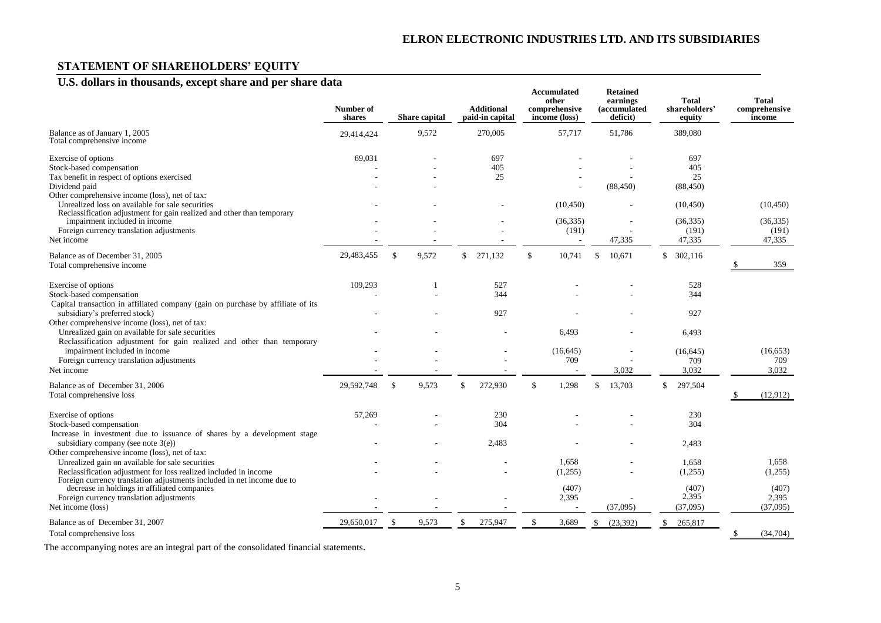## **STATEMENT OF SHAREHOLDERS' EQUITY**

## **U.S. dollars in thousands, except share and per share data**

|                                                                                                                                                                                                | Number of<br>shares |               | Share capital | <b>Additional</b><br>paid-in capital | <b>Accumulated</b><br>other<br>comprehensive<br>income (loss) | <b>Retained</b><br>earnings<br><i>(accumulated)</i><br>deficit) | <b>Total</b><br>shareholders'<br>equity |               | <b>Total</b><br>comprehensive<br>income |
|------------------------------------------------------------------------------------------------------------------------------------------------------------------------------------------------|---------------------|---------------|---------------|--------------------------------------|---------------------------------------------------------------|-----------------------------------------------------------------|-----------------------------------------|---------------|-----------------------------------------|
| Balance as of January 1, 2005<br>Total comprehensive income                                                                                                                                    | 29.414.424          |               | 9,572         | 270,005                              | 57,717                                                        | 51,786                                                          | 389,080                                 |               |                                         |
| Exercise of options<br>Stock-based compensation<br>Tax benefit in respect of options exercised<br>Dividend paid<br>Other comprehensive income (loss), net of tax:                              | 69,031              |               |               | 697<br>405<br>25                     |                                                               | (88, 450)                                                       | 697<br>405<br>25<br>(88, 450)           |               |                                         |
| Unrealized loss on available for sale securities<br>Reclassification adjustment for gain realized and other than temporary                                                                     |                     |               |               |                                      | (10, 450)                                                     |                                                                 | (10, 450)                               |               | (10, 450)                               |
| impairment included in income<br>Foreign currency translation adjustments<br>Net income                                                                                                        |                     |               |               |                                      | (36, 335)<br>(191)                                            | 47,335                                                          | (36, 335)<br>(191)<br>47,335            |               | (36, 335)<br>(191)<br>47,335            |
| Balance as of December 31, 2005<br>Total comprehensive income                                                                                                                                  | 29,483,455          | $\mathcal{S}$ | 9,572         | \$<br>271,132                        | \$<br>10,741                                                  | \$<br>10,671                                                    | \$<br>302,116                           |               | 359                                     |
| Exercise of options<br>Stock-based compensation<br>Capital transaction in affiliated company (gain on purchase by affiliate of its                                                             | 109,293             |               |               | 527<br>344                           |                                                               |                                                                 | 528<br>344                              |               |                                         |
| subsidiary's preferred stock)<br>Other comprehensive income (loss), net of tax:<br>Unrealized gain on available for sale securities                                                            |                     |               |               | 927                                  | 6,493                                                         |                                                                 | 927<br>6,493                            |               |                                         |
| Reclassification adjustment for gain realized and other than temporary<br>impairment included in income<br>Foreign currency translation adjustments<br>Net income                              |                     |               |               |                                      | (16, 645)<br>709                                              | 3,032                                                           | (16, 645)<br>709<br>3,032               |               | (16, 653)<br>709<br>3,032               |
| Balance as of December 31, 2006<br>Total comprehensive loss                                                                                                                                    | 29,592,748          | $\mathbb{S}$  | 9,573         | \$<br>272,930                        | \$<br>1,298                                                   | 13,703                                                          | \$<br>297,504                           | -S            | (12,912)                                |
| Exercise of options<br>Stock-based compensation<br>Increase in investment due to issuance of shares by a development stage                                                                     | 57,269              |               |               | 230<br>304                           |                                                               |                                                                 | 230<br>304                              |               |                                         |
| subsidiary company (see note $3(e)$ )<br>Other comprehensive income (loss), net of tax:                                                                                                        |                     |               |               | 2,483                                |                                                               |                                                                 | 2,483                                   |               |                                         |
| Unrealized gain on available for sale securities<br>Reclassification adjustment for loss realized included in income<br>Foreign currency translation adjustments included in net income due to |                     |               |               |                                      | 1,658<br>(1,255)                                              |                                                                 | 1,658<br>(1,255)                        |               | 1,658<br>(1,255)                        |
| decrease in holdings in affiliated companies<br>Foreign currency translation adjustments<br>Net income (loss)                                                                                  |                     |               |               |                                      | (407)<br>2,395                                                | (37,095)                                                        | (407)<br>2,395<br>(37,095)              |               | (407)<br>2,395<br>(37,095)              |
| Balance as of December 31, 2007<br>Total comprehensive loss                                                                                                                                    | 29,650,017          | $\mathcal{S}$ | 9,573         | \$<br>275,947                        | \$<br>3,689                                                   | \$<br>(23, 392)                                                 | \$<br>265,817                           | <sup>\$</sup> | (34, 704)                               |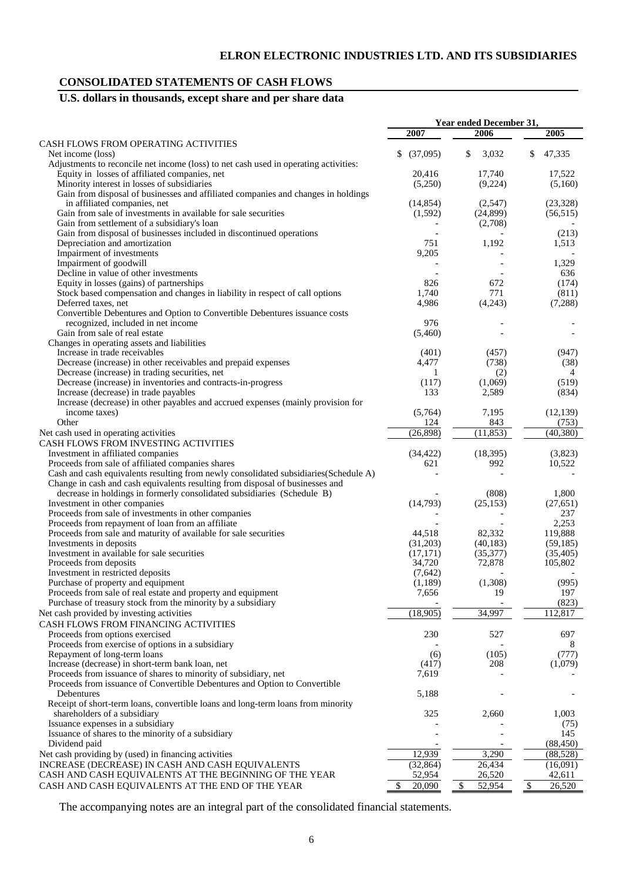## **CONSOLIDATED STATEMENTS OF CASH FLOWS**

## **U.S. dollars in thousands, except share and per share data**

|                                                                                                                                               |                       | Year ended December 31, |                        |
|-----------------------------------------------------------------------------------------------------------------------------------------------|-----------------------|-------------------------|------------------------|
|                                                                                                                                               | 2007                  | 2006                    | 2005                   |
| CASH FLOWS FROM OPERATING ACTIVITIES                                                                                                          |                       |                         |                        |
| Net income (loss)                                                                                                                             | \$<br>(37,095)        | 3,032<br>\$             | \$<br>47,335           |
| Adjustments to reconcile net income (loss) to net cash used in operating activities:                                                          |                       |                         |                        |
| Equity in losses of affiliated companies, net<br>Minority interest in losses of subsidiaries                                                  | 20,416<br>(5,250)     | 17,740<br>(9,224)       | 17,522<br>(5,160)      |
| Gain from disposal of businesses and affiliated companies and changes in holdings                                                             |                       |                         |                        |
| in affiliated companies, net                                                                                                                  | (14, 854)             | (2,547)                 | (23, 328)              |
| Gain from sale of investments in available for sale securities                                                                                | (1,592)               | (24,899)                | (56, 515)              |
| Gain from settlement of a subsidiary's loan                                                                                                   |                       | (2,708)                 |                        |
| Gain from disposal of businesses included in discontinued operations                                                                          |                       |                         | (213)                  |
| Depreciation and amortization                                                                                                                 | 751                   | 1,192                   | 1,513                  |
| Impairment of investments                                                                                                                     | 9,205                 |                         |                        |
| Impairment of goodwill                                                                                                                        |                       |                         | 1,329                  |
| Decline in value of other investments                                                                                                         |                       |                         | 636                    |
| Equity in losses (gains) of partnerships                                                                                                      | 826                   | 672<br>771              | (174)                  |
| Stock based compensation and changes in liability in respect of call options<br>Deferred taxes, net                                           | 1,740<br>4,986        | (4,243)                 | (811)<br>(7,288)       |
| Convertible Debentures and Option to Convertible Debentures issuance costs                                                                    |                       |                         |                        |
| recognized, included in net income                                                                                                            | 976                   |                         |                        |
| Gain from sale of real estate                                                                                                                 | (5,460)               |                         |                        |
| Changes in operating assets and liabilities                                                                                                   |                       |                         |                        |
| Increase in trade receivables                                                                                                                 | (401)                 | (457)                   | (947)                  |
| Decrease (increase) in other receivables and prepaid expenses                                                                                 | 4,477                 | (738)                   | (38)                   |
| Decrease (increase) in trading securities, net                                                                                                | 1                     | (2)                     | 4                      |
| Decrease (increase) in inventories and contracts-in-progress                                                                                  | (117)                 | (1,069)                 | (519)                  |
| Increase (decrease) in trade payables                                                                                                         | 133                   | 2,589                   | (834)                  |
| Increase (decrease) in other payables and accrued expenses (mainly provision for                                                              |                       |                         |                        |
| income taxes)<br>Other                                                                                                                        | (5,764)<br>124        | 7,195<br>843            | (12, 139)<br>(753)     |
| Net cash used in operating activities                                                                                                         | (26,898)              | (11, 853)               | (40, 380)              |
| CASH FLOWS FROM INVESTING ACTIVITIES                                                                                                          |                       |                         |                        |
| Investment in affiliated companies                                                                                                            | (34, 422)             | (18,395)                | (3,823)                |
| Proceeds from sale of affiliated companies shares                                                                                             | 621                   | 992                     | 10,522                 |
| Cash and cash equivalents resulting from newly consolidated subsidiaries(Schedule A)                                                          |                       |                         |                        |
| Change in cash and cash equivalents resulting from disposal of businesses and                                                                 |                       |                         |                        |
| decrease in holdings in formerly consolidated subsidiaries (Schedule B)                                                                       |                       | (808)                   | 1,800                  |
| Investment in other companies                                                                                                                 | (14,793)              | (25, 153)               | (27, 651)              |
| Proceeds from sale of investments in other companies                                                                                          |                       |                         | 237                    |
| Proceeds from repayment of loan from an affiliate                                                                                             |                       |                         | 2,253                  |
| Proceeds from sale and maturity of available for sale securities                                                                              | 44,518                | 82,332                  | 119,888                |
| Investments in deposits<br>Investment in available for sale securities                                                                        | (31,203)<br>(17, 171) | (40, 183)<br>(35,377)   | (59, 185)<br>(35, 405) |
| Proceeds from deposits                                                                                                                        | 34,720                | 72,878                  | 105,802                |
| Investment in restricted deposits                                                                                                             | (7,642)               |                         |                        |
| Purchase of property and equipment                                                                                                            | (1,189)               | (1,308)                 | (995)                  |
| Proceeds from sale of real estate and property and equipment                                                                                  | 7,656                 | 19                      | 197                    |
| Purchase of treasury stock from the minority by a subsidiary                                                                                  |                       |                         | (823)                  |
| Net cash provided by investing activities                                                                                                     | (18,905)              | 34,997                  | 112,817                |
| CASH FLOWS FROM FINANCING ACTIVITIES                                                                                                          |                       |                         |                        |
| Proceeds from options exercised                                                                                                               | 230                   | 527                     | 697                    |
| Proceeds from exercise of options in a subsidiary                                                                                             |                       |                         | 8                      |
| Repayment of long-term loans                                                                                                                  | (6)                   | (105)                   | (777)                  |
| Increase (decrease) in short-term bank loan, net                                                                                              | (417)                 | 208                     | (1,079)                |
| Proceeds from issuance of shares to minority of subsidiary, net<br>Proceeds from issuance of Convertible Debentures and Option to Convertible | 7,619                 |                         |                        |
| Debentures                                                                                                                                    | 5,188                 |                         |                        |
| Receipt of short-term loans, convertible loans and long-term loans from minority                                                              |                       |                         |                        |
| shareholders of a subsidiary                                                                                                                  | 325                   | 2,660                   | 1,003                  |
| Issuance expenses in a subsidiary                                                                                                             |                       |                         | (75)                   |
| Issuance of shares to the minority of a subsidiary                                                                                            |                       |                         | 145                    |
| Dividend paid                                                                                                                                 |                       |                         | (88, 450)              |
| Net cash providing by (used) in financing activities                                                                                          | 12,939                | 3,290                   | (88, 528)              |
| INCREASE (DECREASE) IN CASH AND CASH EQUIVALENTS                                                                                              | (32, 864)             | 26,434                  | (16,091)               |
| CASH AND CASH EQUIVALENTS AT THE BEGINNING OF THE YEAR                                                                                        | 52,954                | 26,520                  | 42,611                 |
| CASH AND CASH EQUIVALENTS AT THE END OF THE YEAR                                                                                              | \$<br>20,090          | \$<br>52,954            | \$<br>26,520           |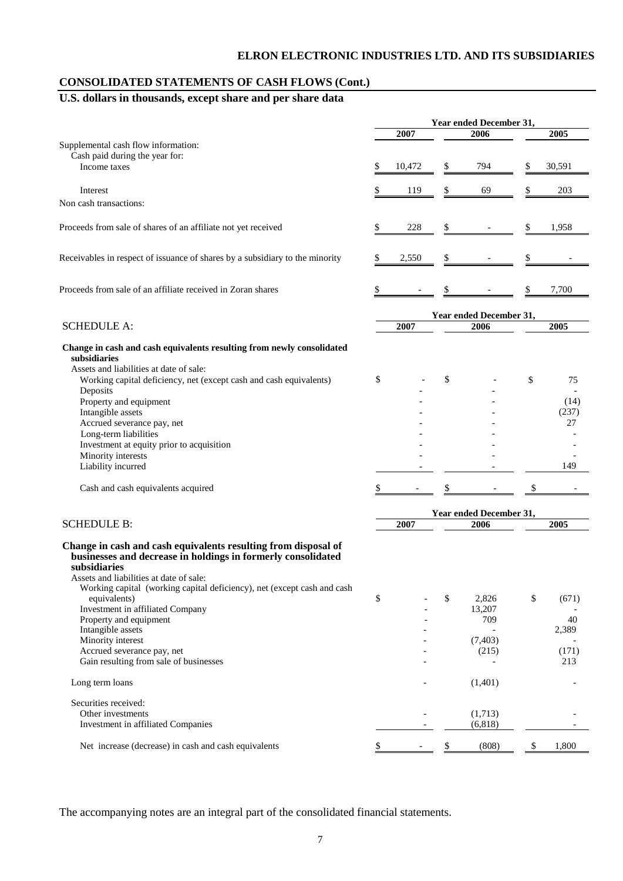## **ELRON ELECTRONIC INDUSTRIES LTD. AND ITS SUBSIDIARIES**

## **CONSOLIDATED STATEMENTS OF CASH FLOWS (Cont.)**

## **U.S. dollars in thousands, except share and per share data**

|                                                                                                                                                                                                                                                                      | Year ended December 31, |        |    |                         |    |        |
|----------------------------------------------------------------------------------------------------------------------------------------------------------------------------------------------------------------------------------------------------------------------|-------------------------|--------|----|-------------------------|----|--------|
|                                                                                                                                                                                                                                                                      |                         | 2007   |    | 2006                    |    | 2005   |
| Supplemental cash flow information:<br>Cash paid during the year for:                                                                                                                                                                                                |                         |        |    |                         |    |        |
| Income taxes                                                                                                                                                                                                                                                         | \$                      | 10,472 | \$ | 794                     | \$ | 30,591 |
| Interest                                                                                                                                                                                                                                                             |                         | 119    | \$ | 69                      | \$ | 203    |
| Non cash transactions:                                                                                                                                                                                                                                               |                         |        |    |                         |    |        |
| Proceeds from sale of shares of an affiliate not yet received                                                                                                                                                                                                        | \$                      | 228    | \$ |                         | \$ | 1,958  |
| Receivables in respect of issuance of shares by a subsidiary to the minority                                                                                                                                                                                         | \$                      | 2,550  | \$ |                         | \$ |        |
| Proceeds from sale of an affiliate received in Zoran shares                                                                                                                                                                                                          | \$                      |        | S  |                         | \$ | 7,700  |
|                                                                                                                                                                                                                                                                      |                         |        |    | Year ended December 31, |    |        |
| <b>SCHEDULE A:</b>                                                                                                                                                                                                                                                   |                         | 2007   |    | 2006                    |    | 2005   |
| Change in cash and cash equivalents resulting from newly consolidated<br>subsidiaries                                                                                                                                                                                |                         |        |    |                         |    |        |
| Assets and liabilities at date of sale:<br>Working capital deficiency, net (except cash and cash equivalents)                                                                                                                                                        | \$                      |        | \$ |                         | \$ | 75     |
| Deposits<br>Property and equipment                                                                                                                                                                                                                                   |                         |        |    |                         |    | (14)   |
| Intangible assets                                                                                                                                                                                                                                                    |                         |        |    |                         |    | (237)  |
| Accrued severance pay, net                                                                                                                                                                                                                                           |                         |        |    |                         |    | 27     |
| Long-term liabilities                                                                                                                                                                                                                                                |                         |        |    |                         |    |        |
| Investment at equity prior to acquisition                                                                                                                                                                                                                            |                         |        |    |                         |    |        |
| Minority interests                                                                                                                                                                                                                                                   |                         |        |    |                         |    |        |
| Liability incurred                                                                                                                                                                                                                                                   |                         |        |    |                         |    | 149    |
| Cash and cash equivalents acquired                                                                                                                                                                                                                                   | \$                      |        |    |                         | \$ |        |
|                                                                                                                                                                                                                                                                      |                         |        |    | Year ended December 31, |    |        |
| <b>SCHEDULE B:</b>                                                                                                                                                                                                                                                   |                         | 2007   |    | 2006                    |    | 2005   |
| Change in cash and cash equivalents resulting from disposal of<br>businesses and decrease in holdings in formerly consolidated<br>subsidiaries<br>Assets and liabilities at date of sale:<br>Working capital (working capital deficiency), net (except cash and cash |                         |        |    |                         |    |        |
| equivalents)                                                                                                                                                                                                                                                         | \$                      |        | \$ | 2,826                   | \$ | (671)  |
| Investment in affiliated Company                                                                                                                                                                                                                                     |                         |        |    | 13,207                  |    |        |
| Property and equipment                                                                                                                                                                                                                                               |                         |        |    | 709                     |    | 40     |
| Intangible assets<br>Minority interest                                                                                                                                                                                                                               |                         |        |    | (7, 403)                |    | 2,389  |
| Accrued severance pay, net                                                                                                                                                                                                                                           |                         |        |    | (215)                   |    | (171)  |
| Gain resulting from sale of businesses                                                                                                                                                                                                                               |                         |        |    |                         |    | 213    |
| Long term loans                                                                                                                                                                                                                                                      |                         |        |    | (1,401)                 |    |        |
| Securities received:                                                                                                                                                                                                                                                 |                         |        |    |                         |    |        |
| Other investments<br>Investment in affiliated Companies                                                                                                                                                                                                              |                         |        |    | (1,713)<br>(6, 818)     |    |        |
| Net increase (decrease) in cash and cash equivalents                                                                                                                                                                                                                 | \$                      |        | \$ | (808)                   | \$ | 1,800  |
|                                                                                                                                                                                                                                                                      |                         |        |    |                         |    |        |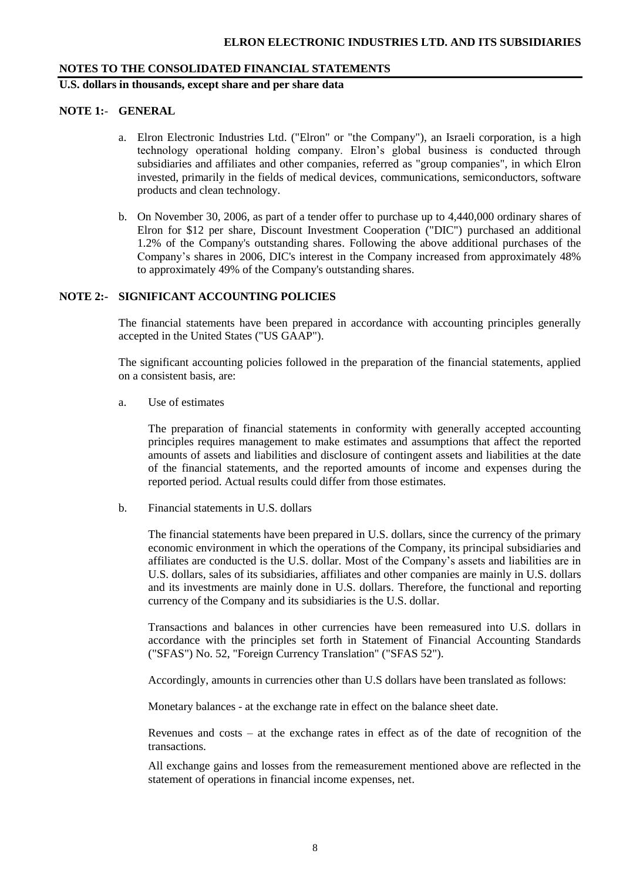**U.S. dollars in thousands, except share and per share data**

#### **NOTE 1:**- **GENERAL**

- a. Elron Electronic Industries Ltd. ("Elron" or "the Company"), an Israeli corporation, is a high technology operational holding company. Elron's global business is conducted through subsidiaries and affiliates and other companies, referred as "group companies", in which Elron invested, primarily in the fields of medical devices, communications, semiconductors, software products and clean technology.
- b. On November 30, 2006, as part of a tender offer to purchase up to 4,440,000 ordinary shares of Elron for \$12 per share, Discount Investment Cooperation ("DIC") purchased an additional 1.2% of the Company's outstanding shares. Following the above additional purchases of the Company's shares in 2006, DIC's interest in the Company increased from approximately 48% to approximately 49% of the Company's outstanding shares.

#### **NOTE 2:- SIGNIFICANT ACCOUNTING POLICIES**

The financial statements have been prepared in accordance with accounting principles generally accepted in the United States ("US GAAP").

The significant accounting policies followed in the preparation of the financial statements, applied on a consistent basis, are:

a. Use of estimates

The preparation of financial statements in conformity with generally accepted accounting principles requires management to make estimates and assumptions that affect the reported amounts of assets and liabilities and disclosure of contingent assets and liabilities at the date of the financial statements, and the reported amounts of income and expenses during the reported period. Actual results could differ from those estimates.

b. Financial statements in U.S. dollars

The financial statements have been prepared in U.S. dollars, since the currency of the primary economic environment in which the operations of the Company, its principal subsidiaries and affiliates are conducted is the U.S. dollar. Most of the Company's assets and liabilities are in U.S. dollars, sales of its subsidiaries, affiliates and other companies are mainly in U.S. dollars and its investments are mainly done in U.S. dollars. Therefore, the functional and reporting currency of the Company and its subsidiaries is the U.S. dollar.

Transactions and balances in other currencies have been remeasured into U.S. dollars in accordance with the principles set forth in Statement of Financial Accounting Standards ("SFAS") No. 52, "Foreign Currency Translation" ("SFAS 52").

Accordingly, amounts in currencies other than U.S dollars have been translated as follows:

Monetary balances - at the exchange rate in effect on the balance sheet date.

Revenues and costs – at the exchange rates in effect as of the date of recognition of the transactions.

All exchange gains and losses from the remeasurement mentioned above are reflected in the statement of operations in financial income expenses, net.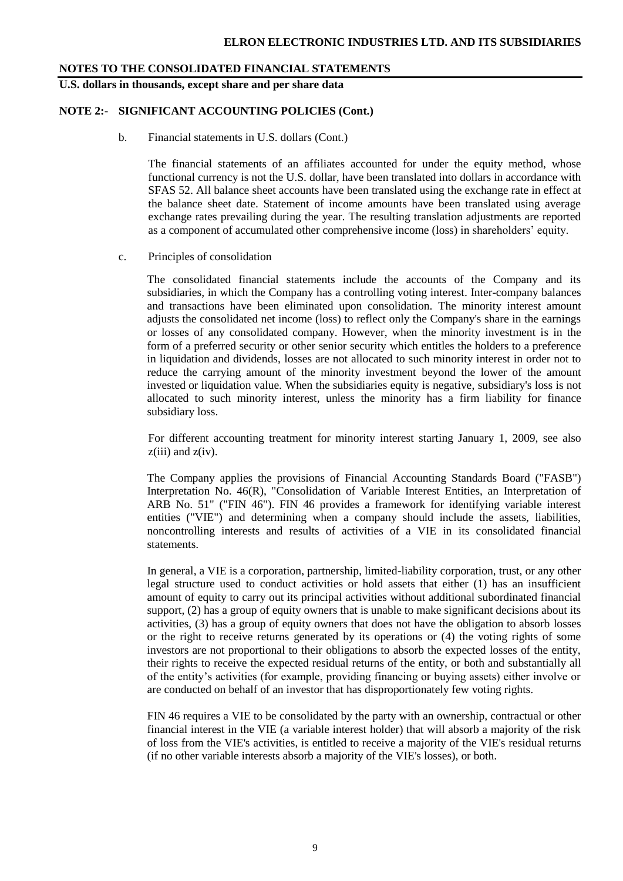**U.S. dollars in thousands, except share and per share data**

#### **NOTE 2:- SIGNIFICANT ACCOUNTING POLICIES (Cont.)**

b. Financial statements in U.S. dollars (Cont.)

The financial statements of an affiliates accounted for under the equity method, whose functional currency is not the U.S. dollar, have been translated into dollars in accordance with SFAS 52. All balance sheet accounts have been translated using the exchange rate in effect at the balance sheet date. Statement of income amounts have been translated using average exchange rates prevailing during the year. The resulting translation adjustments are reported as a component of accumulated other comprehensive income (loss) in shareholders' equity.

c. Principles of consolidation

The consolidated financial statements include the accounts of the Company and its subsidiaries, in which the Company has a controlling voting interest. Inter-company balances and transactions have been eliminated upon consolidation. The minority interest amount adjusts the consolidated net income (loss) to reflect only the Company's share in the earnings or losses of any consolidated company. However, when the minority investment is in the form of a preferred security or other senior security which entitles the holders to a preference in liquidation and dividends, losses are not allocated to such minority interest in order not to reduce the carrying amount of the minority investment beyond the lower of the amount invested or liquidation value. When the subsidiaries equity is negative, subsidiary's loss is not allocated to such minority interest, unless the minority has a firm liability for finance subsidiary loss.

For different accounting treatment for minority interest starting January 1, 2009, see also  $z(iii)$  and  $z(iv)$ .

The Company applies the provisions of Financial Accounting Standards Board ("FASB") Interpretation No. 46(R), "Consolidation of Variable Interest Entities, an Interpretation of ARB No. 51" ("FIN 46"). FIN 46 provides a framework for identifying variable interest entities ("VIE") and determining when a company should include the assets, liabilities, noncontrolling interests and results of activities of a VIE in its consolidated financial statements.

In general, a VIE is a corporation, partnership, limited-liability corporation, trust, or any other legal structure used to conduct activities or hold assets that either (1) has an insufficient amount of equity to carry out its principal activities without additional subordinated financial support, (2) has a group of equity owners that is unable to make significant decisions about its activities, (3) has a group of equity owners that does not have the obligation to absorb losses or the right to receive returns generated by its operations or (4) the voting rights of some investors are not proportional to their obligations to absorb the expected losses of the entity, their rights to receive the expected residual returns of the entity, or both and substantially all of the entity's activities (for example, providing financing or buying assets) either involve or are conducted on behalf of an investor that has disproportionately few voting rights.

FIN 46 requires a VIE to be consolidated by the party with an ownership, contractual or other financial interest in the VIE (a variable interest holder) that will absorb a majority of the risk of loss from the VIE's activities, is entitled to receive a majority of the VIE's residual returns (if no other variable interests absorb a majority of the VIE's losses), or both.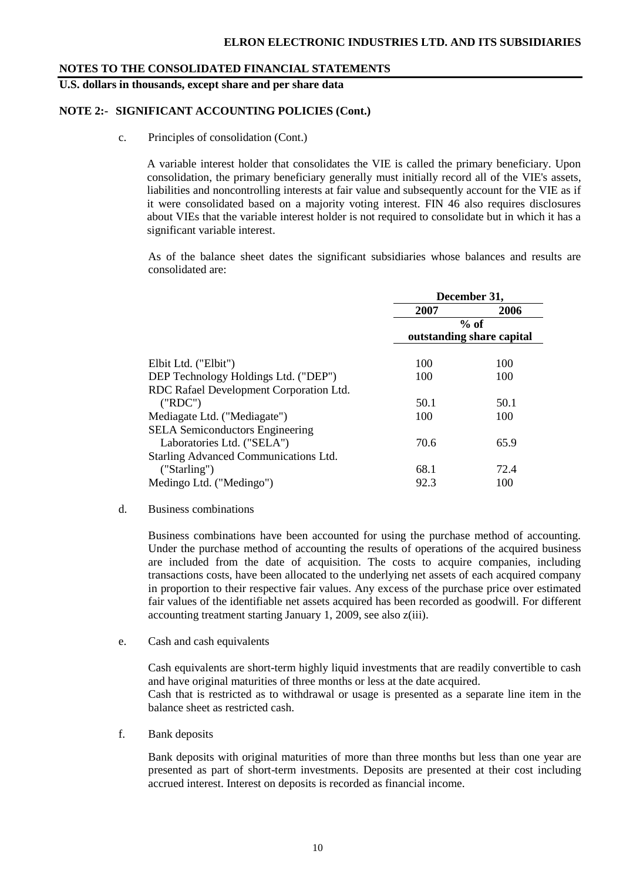**U.S. dollars in thousands, except share and per share data**

#### **NOTE 2:- SIGNIFICANT ACCOUNTING POLICIES (Cont.)**

c. Principles of consolidation (Cont.)

A variable interest holder that consolidates the VIE is called the primary beneficiary. Upon consolidation, the primary beneficiary generally must initially record all of the VIE's assets, liabilities and noncontrolling interests at fair value and subsequently account for the VIE as if it were consolidated based on a majority voting interest. FIN 46 also requires disclosures about VIEs that the variable interest holder is not required to consolidate but in which it has a significant variable interest.

As of the balance sheet dates the significant subsidiaries whose balances and results are consolidated are:

|                                         | December 31,              |        |  |  |
|-----------------------------------------|---------------------------|--------|--|--|
|                                         | 2007                      | 2006   |  |  |
|                                         |                           | $%$ of |  |  |
|                                         | outstanding share capital |        |  |  |
| Elbit Ltd. ("Elbit")                    | 100                       | 100    |  |  |
| DEP Technology Holdings Ltd. ("DEP")    | 100                       | 100    |  |  |
| RDC Rafael Development Corporation Ltd. |                           |        |  |  |
| ("RDC")                                 | 50.1                      | 50.1   |  |  |
| Mediagate Ltd. ("Mediagate")            | 100                       | 100    |  |  |
| <b>SELA</b> Semiconductors Engineering  |                           |        |  |  |
| Laboratories Ltd. ("SELA")              | 70.6                      | 65.9   |  |  |
| Starling Advanced Communications Ltd.   |                           |        |  |  |
| ('Starting')                            | 68.1                      | 72.4   |  |  |
| Medingo Ltd. ("Medingo")                | 92.3                      | 100    |  |  |

#### d. Business combinations

Business combinations have been accounted for using the purchase method of accounting. Under the purchase method of accounting the results of operations of the acquired business are included from the date of acquisition. The costs to acquire companies, including transactions costs, have been allocated to the underlying net assets of each acquired company in proportion to their respective fair values. Any excess of the purchase price over estimated fair values of the identifiable net assets acquired has been recorded as goodwill. For different accounting treatment starting January 1, 2009, see also z(iii).

e. Cash and cash equivalents

Cash equivalents are short-term highly liquid investments that are readily convertible to cash and have original maturities of three months or less at the date acquired. Cash that is restricted as to withdrawal or usage is presented as a separate line item in the balance sheet as restricted cash.

f. Bank deposits

Bank deposits with original maturities of more than three months but less than one year are presented as part of short-term investments. Deposits are presented at their cost including accrued interest. Interest on deposits is recorded as financial income.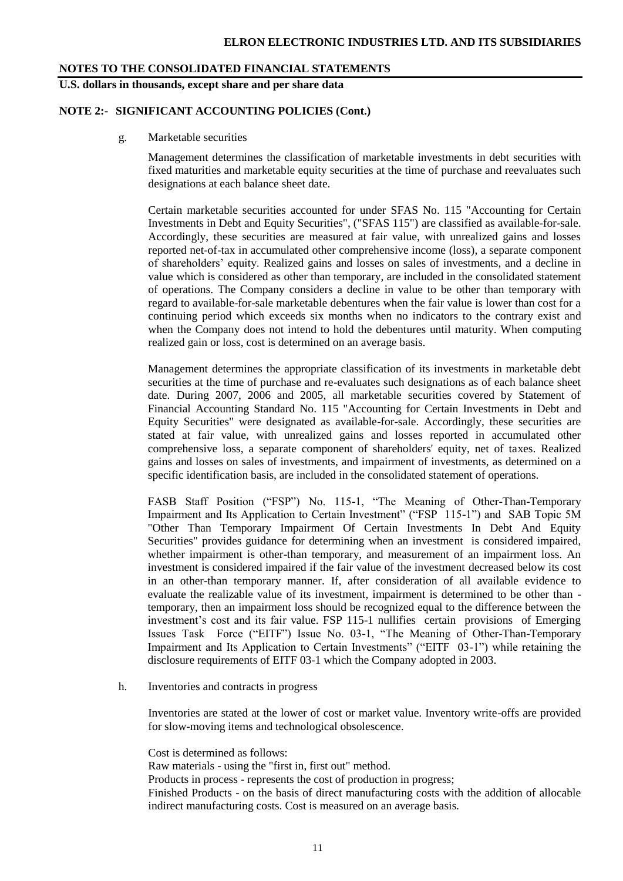**U.S. dollars in thousands, except share and per share data**

#### **NOTE 2:- SIGNIFICANT ACCOUNTING POLICIES (Cont.)**

g. Marketable securities

Management determines the classification of marketable investments in debt securities with fixed maturities and marketable equity securities at the time of purchase and reevaluates such designations at each balance sheet date.

Certain marketable securities accounted for under SFAS No. 115 "Accounting for Certain Investments in Debt and Equity Securities", ("SFAS 115") are classified as available-for-sale. Accordingly, these securities are measured at fair value, with unrealized gains and losses reported net-of-tax in accumulated other comprehensive income (loss), a separate component of shareholders' equity. Realized gains and losses on sales of investments, and a decline in value which is considered as other than temporary, are included in the consolidated statement of operations. The Company considers a decline in value to be other than temporary with regard to available-for-sale marketable debentures when the fair value is lower than cost for a continuing period which exceeds six months when no indicators to the contrary exist and when the Company does not intend to hold the debentures until maturity. When computing realized gain or loss, cost is determined on an average basis.

Management determines the appropriate classification of its investments in marketable debt securities at the time of purchase and re-evaluates such designations as of each balance sheet date. During 2007, 2006 and 2005, all marketable securities covered by Statement of Financial Accounting Standard No. 115 "Accounting for Certain Investments in Debt and Equity Securities" were designated as available-for-sale. Accordingly, these securities are stated at fair value, with unrealized gains and losses reported in accumulated other comprehensive loss, a separate component of shareholders' equity, net of taxes. Realized gains and losses on sales of investments, and impairment of investments, as determined on a specific identification basis, are included in the consolidated statement of operations.

FASB Staff Position ("FSP") No. 115-1, "The Meaning of Other-Than-Temporary Impairment and Its Application to Certain Investment" ("FSP 115-1") and SAB Topic 5M "Other Than Temporary Impairment Of Certain Investments In Debt And Equity Securities" provides guidance for determining when an investment is considered impaired, whether impairment is other-than temporary, and measurement of an impairment loss. An investment is considered impaired if the fair value of the investment decreased below its cost in an other-than temporary manner. If, after consideration of all available evidence to evaluate the realizable value of its investment, impairment is determined to be other than temporary, then an impairment loss should be recognized equal to the difference between the investment's cost and its fair value. FSP 115-1 nullifies certain provisions of Emerging Issues Task Force ("EITF") Issue No. 03-1, "The Meaning of Other-Than-Temporary Impairment and Its Application to Certain Investments" ("EITF 03-1") while retaining the disclosure requirements of EITF 03-1 which the Company adopted in 2003.

h. Inventories and contracts in progress

Inventories are stated at the lower of cost or market value. Inventory write-offs are provided for slow-moving items and technological obsolescence.

Cost is determined as follows:

Raw materials - using the "first in, first out" method.

Products in process - represents the cost of production in progress;

Finished Products - on the basis of direct manufacturing costs with the addition of allocable indirect manufacturing costs. Cost is measured on an average basis.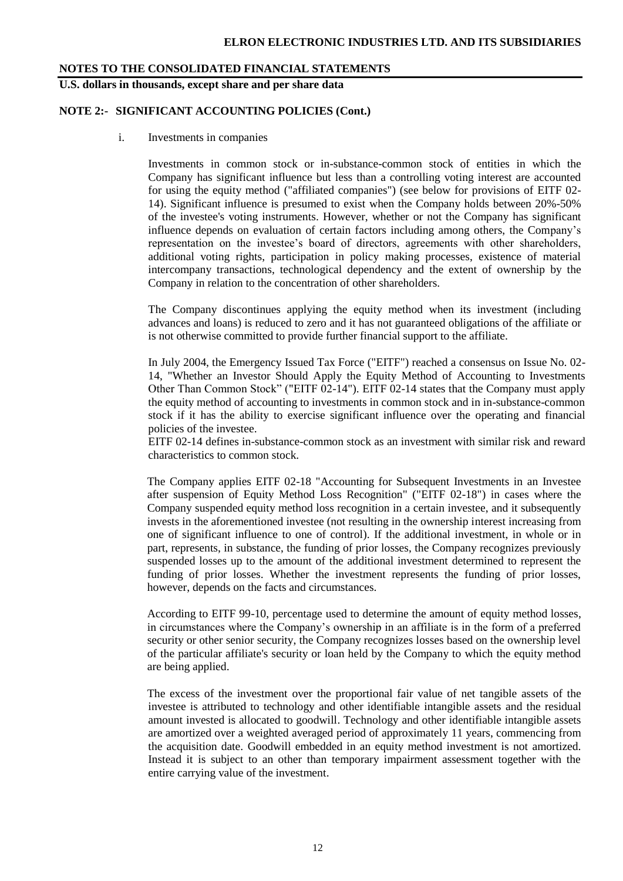**U.S. dollars in thousands, except share and per share data**

#### **NOTE 2:- SIGNIFICANT ACCOUNTING POLICIES (Cont.)**

i. Investments in companies

Investments in common stock or in-substance-common stock of entities in which the Company has significant influence but less than a controlling voting interest are accounted for using the equity method ("affiliated companies") (see below for provisions of EITF 02- 14). Significant influence is presumed to exist when the Company holds between 20%-50% of the investee's voting instruments. However, whether or not the Company has significant influence depends on evaluation of certain factors including among others, the Company's representation on the investee's board of directors, agreements with other shareholders, additional voting rights, participation in policy making processes, existence of material intercompany transactions, technological dependency and the extent of ownership by the Company in relation to the concentration of other shareholders.

The Company discontinues applying the equity method when its investment (including advances and loans) is reduced to zero and it has not guaranteed obligations of the affiliate or is not otherwise committed to provide further financial support to the affiliate.

In July 2004, the Emergency Issued Tax Force ("EITF") reached a consensus on Issue No. 02- 14, "Whether an Investor Should Apply the Equity Method of Accounting to Investments Other Than Common Stock" ("EITF 02-14"). EITF 02-14 states that the Company must apply the equity method of accounting to investments in common stock and in in-substance-common stock if it has the ability to exercise significant influence over the operating and financial policies of the investee.

EITF 02-14 defines in-substance-common stock as an investment with similar risk and reward characteristics to common stock.

The Company applies EITF 02-18 "Accounting for Subsequent Investments in an Investee after suspension of Equity Method Loss Recognition" ("EITF 02-18") in cases where the Company suspended equity method loss recognition in a certain investee, and it subsequently invests in the aforementioned investee (not resulting in the ownership interest increasing from one of significant influence to one of control). If the additional investment, in whole or in part, represents, in substance, the funding of prior losses, the Company recognizes previously suspended losses up to the amount of the additional investment determined to represent the funding of prior losses. Whether the investment represents the funding of prior losses, however, depends on the facts and circumstances.

According to EITF 99-10, percentage used to determine the amount of equity method losses, in circumstances where the Company's ownership in an affiliate is in the form of a preferred security or other senior security, the Company recognizes losses based on the ownership level of the particular affiliate's security or loan held by the Company to which the equity method are being applied.

The excess of the investment over the proportional fair value of net tangible assets of the investee is attributed to technology and other identifiable intangible assets and the residual amount invested is allocated to goodwill. Technology and other identifiable intangible assets are amortized over a weighted averaged period of approximately 11 years, commencing from the acquisition date. Goodwill embedded in an equity method investment is not amortized. Instead it is subject to an other than temporary impairment assessment together with the entire carrying value of the investment.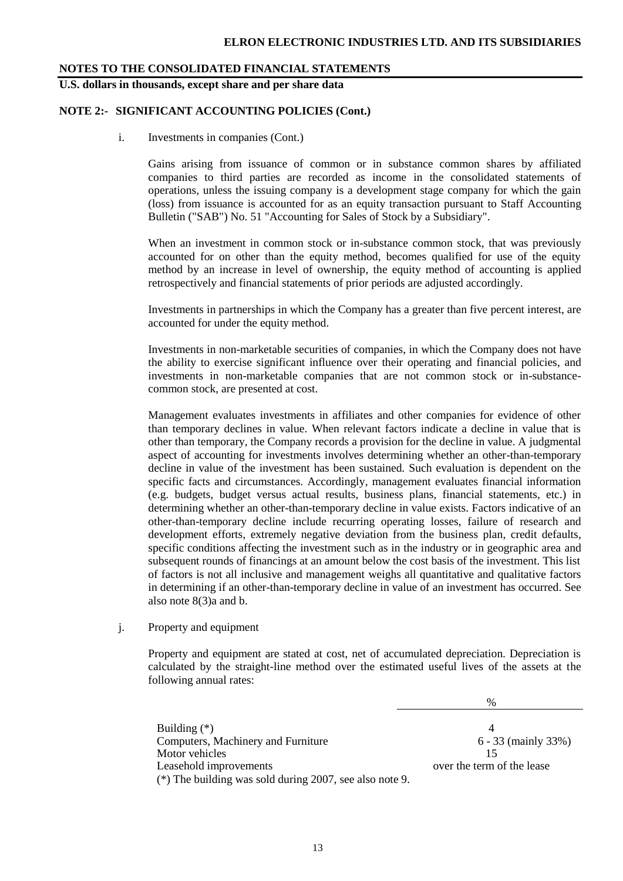**U.S. dollars in thousands, except share and per share data**

#### **NOTE 2:- SIGNIFICANT ACCOUNTING POLICIES (Cont.)**

i. Investments in companies (Cont.)

Gains arising from issuance of common or in substance common shares by affiliated companies to third parties are recorded as income in the consolidated statements of operations, unless the issuing company is a development stage company for which the gain (loss) from issuance is accounted for as an equity transaction pursuant to Staff Accounting Bulletin ("SAB") No. 51 "Accounting for Sales of Stock by a Subsidiary".

When an investment in common stock or in-substance common stock, that was previously accounted for on other than the equity method, becomes qualified for use of the equity method by an increase in level of ownership, the equity method of accounting is applied retrospectively and financial statements of prior periods are adjusted accordingly.

Investments in partnerships in which the Company has a greater than five percent interest, are accounted for under the equity method.

Investments in non-marketable securities of companies, in which the Company does not have the ability to exercise significant influence over their operating and financial policies, and investments in non-marketable companies that are not common stock or in-substancecommon stock, are presented at cost.

Management evaluates investments in affiliates and other companies for evidence of other than temporary declines in value. When relevant factors indicate a decline in value that is other than temporary, the Company records a provision for the decline in value. A judgmental aspect of accounting for investments involves determining whether an other-than-temporary decline in value of the investment has been sustained. Such evaluation is dependent on the specific facts and circumstances. Accordingly, management evaluates financial information (e.g. budgets, budget versus actual results, business plans, financial statements, etc.) in determining whether an other-than-temporary decline in value exists. Factors indicative of an other-than-temporary decline include recurring operating losses, failure of research and development efforts, extremely negative deviation from the business plan, credit defaults, specific conditions affecting the investment such as in the industry or in geographic area and subsequent rounds of financings at an amount below the cost basis of the investment. This list of factors is not all inclusive and management weighs all quantitative and qualitative factors in determining if an other-than-temporary decline in value of an investment has occurred. See also note 8(3)a and b.

#### j. Property and equipment

Property and equipment are stated at cost, net of accumulated depreciation. Depreciation is calculated by the straight-line method over the estimated useful lives of the assets at the following annual rates:

%

Building (\*) 4 Computers, Machinery and Furniture 6 - 33 (mainly 33%) Motor vehicles 15 Leasehold improvements over the term of the lease (\*) The building was sold during 2007, see also note 9.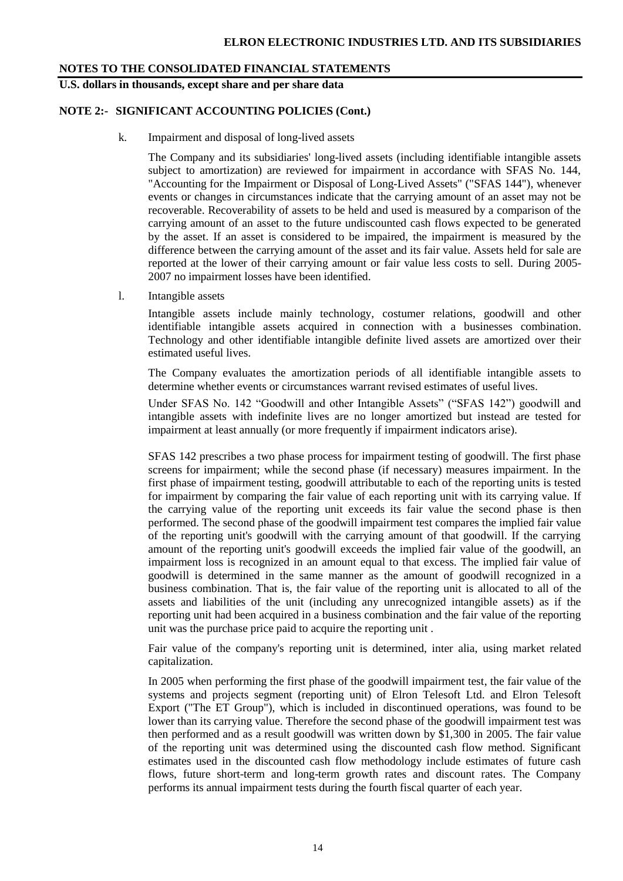**U.S. dollars in thousands, except share and per share data**

#### **NOTE 2:- SIGNIFICANT ACCOUNTING POLICIES (Cont.)**

k. Impairment and disposal of long-lived assets

The Company and its subsidiaries' long-lived assets (including identifiable intangible assets subject to amortization) are reviewed for impairment in accordance with SFAS No. 144, "Accounting for the Impairment or Disposal of Long-Lived Assets" ("SFAS 144"), whenever events or changes in circumstances indicate that the carrying amount of an asset may not be recoverable. Recoverability of assets to be held and used is measured by a comparison of the carrying amount of an asset to the future undiscounted cash flows expected to be generated by the asset. If an asset is considered to be impaired, the impairment is measured by the difference between the carrying amount of the asset and its fair value. Assets held for sale are reported at the lower of their carrying amount or fair value less costs to sell. During 2005- 2007 no impairment losses have been identified.

l. Intangible assets

Intangible assets include mainly technology, costumer relations, goodwill and other identifiable intangible assets acquired in connection with a businesses combination. Technology and other identifiable intangible definite lived assets are amortized over their estimated useful lives.

The Company evaluates the amortization periods of all identifiable intangible assets to determine whether events or circumstances warrant revised estimates of useful lives.

Under SFAS No. 142 "Goodwill and other Intangible Assets" ("SFAS 142") goodwill and intangible assets with indefinite lives are no longer amortized but instead are tested for impairment at least annually (or more frequently if impairment indicators arise).

SFAS 142 prescribes a two phase process for impairment testing of goodwill. The first phase screens for impairment; while the second phase (if necessary) measures impairment. In the first phase of impairment testing, goodwill attributable to each of the reporting units is tested for impairment by comparing the fair value of each reporting unit with its carrying value. If the carrying value of the reporting unit exceeds its fair value the second phase is then performed. The second phase of the goodwill impairment test compares the implied fair value of the reporting unit's goodwill with the carrying amount of that goodwill. If the carrying amount of the reporting unit's goodwill exceeds the implied fair value of the goodwill, an impairment loss is recognized in an amount equal to that excess. The implied fair value of goodwill is determined in the same manner as the amount of goodwill recognized in a business combination. That is, the fair value of the reporting unit is allocated to all of the assets and liabilities of the unit (including any unrecognized intangible assets) as if the reporting unit had been acquired in a business combination and the fair value of the reporting unit was the purchase price paid to acquire the reporting unit .

Fair value of the company's reporting unit is determined, inter alia, using market related capitalization.

In 2005 when performing the first phase of the goodwill impairment test, the fair value of the systems and projects segment (reporting unit) of Elron Telesoft Ltd. and Elron Telesoft Export ("The ET Group"), which is included in discontinued operations, was found to be lower than its carrying value. Therefore the second phase of the goodwill impairment test was then performed and as a result goodwill was written down by \$1,300 in 2005. The fair value of the reporting unit was determined using the discounted cash flow method. Significant estimates used in the discounted cash flow methodology include estimates of future cash flows, future short-term and long-term growth rates and discount rates. The Company performs its annual impairment tests during the fourth fiscal quarter of each year.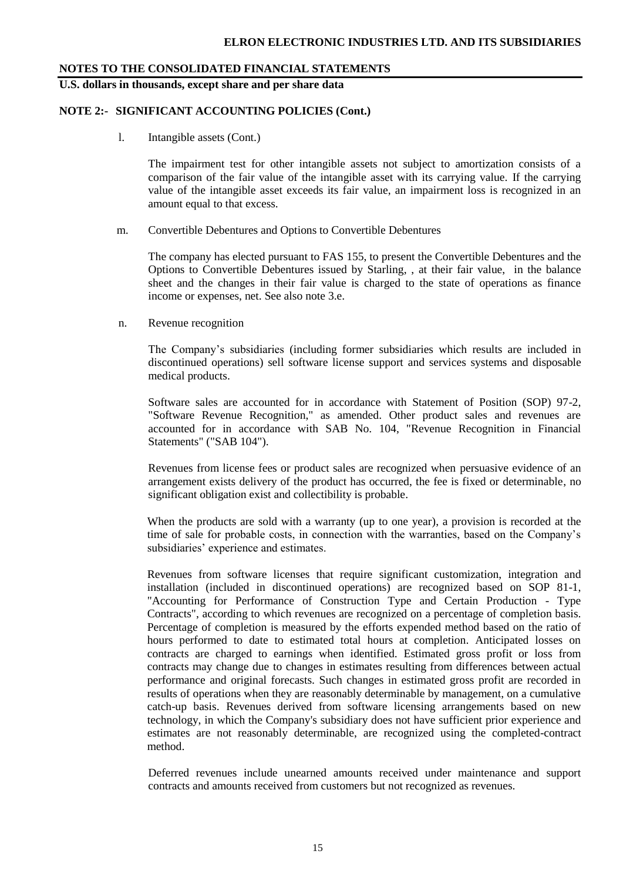#### **U.S. dollars in thousands, except share and per share data**

#### **NOTE 2:- SIGNIFICANT ACCOUNTING POLICIES (Cont.)**

l. Intangible assets (Cont.)

The impairment test for other intangible assets not subject to amortization consists of a comparison of the fair value of the intangible asset with its carrying value. If the carrying value of the intangible asset exceeds its fair value, an impairment loss is recognized in an amount equal to that excess.

m. Convertible Debentures and Options to Convertible Debentures

The company has elected pursuant to FAS 155, to present the Convertible Debentures and the Options to Convertible Debentures issued by Starling, , at their fair value, in the balance sheet and the changes in their fair value is charged to the state of operations as finance income or expenses, net. See also note 3.e.

n. Revenue recognition

The Company's subsidiaries (including former subsidiaries which results are included in discontinued operations) sell software license support and services systems and disposable medical products.

Software sales are accounted for in accordance with Statement of Position (SOP) 97-2, "Software Revenue Recognition," as amended. Other product sales and revenues are accounted for in accordance with SAB No. 104, "Revenue Recognition in Financial Statements" ("SAB 104").

Revenues from license fees or product sales are recognized when persuasive evidence of an arrangement exists delivery of the product has occurred, the fee is fixed or determinable, no significant obligation exist and collectibility is probable.

When the products are sold with a warranty (up to one year), a provision is recorded at the time of sale for probable costs, in connection with the warranties, based on the Company's subsidiaries' experience and estimates.

Revenues from software licenses that require significant customization, integration and installation (included in discontinued operations) are recognized based on SOP 81-1, "Accounting for Performance of Construction Type and Certain Production - Type Contracts", according to which revenues are recognized on a percentage of completion basis. Percentage of completion is measured by the efforts expended method based on the ratio of hours performed to date to estimated total hours at completion. Anticipated losses on contracts are charged to earnings when identified. Estimated gross profit or loss from contracts may change due to changes in estimates resulting from differences between actual performance and original forecasts. Such changes in estimated gross profit are recorded in results of operations when they are reasonably determinable by management, on a cumulative catch-up basis. Revenues derived from software licensing arrangements based on new technology, in which the Company's subsidiary does not have sufficient prior experience and estimates are not reasonably determinable, are recognized using the completed-contract method.

Deferred revenues include unearned amounts received under maintenance and support contracts and amounts received from customers but not recognized as revenues.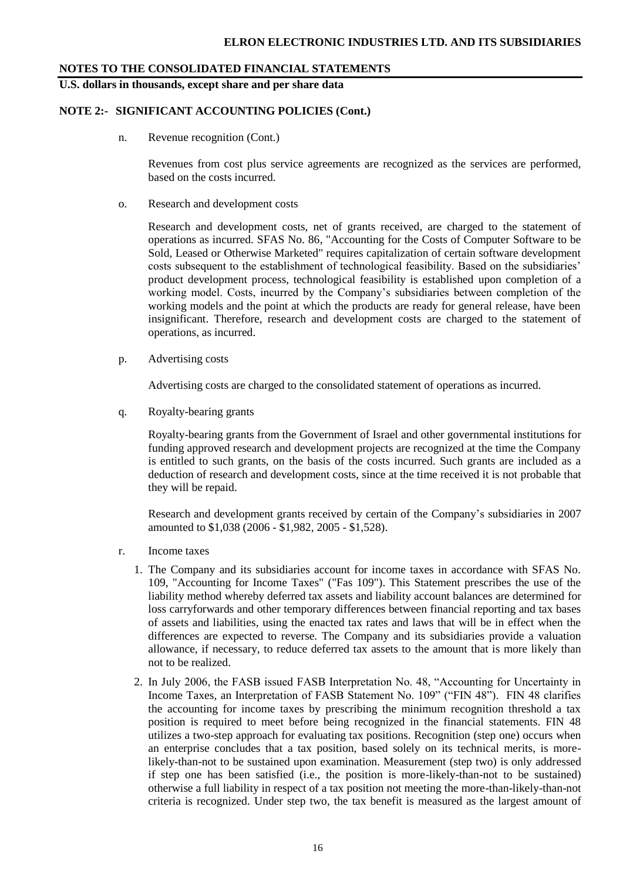**U.S. dollars in thousands, except share and per share data**

#### **NOTE 2:- SIGNIFICANT ACCOUNTING POLICIES (Cont.)**

n. Revenue recognition (Cont.)

Revenues from cost plus service agreements are recognized as the services are performed, based on the costs incurred.

o. Research and development costs

Research and development costs, net of grants received, are charged to the statement of operations as incurred. SFAS No. 86, "Accounting for the Costs of Computer Software to be Sold, Leased or Otherwise Marketed" requires capitalization of certain software development costs subsequent to the establishment of technological feasibility. Based on the subsidiaries' product development process, technological feasibility is established upon completion of a working model. Costs, incurred by the Company's subsidiaries between completion of the working models and the point at which the products are ready for general release, have been insignificant. Therefore, research and development costs are charged to the statement of operations, as incurred.

p. Advertising costs

Advertising costs are charged to the consolidated statement of operations as incurred.

q. Royalty-bearing grants

Royalty-bearing grants from the Government of Israel and other governmental institutions for funding approved research and development projects are recognized at the time the Company is entitled to such grants, on the basis of the costs incurred. Such grants are included as a deduction of research and development costs, since at the time received it is not probable that they will be repaid.

Research and development grants received by certain of the Company's subsidiaries in 2007 amounted to \$1,038 (2006 - \$1,982, 2005 - \$1,528).

- r. Income taxes
	- 1. The Company and its subsidiaries account for income taxes in accordance with SFAS No. 109, "Accounting for Income Taxes" ("Fas 109"). This Statement prescribes the use of the liability method whereby deferred tax assets and liability account balances are determined for loss carryforwards and other temporary differences between financial reporting and tax bases of assets and liabilities, using the enacted tax rates and laws that will be in effect when the differences are expected to reverse. The Company and its subsidiaries provide a valuation allowance, if necessary, to reduce deferred tax assets to the amount that is more likely than not to be realized.
	- 2. In July 2006, the FASB issued FASB Interpretation No. 48, "Accounting for Uncertainty in Income Taxes, an Interpretation of FASB Statement No. 109" ("FIN 48"). FIN 48 clarifies the accounting for income taxes by prescribing the minimum recognition threshold a tax position is required to meet before being recognized in the financial statements. FIN 48 utilizes a two-step approach for evaluating tax positions. Recognition (step one) occurs when an enterprise concludes that a tax position, based solely on its technical merits, is morelikely-than-not to be sustained upon examination. Measurement (step two) is only addressed if step one has been satisfied (i.e., the position is more-likely-than-not to be sustained) otherwise a full liability in respect of a tax position not meeting the more-than-likely-than-not criteria is recognized. Under step two, the tax benefit is measured as the largest amount of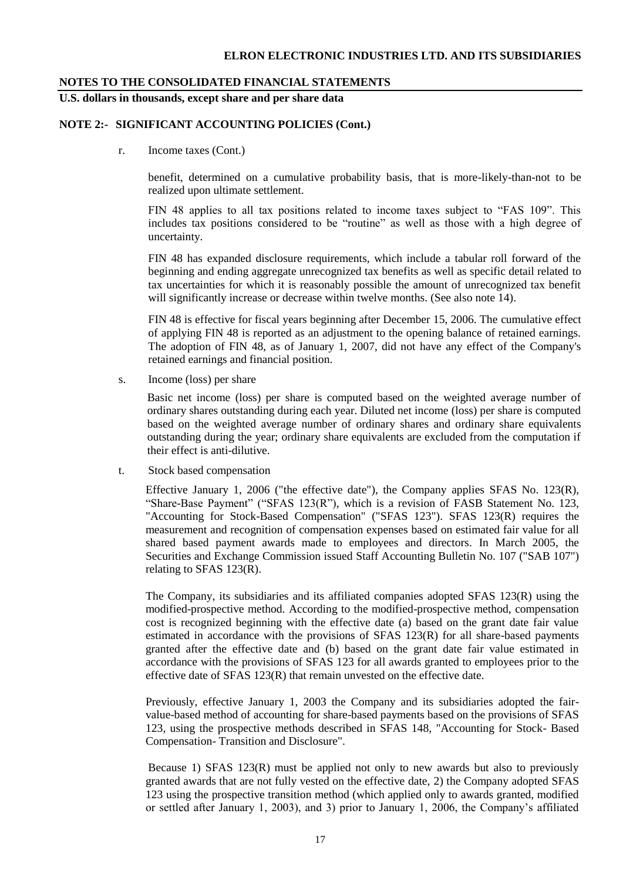#### **ELRON ELECTRONIC INDUSTRIES LTD. AND ITS SUBSIDIARIES**

#### **NOTES TO THE CONSOLIDATED FINANCIAL STATEMENTS**

**U.S. dollars in thousands, except share and per share data**

#### **NOTE 2:- SIGNIFICANT ACCOUNTING POLICIES (Cont.)**

r. Income taxes (Cont.)

benefit, determined on a cumulative probability basis, that is more-likely-than-not to be realized upon ultimate settlement.

FIN 48 applies to all tax positions related to income taxes subject to "FAS 109". This includes tax positions considered to be "routine" as well as those with a high degree of uncertainty.

FIN 48 has expanded disclosure requirements, which include a tabular roll forward of the beginning and ending aggregate unrecognized tax benefits as well as specific detail related to tax uncertainties for which it is reasonably possible the amount of unrecognized tax benefit will significantly increase or decrease within twelve months. (See also note 14).

FIN 48 is effective for fiscal years beginning after December 15, 2006. The cumulative effect of applying FIN 48 is reported as an adjustment to the opening balance of retained earnings. The adoption of FIN 48, as of January 1, 2007, did not have any effect of the Company's retained earnings and financial position.

s. Income (loss) per share

Basic net income (loss) per share is computed based on the weighted average number of ordinary shares outstanding during each year. Diluted net income (loss) per share is computed based on the weighted average number of ordinary shares and ordinary share equivalents outstanding during the year; ordinary share equivalents are excluded from the computation if their effect is anti-dilutive.

t. Stock based compensation

Effective January 1, 2006 ("the effective date"), the Company applies SFAS No.  $123(R)$ , "Share-Base Payment" ("SFAS 123(R"), which is a revision of FASB Statement No. 123, "Accounting for Stock-Based Compensation" ("SFAS 123"). SFAS 123(R) requires the measurement and recognition of compensation expenses based on estimated fair value for all shared based payment awards made to employees and directors. In March 2005, the Securities and Exchange Commission issued Staff Accounting Bulletin No. 107 ("SAB 107") relating to SFAS 123(R).

The Company, its subsidiaries and its affiliated companies adopted SFAS 123(R) using the modified-prospective method. According to the modified-prospective method, compensation cost is recognized beginning with the effective date (a) based on the grant date fair value estimated in accordance with the provisions of SFAS 123(R) for all share-based payments granted after the effective date and (b) based on the grant date fair value estimated in accordance with the provisions of SFAS 123 for all awards granted to employees prior to the effective date of SFAS 123(R) that remain unvested on the effective date.

Previously, effective January 1, 2003 the Company and its subsidiaries adopted the fairvalue-based method of accounting for share-based payments based on the provisions of SFAS 123, using the prospective methods described in SFAS 148, "Accounting for Stock- Based Compensation- Transition and Disclosure".

Because 1) SFAS 123(R) must be applied not only to new awards but also to previously granted awards that are not fully vested on the effective date, 2) the Company adopted SFAS 123 using the prospective transition method (which applied only to awards granted, modified or settled after January 1, 2003), and 3) prior to January 1, 2006, the Company's affiliated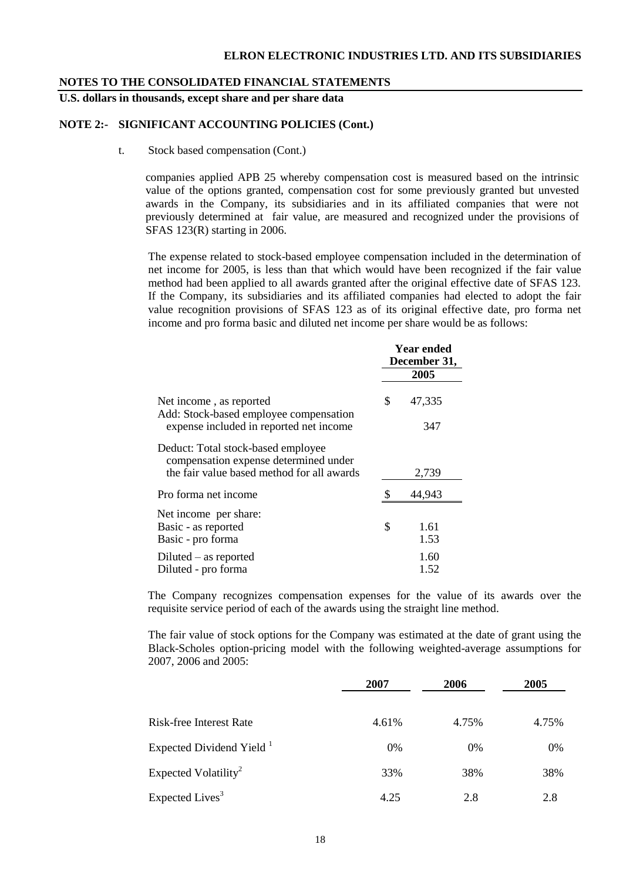**U.S. dollars in thousands, except share and per share data**

#### **NOTE 2:- SIGNIFICANT ACCOUNTING POLICIES (Cont.)**

t. Stock based compensation (Cont.)

companies applied APB 25 whereby compensation cost is measured based on the intrinsic value of the options granted, compensation cost for some previously granted but unvested awards in the Company, its subsidiaries and in its affiliated companies that were not previously determined at fair value, are measured and recognized under the provisions of SFAS 123(R) starting in 2006.

The expense related to stock-based employee compensation included in the determination of net income for 2005, is less than that which would have been recognized if the fair value method had been applied to all awards granted after the original effective date of SFAS 123. If the Company, its subsidiaries and its affiliated companies had elected to adopt the fair value recognition provisions of SFAS 123 as of its original effective date, pro forma net income and pro forma basic and diluted net income per share would be as follows:

|                                                                             | <b>Year ended</b><br>December 31,<br>2005 |        |  |
|-----------------------------------------------------------------------------|-------------------------------------------|--------|--|
|                                                                             |                                           |        |  |
| Net income, as reported<br>Add: Stock-based employee compensation           | \$                                        | 47,335 |  |
| expense included in reported net income                                     |                                           | 347    |  |
| Deduct: Total stock-based employee<br>compensation expense determined under |                                           |        |  |
| the fair value based method for all awards                                  |                                           | 2,739  |  |
| Pro forma net income                                                        |                                           | 44,943 |  |
| Net income per share:                                                       |                                           |        |  |
| Basic - as reported                                                         | \$                                        | 1.61   |  |
| Basic - pro forma                                                           |                                           | 1.53   |  |
| $Diluted - as reported$                                                     |                                           | 1.60   |  |
| Diluted - pro forma                                                         |                                           | 1.52   |  |

The Company recognizes compensation expenses for the value of its awards over the requisite service period of each of the awards using the straight line method.

The fair value of stock options for the Company was estimated at the date of grant using the Black-Scholes option-pricing model with the following weighted-average assumptions for 2007, 2006 and 2005:

|                                      | 2007  | 2006  | 2005  |
|--------------------------------------|-------|-------|-------|
| Risk-free Interest Rate              | 4.61% | 4.75% | 4.75% |
| Expected Dividend Yield <sup>1</sup> | 0%    | $0\%$ | 0%    |
| Expected Volatility <sup>2</sup>     | 33%   | 38%   | 38%   |
| Expected Lives <sup>3</sup>          | 4.25  | 2.8   | 2.8   |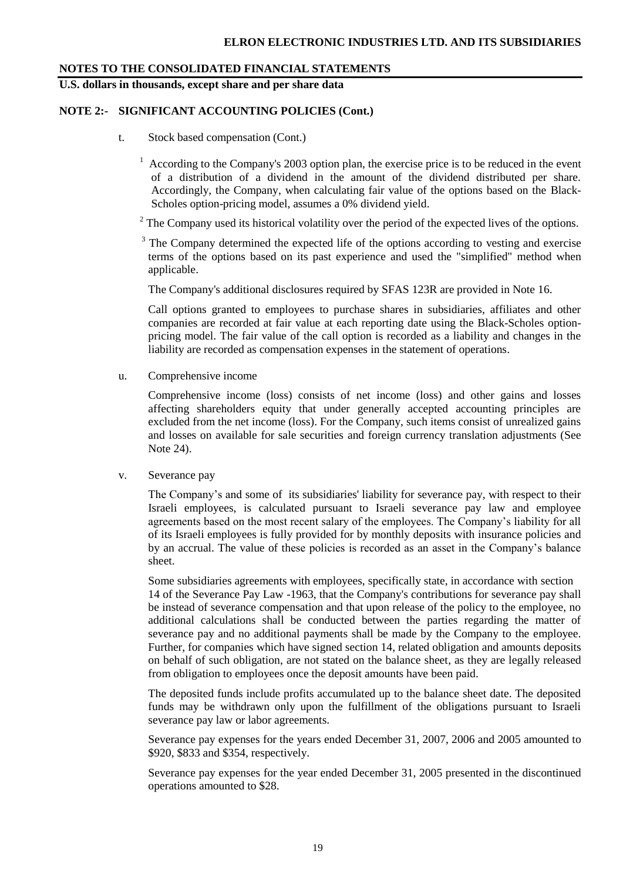**U.S. dollars in thousands, except share and per share data**

#### **NOTE 2:- SIGNIFICANT ACCOUNTING POLICIES (Cont.)**

- t. Stock based compensation (Cont.)
	- $1$  According to the Company's 2003 option plan, the exercise price is to be reduced in the event of a distribution of a dividend in the amount of the dividend distributed per share. Accordingly, the Company, when calculating fair value of the options based on the Black-Scholes option-pricing model, assumes a 0% dividend yield.
	- <sup>2</sup> The Company used its historical volatility over the period of the expected lives of the options.

<sup>3</sup> The Company determined the expected life of the options according to vesting and exercise terms of the options based on its past experience and used the "simplified" method when applicable.

The Company's additional disclosures required by SFAS 123R are provided in Note 16.

Call options granted to employees to purchase shares in subsidiaries, affiliates and other companies are recorded at fair value at each reporting date using the Black-Scholes optionpricing model. The fair value of the call option is recorded as a liability and changes in the liability are recorded as compensation expenses in the statement of operations.

u. Comprehensive income

Comprehensive income (loss) consists of net income (loss) and other gains and losses affecting shareholders equity that under generally accepted accounting principles are excluded from the net income (loss). For the Company, such items consist of unrealized gains and losses on available for sale securities and foreign currency translation adjustments (See Note 24).

v. Severance pay

The Company's and some of its subsidiaries' liability for severance pay, with respect to their Israeli employees, is calculated pursuant to Israeli severance pay law and employee agreements based on the most recent salary of the employees. The Company's liability for all of its Israeli employees is fully provided for by monthly deposits with insurance policies and by an accrual. The value of these policies is recorded as an asset in the Company's balance sheet.

Some subsidiaries agreements with employees, specifically state, in accordance with section 14 of the Severance Pay Law -1963, that the Company's contributions for severance pay shall be instead of severance compensation and that upon release of the policy to the employee, no additional calculations shall be conducted between the parties regarding the matter of severance pay and no additional payments shall be made by the Company to the employee. Further, for companies which have signed section 14, related obligation and amounts deposits on behalf of such obligation, are not stated on the balance sheet, as they are legally released from obligation to employees once the deposit amounts have been paid.

The deposited funds include profits accumulated up to the balance sheet date. The deposited funds may be withdrawn only upon the fulfillment of the obligations pursuant to Israeli severance pay law or labor agreements.

Severance pay expenses for the years ended December 31, 2007, 2006 and 2005 amounted to \$920, \$833 and \$354, respectively.

Severance pay expenses for the year ended December 31, 2005 presented in the discontinued operations amounted to \$28.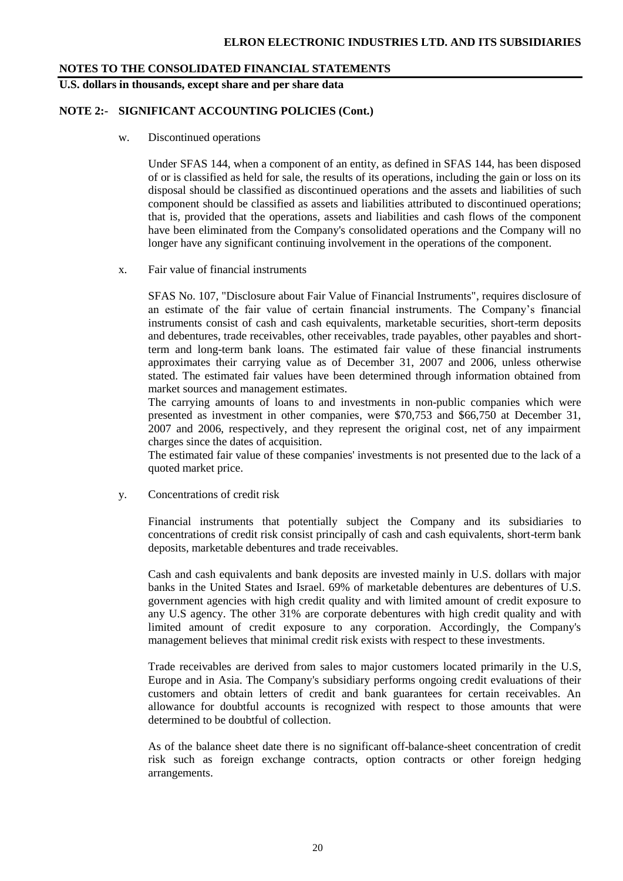**U.S. dollars in thousands, except share and per share data**

#### **NOTE 2:- SIGNIFICANT ACCOUNTING POLICIES (Cont.)**

w. Discontinued operations

Under SFAS 144, when a component of an entity, as defined in SFAS 144, has been disposed of or is classified as held for sale, the results of its operations, including the gain or loss on its disposal should be classified as discontinued operations and the assets and liabilities of such component should be classified as assets and liabilities attributed to discontinued operations; that is, provided that the operations, assets and liabilities and cash flows of the component have been eliminated from the Company's consolidated operations and the Company will no longer have any significant continuing involvement in the operations of the component.

x. Fair value of financial instruments

SFAS No. 107, "Disclosure about Fair Value of Financial Instruments", requires disclosure of an estimate of the fair value of certain financial instruments. The Company's financial instruments consist of cash and cash equivalents, marketable securities, short-term deposits and debentures, trade receivables, other receivables, trade payables, other payables and shortterm and long-term bank loans. The estimated fair value of these financial instruments approximates their carrying value as of December 31, 2007 and 2006, unless otherwise stated. The estimated fair values have been determined through information obtained from market sources and management estimates.

The carrying amounts of loans to and investments in non-public companies which were presented as investment in other companies, were \$70,753 and \$66,750 at December 31, 2007 and 2006, respectively, and they represent the original cost, net of any impairment charges since the dates of acquisition.

The estimated fair value of these companies' investments is not presented due to the lack of a quoted market price.

y. Concentrations of credit risk

Financial instruments that potentially subject the Company and its subsidiaries to concentrations of credit risk consist principally of cash and cash equivalents, short-term bank deposits, marketable debentures and trade receivables.

Cash and cash equivalents and bank deposits are invested mainly in U.S. dollars with major banks in the United States and Israel. 69% of marketable debentures are debentures of U.S. government agencies with high credit quality and with limited amount of credit exposure to any U.S agency. The other 31% are corporate debentures with high credit quality and with limited amount of credit exposure to any corporation. Accordingly, the Company's management believes that minimal credit risk exists with respect to these investments.

Trade receivables are derived from sales to major customers located primarily in the U.S, Europe and in Asia. The Company's subsidiary performs ongoing credit evaluations of their customers and obtain letters of credit and bank guarantees for certain receivables. An allowance for doubtful accounts is recognized with respect to those amounts that were determined to be doubtful of collection.

As of the balance sheet date there is no significant off-balance-sheet concentration of credit risk such as foreign exchange contracts, option contracts or other foreign hedging arrangements.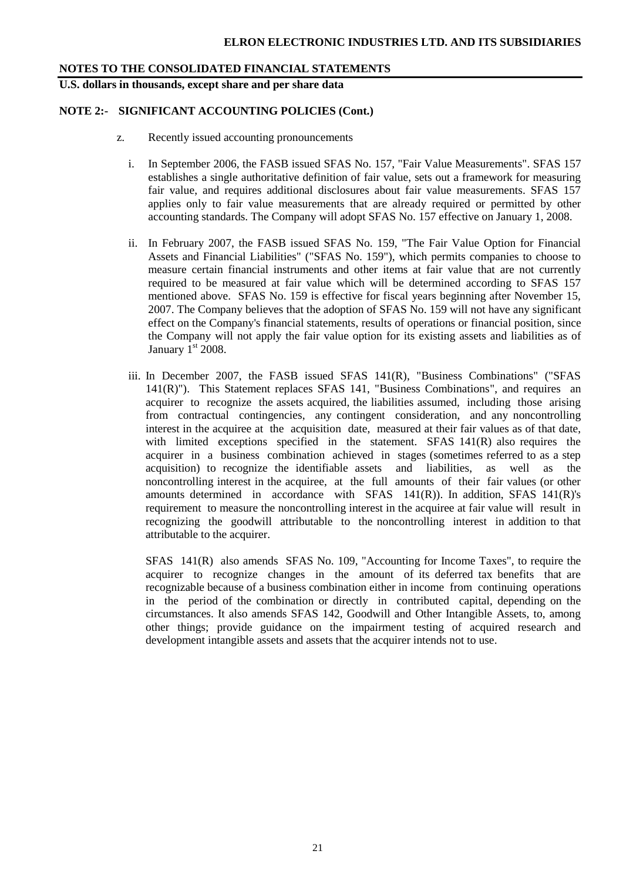**U.S. dollars in thousands, except share and per share data**

#### **NOTE 2:- SIGNIFICANT ACCOUNTING POLICIES (Cont.)**

- z. Recently issued accounting pronouncements
	- i. In September 2006, the FASB issued SFAS No. 157, "Fair Value Measurements". SFAS 157 establishes a single authoritative definition of fair value, sets out a framework for measuring fair value, and requires additional disclosures about fair value measurements. SFAS 157 applies only to fair value measurements that are already required or permitted by other accounting standards. The Company will adopt SFAS No. 157 effective on January 1, 2008.
	- ii. In February 2007, the FASB issued SFAS No. 159, "The Fair Value Option for Financial Assets and Financial Liabilities" ("SFAS No. 159"), which permits companies to choose to measure certain financial instruments and other items at fair value that are not currently required to be measured at fair value which will be determined according to SFAS 157 mentioned above. SFAS No. 159 is effective for fiscal years beginning after November 15, 2007. The Company believes that the adoption of SFAS No. 159 will not have any significant effect on the Company's financial statements, results of operations or financial position, since the Company will not apply the fair value option for its existing assets and liabilities as of January  $1<sup>st</sup> 2008$ .
	- iii. In December 2007, the FASB issued SFAS 141(R), "Business Combinations" ("SFAS 141(R)"). This Statement replaces SFAS 141, "Business Combinations", and requires an acquirer to recognize the assets acquired, the liabilities assumed, including those arising from contractual contingencies, any contingent consideration, and any noncontrolling interest in the acquiree at the acquisition date, measured at their fair values as of that date, with limited exceptions specified in the statement. SFAS 141(R) also requires the acquirer in a business combination achieved in stages (sometimes referred to as a step acquisition) to recognize the identifiable assets and liabilities, as well as the noncontrolling interest in the acquiree, at the full amounts of their fair values (or other amounts determined in accordance with SFAS  $141(R)$ ). In addition, SFAS  $141(R)$ 's requirement to measure the noncontrolling interest in the acquiree at fair value will result in recognizing the goodwill attributable to the noncontrolling interest in addition to that attributable to the acquirer.

SFAS 141(R) also amends SFAS No. 109, "Accounting for Income Taxes", to require the acquirer to recognize changes in the amount of its deferred tax benefits that are recognizable because of a business combination either in income from continuing operations in the period of the combination or directly in contributed capital, depending on the circumstances. It also amends SFAS 142, Goodwill and Other Intangible Assets, to, among other things; provide guidance on the impairment testing of acquired research and development intangible assets and assets that the acquirer intends not to use.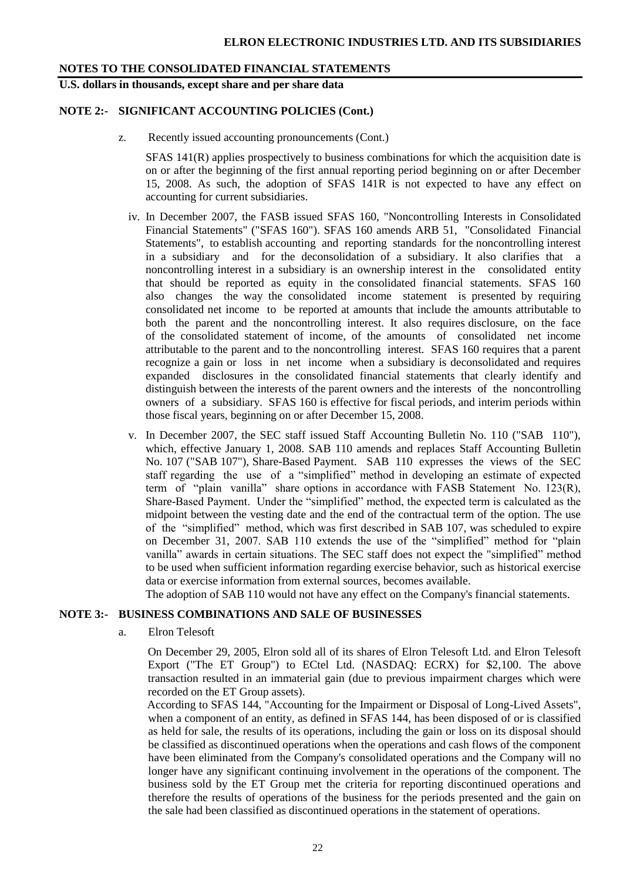**U.S. dollars in thousands, except share and per share data**

#### **NOTE 2:- SIGNIFICANT ACCOUNTING POLICIES (Cont.)**

z. Recently issued accounting pronouncements (Cont.)

SFAS 141(R) applies prospectively to business combinations for which the acquisition date is on or after the beginning of the first annual reporting period beginning on or after December 15, 2008. As such, the adoption of SFAS 141R is not expected to have any effect on accounting for current subsidiaries.

- iv. In December 2007, the FASB issued SFAS 160, "Noncontrolling Interests in Consolidated Financial Statements" ("SFAS 160"). SFAS 160 amends ARB 51, "Consolidated Financial Statements", to establish accounting and reporting standards for the noncontrolling interest in a subsidiary and for the deconsolidation of a subsidiary. It also clarifies that a noncontrolling interest in a subsidiary is an ownership interest in the consolidated entity that should be reported as equity in the consolidated financial statements. SFAS 160 also changes the way the consolidated income statement is presented by requiring consolidated net income to be reported at amounts that include the amounts attributable to both the parent and the noncontrolling interest. It also requires disclosure, on the face of the consolidated statement of income, of the amounts of consolidated net income attributable to the parent and to the noncontrolling interest. SFAS 160 requires that a parent recognize a gain or loss in net income when a subsidiary is deconsolidated and requires expanded disclosures in the consolidated financial statements that clearly identify and distinguish between the interests of the parent owners and the interests of the noncontrolling owners of a subsidiary. SFAS 160 is effective for fiscal periods, and interim periods within those fiscal years, beginning on or after December 15, 2008.
- v. In December 2007, the SEC staff issued Staff Accounting Bulletin No. 110 ("SAB 110"), which, effective January 1, 2008. SAB 110 amends and replaces Staff Accounting Bulletin No. 107 ("SAB 107"), Share-Based Payment. SAB 110 expresses the views of the SEC staff regarding the use of a "simplified" method in developing an estimate of expected term of "plain vanilla" share options in accordance with FASB Statement No. 123(R), Share-Based Payment. Under the "simplified" method, the expected term is calculated as the midpoint between the vesting date and the end of the contractual term of the option. The use of the "simplified" method, which was first described in SAB 107, was scheduled to expire on December 31, 2007. SAB 110 extends the use of the "simplified" method for "plain vanilla" awards in certain situations. The SEC staff does not expect the "simplified" method to be used when sufficient information regarding exercise behavior, such as historical exercise data or exercise information from external sources, becomes available.

The adoption of SAB 110 would not have any effect on the Company's financial statements.

#### **NOTE 3:- BUSINESS COMBINATIONS AND SALE OF BUSINESSES**

a. Elron Telesoft

On December 29, 2005, Elron sold all of its shares of Elron Telesoft Ltd. and Elron Telesoft Export ("The ET Group") to ECtel Ltd. (NASDAQ: ECRX) for \$2,100. The above transaction resulted in an immaterial gain (due to previous impairment charges which were recorded on the ET Group assets).

 According to SFAS 144, "Accounting for the Impairment or Disposal of Long-Lived Assets", when a component of an entity, as defined in SFAS 144, has been disposed of or is classified as held for sale, the results of its operations, including the gain or loss on its disposal should be classified as discontinued operations when the operations and cash flows of the component have been eliminated from the Company's consolidated operations and the Company will no longer have any significant continuing involvement in the operations of the component. The business sold by the ET Group met the criteria for reporting discontinued operations and therefore the results of operations of the business for the periods presented and the gain on the sale had been classified as discontinued operations in the statement of operations.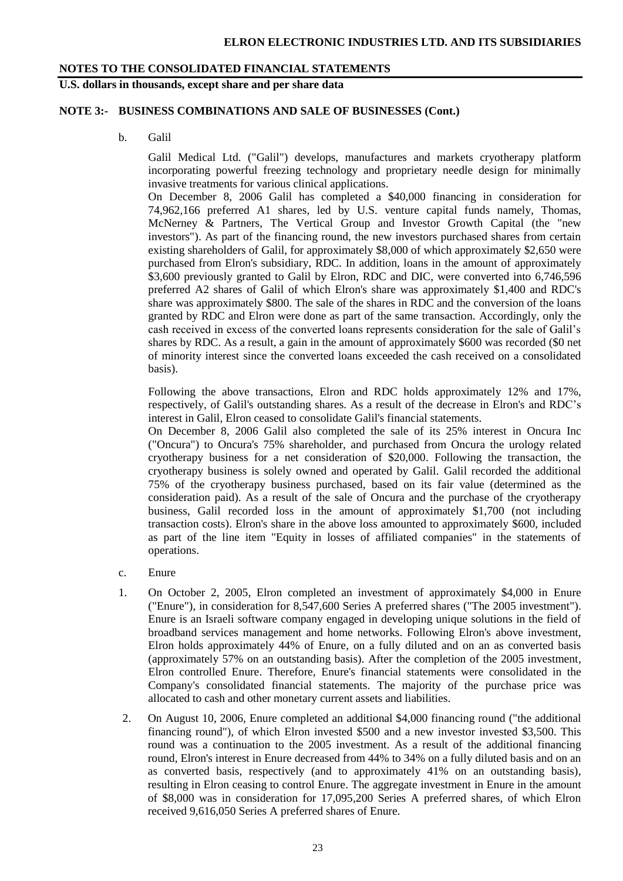### **U.S. dollars in thousands, except share and per share data**

#### **NOTE 3:- BUSINESS COMBINATIONS AND SALE OF BUSINESSES (Cont.)**

b. Galil

Galil Medical Ltd. ("Galil") develops, manufactures and markets cryotherapy platform incorporating powerful freezing technology and proprietary needle design for minimally invasive treatments for various clinical applications.

On December 8, 2006 Galil has completed a \$40,000 financing in consideration for 74,962,166 preferred A1 shares, led by U.S. venture capital funds namely, Thomas, McNerney & Partners, The Vertical Group and Investor Growth Capital (the "new investors"). As part of the financing round, the new investors purchased shares from certain existing shareholders of Galil, for approximately \$8,000 of which approximately \$2,650 were purchased from Elron's subsidiary, RDC. In addition, loans in the amount of approximately \$3,600 previously granted to Galil by Elron, RDC and DIC, were converted into 6,746,596 preferred A2 shares of Galil of which Elron's share was approximately \$1,400 and RDC's share was approximately \$800. The sale of the shares in RDC and the conversion of the loans granted by RDC and Elron were done as part of the same transaction. Accordingly, only the cash received in excess of the converted loans represents consideration for the sale of Galil's shares by RDC. As a result, a gain in the amount of approximately \$600 was recorded (\$0 net of minority interest since the converted loans exceeded the cash received on a consolidated basis).

Following the above transactions, Elron and RDC holds approximately 12% and 17%, respectively, of Galil's outstanding shares. As a result of the decrease in Elron's and RDC's interest in Galil, Elron ceased to consolidate Galil's financial statements.

On December 8, 2006 Galil also completed the sale of its 25% interest in Oncura Inc ("Oncura") to Oncura's 75% shareholder, and purchased from Oncura the urology related cryotherapy business for a net consideration of \$20,000. Following the transaction, the cryotherapy business is solely owned and operated by Galil. Galil recorded the additional 75% of the cryotherapy business purchased, based on its fair value (determined as the consideration paid). As a result of the sale of Oncura and the purchase of the cryotherapy business, Galil recorded loss in the amount of approximately \$1,700 (not including transaction costs). Elron's share in the above loss amounted to approximately \$600, included as part of the line item "Equity in losses of affiliated companies" in the statements of operations.

- c. Enure
- 1. On October 2, 2005, Elron completed an investment of approximately \$4,000 in Enure ("Enure"), in consideration for 8,547,600 Series A preferred shares ("The 2005 investment"). Enure is an Israeli software company engaged in developing unique solutions in the field of broadband services management and home networks. Following Elron's above investment, Elron holds approximately 44% of Enure, on a fully diluted and on an as converted basis (approximately 57% on an outstanding basis). After the completion of the 2005 investment, Elron controlled Enure. Therefore, Enure's financial statements were consolidated in the Company's consolidated financial statements. The majority of the purchase price was allocated to cash and other monetary current assets and liabilities.
- 2. On August 10, 2006, Enure completed an additional \$4,000 financing round ("the additional financing round"), of which Elron invested \$500 and a new investor invested \$3,500. This round was a continuation to the 2005 investment. As a result of the additional financing round, Elron's interest in Enure decreased from 44% to 34% on a fully diluted basis and on an as converted basis, respectively (and to approximately 41% on an outstanding basis), resulting in Elron ceasing to control Enure. The aggregate investment in Enure in the amount of \$8,000 was in consideration for 17,095,200 Series A preferred shares, of which Elron received 9,616,050 Series A preferred shares of Enure.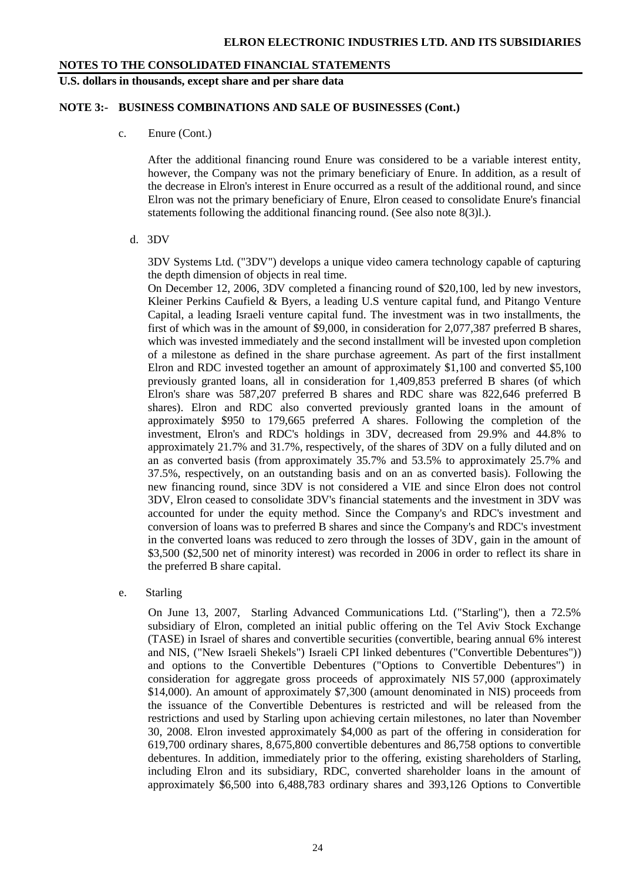#### **U.S. dollars in thousands, except share and per share data**

#### **NOTE 3:- BUSINESS COMBINATIONS AND SALE OF BUSINESSES (Cont.)**

c. Enure (Cont.)

After the additional financing round Enure was considered to be a variable interest entity, however, the Company was not the primary beneficiary of Enure. In addition, as a result of the decrease in Elron's interest in Enure occurred as a result of the additional round, and since Elron was not the primary beneficiary of Enure, Elron ceased to consolidate Enure's financial statements following the additional financing round. (See also note 8(3)l.).

d. 3DV

3DV Systems Ltd. ("3DV") develops a unique video camera technology capable of capturing the depth dimension of objects in real time.

On December 12, 2006, 3DV completed a financing round of \$20,100, led by new investors, Kleiner Perkins Caufield & Byers, a leading U.S venture capital fund, and Pitango Venture Capital, a leading Israeli venture capital fund. The investment was in two installments, the first of which was in the amount of \$9,000, in consideration for 2,077,387 preferred B shares, which was invested immediately and the second installment will be invested upon completion of a milestone as defined in the share purchase agreement. As part of the first installment Elron and RDC invested together an amount of approximately \$1,100 and converted \$5,100 previously granted loans, all in consideration for 1,409,853 preferred B shares (of which Elron's share was 587,207 preferred B shares and RDC share was 822,646 preferred B shares). Elron and RDC also converted previously granted loans in the amount of approximately \$950 to 179,665 preferred A shares. Following the completion of the investment, Elron's and RDC's holdings in 3DV, decreased from 29.9% and 44.8% to approximately 21.7% and 31.7%, respectively, of the shares of 3DV on a fully diluted and on an as converted basis (from approximately 35.7% and 53.5% to approximately 25.7% and 37.5%, respectively, on an outstanding basis and on an as converted basis). Following the new financing round, since 3DV is not considered a VIE and since Elron does not control 3DV, Elron ceased to consolidate 3DV's financial statements and the investment in 3DV was accounted for under the equity method. Since the Company's and RDC's investment and conversion of loans was to preferred B shares and since the Company's and RDC's investment in the converted loans was reduced to zero through the losses of 3DV, gain in the amount of \$3,500 (\$2,500 net of minority interest) was recorded in 2006 in order to reflect its share in the preferred B share capital.

e. Starling

On June 13, 2007, Starling Advanced Communications Ltd. ("Starling"), then a 72.5% subsidiary of Elron, completed an initial public offering on the Tel Aviv Stock Exchange (TASE) in Israel of shares and convertible securities (convertible, bearing annual 6% interest and NIS, ("New Israeli Shekels") Israeli CPI linked debentures ("Convertible Debentures")) and options to the Convertible Debentures ("Options to Convertible Debentures") in consideration for aggregate gross proceeds of approximately NIS 57,000 (approximately \$14,000). An amount of approximately \$7,300 (amount denominated in NIS) proceeds from the issuance of the Convertible Debentures is restricted and will be released from the restrictions and used by Starling upon achieving certain milestones, no later than November 30, 2008. Elron invested approximately \$4,000 as part of the offering in consideration for 619,700 ordinary shares, 8,675,800 convertible debentures and 86,758 options to convertible debentures. In addition, immediately prior to the offering, existing shareholders of Starling, including Elron and its subsidiary, RDC, converted shareholder loans in the amount of approximately \$6,500 into 6,488,783 ordinary shares and 393,126 Options to Convertible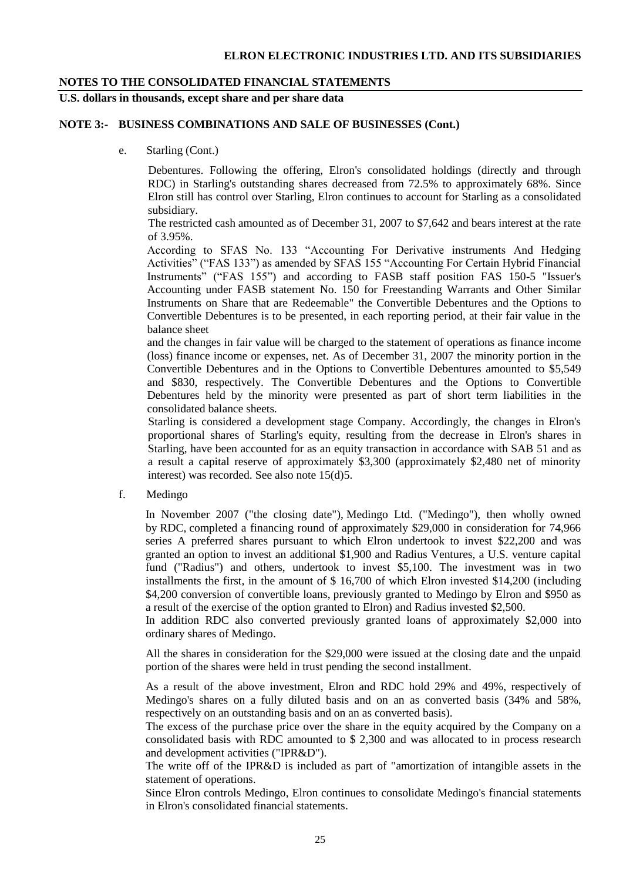**U.S. dollars in thousands, except share and per share data**

#### **NOTE 3:- BUSINESS COMBINATIONS AND SALE OF BUSINESSES (Cont.)**

e. Starling (Cont.)

Debentures. Following the offering, Elron's consolidated holdings (directly and through RDC) in Starling's outstanding shares decreased from 72.5% to approximately 68%. Since Elron still has control over Starling, Elron continues to account for Starling as a consolidated subsidiary.

The restricted cash amounted as of December 31, 2007 to \$7,642 and bears interest at the rate of 3.95%.

According to SFAS No. 133 "Accounting For Derivative instruments And Hedging Activities" ("FAS 133") as amended by SFAS 155 "Accounting For Certain Hybrid Financial Instruments" ("FAS 155") and according to FASB staff position FAS 150-5 "Issuer's Accounting under FASB statement No. 150 for Freestanding Warrants and Other Similar Instruments on Share that are Redeemable" the Convertible Debentures and the Options to Convertible Debentures is to be presented, in each reporting period, at their fair value in the balance sheet

and the changes in fair value will be charged to the statement of operations as finance income (loss) finance income or expenses, net. As of December 31, 2007 the minority portion in the Convertible Debentures and in the Options to Convertible Debentures amounted to \$5,549 and \$830, respectively. The Convertible Debentures and the Options to Convertible Debentures held by the minority were presented as part of short term liabilities in the consolidated balance sheets.

Starling is considered a development stage Company. Accordingly, the changes in Elron's proportional shares of Starling's equity, resulting from the decrease in Elron's shares in Starling, have been accounted for as an equity transaction in accordance with SAB 51 and as a result a capital reserve of approximately \$3,300 (approximately \$2,480 net of minority interest) was recorded. See also note 15(d)5.

f. Medingo

In November 2007 ("the closing date"), Medingo Ltd. ("Medingo"), then wholly owned by RDC, completed a financing round of approximately \$29,000 in consideration for 74,966 series A preferred shares pursuant to which Elron undertook to invest \$22,200 and was granted an option to invest an additional \$1,900 and Radius Ventures, a U.S. venture capital fund ("Radius") and others, undertook to invest \$5,100. The investment was in two installments the first, in the amount of \$ 16,700 of which Elron invested \$14,200 (including \$4,200 conversion of convertible loans, previously granted to Medingo by Elron and \$950 as a result of the exercise of the option granted to Elron) and Radius invested \$2,500.

In addition RDC also converted previously granted loans of approximately \$2,000 into ordinary shares of Medingo.

All the shares in consideration for the \$29,000 were issued at the closing date and the unpaid portion of the shares were held in trust pending the second installment.

As a result of the above investment, Elron and RDC hold 29% and 49%, respectively of Medingo's shares on a fully diluted basis and on an as converted basis (34% and 58%, respectively on an outstanding basis and on an as converted basis).

The excess of the purchase price over the share in the equity acquired by the Company on a consolidated basis with RDC amounted to \$ 2,300 and was allocated to in process research and development activities ("IPR&D").

The write off of the IPR&D is included as part of "amortization of intangible assets in the statement of operations.

Since Elron controls Medingo, Elron continues to consolidate Medingo's financial statements in Elron's consolidated financial statements.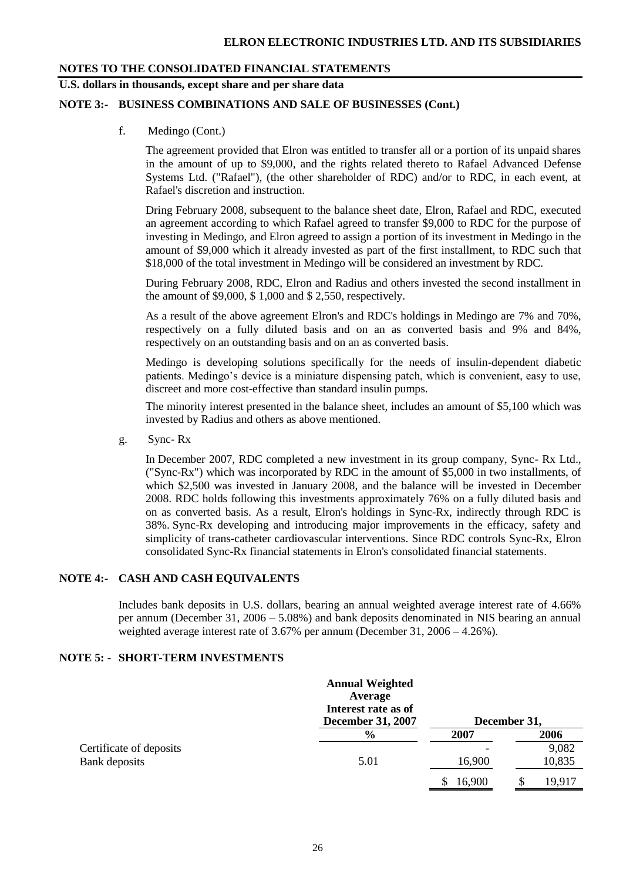## **U.S. dollars in thousands, except share and per share data**

#### **NOTE 3:- BUSINESS COMBINATIONS AND SALE OF BUSINESSES (Cont.)**

f. Medingo (Cont.)

The agreement provided that Elron was entitled to transfer all or a portion of its unpaid shares in the amount of up to \$9,000, and the rights related thereto to Rafael Advanced Defense Systems Ltd. ("Rafael"), (the other shareholder of RDC) and/or to RDC, in each event, at Rafael's discretion and instruction.

Dring February 2008, subsequent to the balance sheet date, Elron, Rafael and RDC, executed an agreement according to which Rafael agreed to transfer \$9,000 to RDC for the purpose of investing in Medingo, and Elron agreed to assign a portion of its investment in Medingo in the amount of \$9,000 which it already invested as part of the first installment, to RDC such that \$18,000 of the total investment in Medingo will be considered an investment by RDC.

During February 2008, RDC, Elron and Radius and others invested the second installment in the amount of \$9,000, \$ 1,000 and \$ 2,550, respectively.

As a result of the above agreement Elron's and RDC's holdings in Medingo are 7% and 70%, respectively on a fully diluted basis and on an as converted basis and 9% and 84%, respectively on an outstanding basis and on an as converted basis.

Medingo is developing solutions specifically for the needs of insulin-dependent diabetic patients. Medingo's device is a miniature dispensing patch, which is convenient, easy to use, discreet and more cost-effective than standard insulin pumps.

The minority interest presented in the balance sheet, includes an amount of \$5,100 which was invested by Radius and others as above mentioned.

g. Sync- Rx

In December 2007, RDC completed a new investment in its group company, Sync- Rx Ltd., ("Sync-Rx") which was incorporated by RDC in the amount of \$5,000 in two installments, of which \$2,500 was invested in January 2008, and the balance will be invested in December 2008. RDC holds following this investments approximately 76% on a fully diluted basis and on as converted basis. As a result, Elron's holdings in Sync-Rx, indirectly through RDC is 38%. Sync-Rx developing and introducing major improvements in the efficacy, safety and simplicity of trans-catheter cardiovascular interventions. Since RDC controls Sync-Rx, Elron consolidated Sync-Rx financial statements in Elron's consolidated financial statements.

#### **NOTE 4:- CASH AND CASH EQUIVALENTS**

Includes bank deposits in U.S. dollars, bearing an annual weighted average interest rate of 4.66% per annum (December 31, 2006 – 5.08%) and bank deposits denominated in NIS bearing an annual weighted average interest rate of 3.67% per annum (December 31, 2006 – 4.26%).

#### **NOTE 5: - SHORT-TERM INVESTMENTS**

|                         | <b>Annual Weighted</b><br>Average<br>Interest rate as of<br><b>December 31, 2007</b> |        | December 31, |
|-------------------------|--------------------------------------------------------------------------------------|--------|--------------|
|                         | $\frac{0}{0}$                                                                        | 2007   | 2006         |
| Certificate of deposits |                                                                                      |        | 9,082        |
| Bank deposits           | 5.01                                                                                 | 16,900 | 10,835       |
|                         |                                                                                      | 16,900 | 19,917       |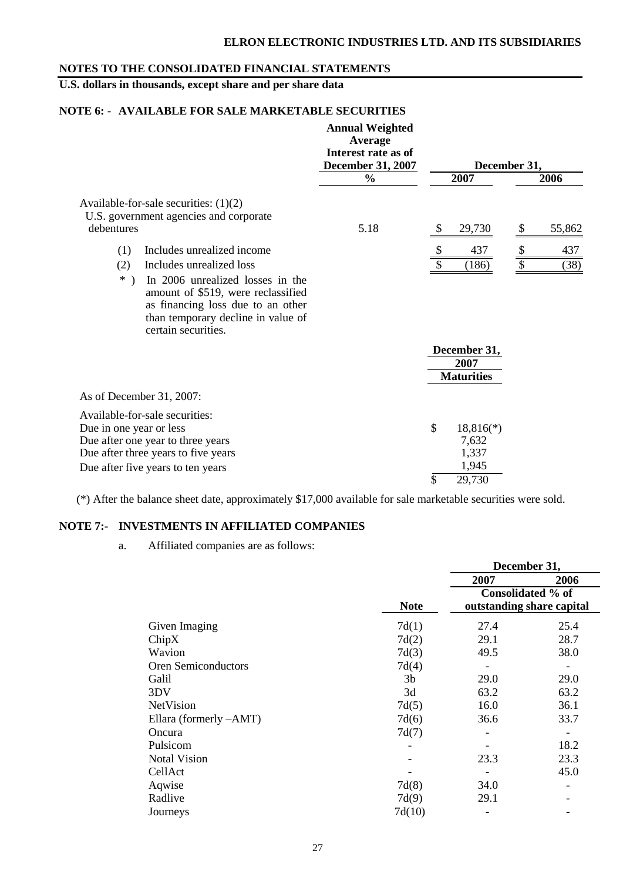## **U.S. dollars in thousands, except share and per share data**

## **NOTE 6: - AVAILABLE FOR SALE MARKETABLE SECURITIES**

|                                                                                                                                                                                   | <b>Annual Weighted</b><br>Average<br>Interest rate as of<br><b>December 31, 2007</b> |                                           | December 31, |
|-----------------------------------------------------------------------------------------------------------------------------------------------------------------------------------|--------------------------------------------------------------------------------------|-------------------------------------------|--------------|
|                                                                                                                                                                                   | $\frac{6}{6}$                                                                        | 2007                                      | 2006         |
| Available-for-sale securities: $(1)(2)$<br>U.S. government agencies and corporate<br>debentures                                                                                   | 5.18                                                                                 | <sup>\$</sup><br>29,730                   | 55,862<br>S  |
| Includes unrealized income<br>(1)                                                                                                                                                 |                                                                                      | 437                                       | \$<br>437    |
| (2)<br>Includes unrealized loss                                                                                                                                                   |                                                                                      | (186)                                     | \$<br>(38)   |
| $*$ )<br>In 2006 unrealized losses in the<br>amount of \$519, were reclassified<br>as financing loss due to an other<br>than temporary decline in value of<br>certain securities. |                                                                                      |                                           |              |
|                                                                                                                                                                                   |                                                                                      | December 31,<br>2007<br><b>Maturities</b> |              |
| As of December 31, 2007:                                                                                                                                                          |                                                                                      |                                           |              |
| Available-for-sale securities:<br>Due in one year or less<br>Due after one year to three years<br>Due after three years to five years                                             |                                                                                      | \$<br>$18,816(*)$<br>7,632<br>1,337       |              |
| Due after five years to ten years                                                                                                                                                 |                                                                                      | 1,945<br>\$<br>29,730                     |              |

(\*) After the balance sheet date, approximately \$17,000 available for sale marketable securities were sold.

#### **NOTE 7:- INVESTMENTS IN AFFILIATED COMPANIES**

a. Affiliated companies are as follows:

|                            |             | December 31,              |                   |  |  |
|----------------------------|-------------|---------------------------|-------------------|--|--|
|                            |             | 2007                      | 2006              |  |  |
|                            |             |                           | Consolidated % of |  |  |
|                            | <b>Note</b> | outstanding share capital |                   |  |  |
| Given Imaging              | 7d(1)       | 27.4                      | 25.4              |  |  |
| ChipX                      | 7d(2)       | 29.1                      | 28.7              |  |  |
| Wavion                     | 7d(3)       | 49.5                      | 38.0              |  |  |
| <b>Oren Semiconductors</b> | 7d(4)       |                           |                   |  |  |
| Galil                      | 3b          | 29.0                      | 29.0              |  |  |
| 3DV                        | 3d          | 63.2                      | 63.2              |  |  |
| <b>NetVision</b>           | 7d(5)       | 16.0                      | 36.1              |  |  |
| Ellara (formerly -AMT)     | 7d(6)       | 36.6                      | 33.7              |  |  |
| Oncura                     | 7d(7)       |                           |                   |  |  |
| Pulsicom                   |             |                           | 18.2              |  |  |
| <b>Notal Vision</b>        |             | 23.3                      | 23.3              |  |  |
| CellAct                    |             |                           | 45.0              |  |  |
| Aqwise                     | 7d(8)       | 34.0                      |                   |  |  |
| Radlive                    | 7d(9)       | 29.1                      |                   |  |  |
| Journeys                   | 7d(10)      |                           |                   |  |  |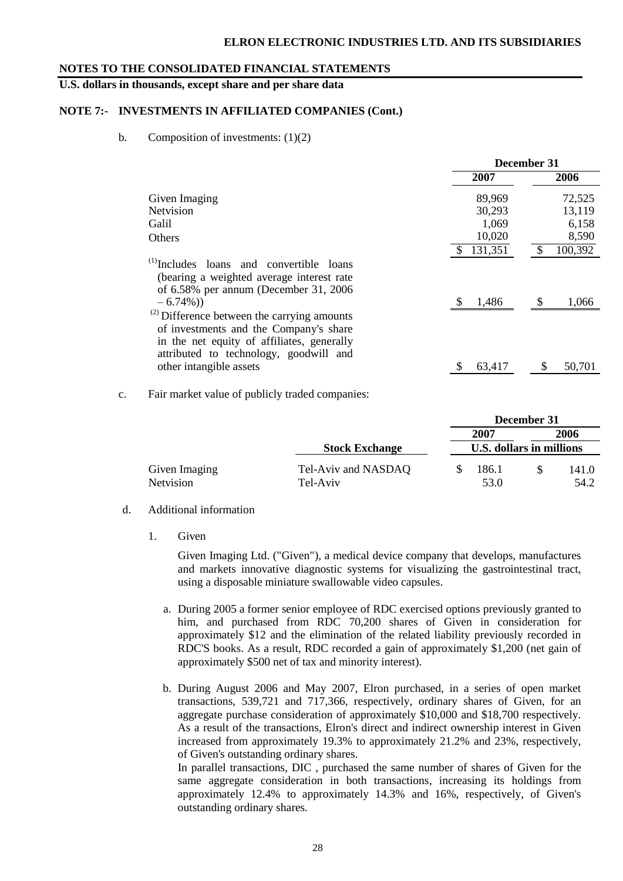#### **ELRON ELECTRONIC INDUSTRIES LTD. AND ITS SUBSIDIARIES**

#### **NOTES TO THE CONSOLIDATED FINANCIAL STATEMENTS**

#### **U.S. dollars in thousands, except share and per share data**

#### **NOTE 7:- INVESTMENTS IN AFFILIATED COMPANIES (Cont.)**

b. Composition of investments:  $(1)(2)$ 

|                                                                                                                                                                                    | December 31 |         |  |  |
|------------------------------------------------------------------------------------------------------------------------------------------------------------------------------------|-------------|---------|--|--|
|                                                                                                                                                                                    | 2007        | 2006    |  |  |
| Given Imaging                                                                                                                                                                      | 89,969      | 72,525  |  |  |
| <b>Netvision</b>                                                                                                                                                                   | 30,293      | 13,119  |  |  |
| Galil                                                                                                                                                                              | 1,069       | 6,158   |  |  |
| <b>Others</b>                                                                                                                                                                      | 10,020      | 8,590   |  |  |
|                                                                                                                                                                                    | 131,351     | 100,392 |  |  |
| <sup>(1)</sup> Includes loans and convertible loans<br>(bearing a weighted average interest rate<br>of 6.58% per annum (December 31, 2006)<br>$-6.74\%)$                           | 1,486       | 1,066   |  |  |
| $^{(2)}$ Difference between the carrying amounts<br>of investments and the Company's share<br>in the net equity of affiliates, generally<br>attributed to technology, goodwill and |             |         |  |  |
| other intangible assets                                                                                                                                                            | 63,417      | 50,701  |  |  |

c. Fair market value of publicly traded companies:

|               |                       |                          | December 31 |       |  |  |
|---------------|-----------------------|--------------------------|-------------|-------|--|--|
|               |                       | 2007                     |             | 2006  |  |  |
|               | <b>Stock Exchange</b> | U.S. dollars in millions |             |       |  |  |
| Given Imaging | Tel-Aviv and NASDAQ   | 186.1                    |             | 141.0 |  |  |
| Netvision     | Tel-Aviv              | 53.0                     |             | 54.2  |  |  |

#### d. Additional information

1. Given

Given Imaging Ltd. ("Given"), a medical device company that develops, manufactures and markets innovative diagnostic systems for visualizing the gastrointestinal tract, using a disposable miniature swallowable video capsules.

- a. During 2005 a former senior employee of RDC exercised options previously granted to him, and purchased from RDC 70,200 shares of Given in consideration for approximately \$12 and the elimination of the related liability previously recorded in RDC'S books. As a result, RDC recorded a gain of approximately \$1,200 (net gain of approximately \$500 net of tax and minority interest).
- b. During August 2006 and May 2007, Elron purchased, in a series of open market transactions, 539,721 and 717,366, respectively, ordinary shares of Given, for an aggregate purchase consideration of approximately \$10,000 and \$18,700 respectively. As a result of the transactions, Elron's direct and indirect ownership interest in Given increased from approximately 19.3% to approximately 21.2% and 23%, respectively, of Given's outstanding ordinary shares.

In parallel transactions, DIC , purchased the same number of shares of Given for the same aggregate consideration in both transactions, increasing its holdings from approximately 12.4% to approximately 14.3% and 16%, respectively, of Given's outstanding ordinary shares.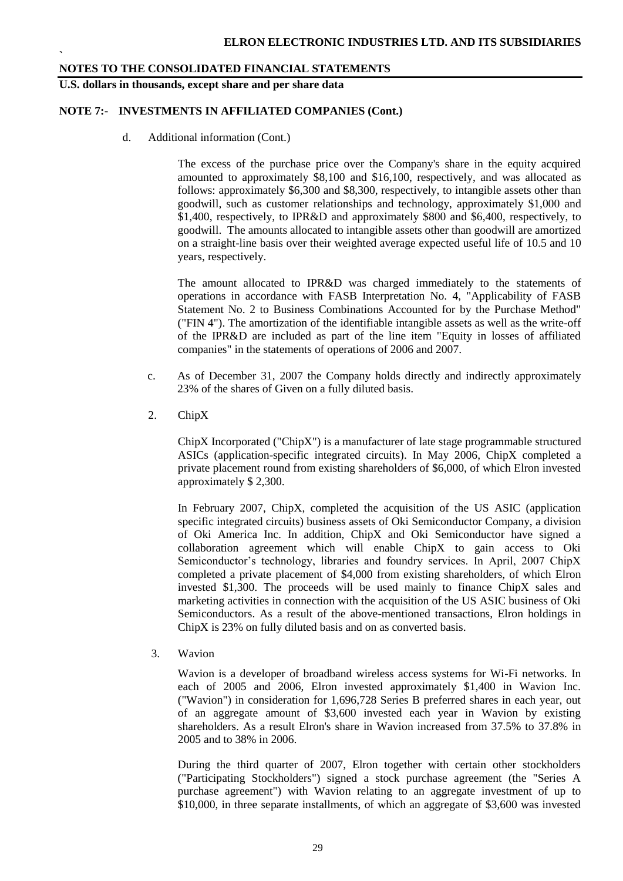**U.S. dollars in thousands, except share and per share data**

**`**

#### **NOTE 7:- INVESTMENTS IN AFFILIATED COMPANIES (Cont.)**

d. Additional information (Cont.)

The excess of the purchase price over the Company's share in the equity acquired amounted to approximately \$8,100 and \$16,100, respectively, and was allocated as follows: approximately \$6,300 and \$8,300, respectively, to intangible assets other than goodwill, such as customer relationships and technology, approximately \$1,000 and \$1,400, respectively, to IPR&D and approximately \$800 and \$6,400, respectively, to goodwill. The amounts allocated to intangible assets other than goodwill are amortized on a straight-line basis over their weighted average expected useful life of 10.5 and 10 years, respectively.

The amount allocated to IPR&D was charged immediately to the statements of operations in accordance with FASB Interpretation No. 4, "Applicability of FASB Statement No. 2 to Business Combinations Accounted for by the Purchase Method" ("FIN 4"). The amortization of the identifiable intangible assets as well as the write-off of the IPR&D are included as part of the line item "Equity in losses of affiliated companies" in the statements of operations of 2006 and 2007.

- c. As of December 31, 2007 the Company holds directly and indirectly approximately 23% of the shares of Given on a fully diluted basis.
- 2. ChipX

ChipX Incorporated ("ChipX") is a manufacturer of late stage programmable structured ASICs (application-specific integrated circuits). In May 2006, ChipX completed a private placement round from existing shareholders of \$6,000, of which Elron invested approximately \$ 2,300.

In February 2007, ChipX, completed the acquisition of the US ASIC (application specific integrated circuits) business assets of Oki Semiconductor Company, a division of Oki America Inc. In addition, ChipX and Oki Semiconductor have signed a collaboration agreement which will enable ChipX to gain access to Oki Semiconductor's technology, libraries and foundry services. In April, 2007 ChipX completed a private placement of \$4,000 from existing shareholders, of which Elron invested \$1,300. The proceeds will be used mainly to finance ChipX sales and marketing activities in connection with the acquisition of the US ASIC business of Oki Semiconductors. As a result of the above-mentioned transactions, Elron holdings in ChipX is 23% on fully diluted basis and on as converted basis.

3. Wavion

Wavion is a developer of broadband wireless access systems for Wi-Fi networks. In each of 2005 and 2006, Elron invested approximately \$1,400 in Wavion Inc. ("Wavion") in consideration for 1,696,728 Series B preferred shares in each year, out of an aggregate amount of \$3,600 invested each year in Wavion by existing shareholders. As a result Elron's share in Wavion increased from 37.5% to 37.8% in 2005 and to 38% in 2006.

During the third quarter of 2007, Elron together with certain other stockholders ("Participating Stockholders") signed a stock purchase agreement (the "Series A purchase agreement") with Wavion relating to an aggregate investment of up to \$10,000, in three separate installments, of which an aggregate of \$3,600 was invested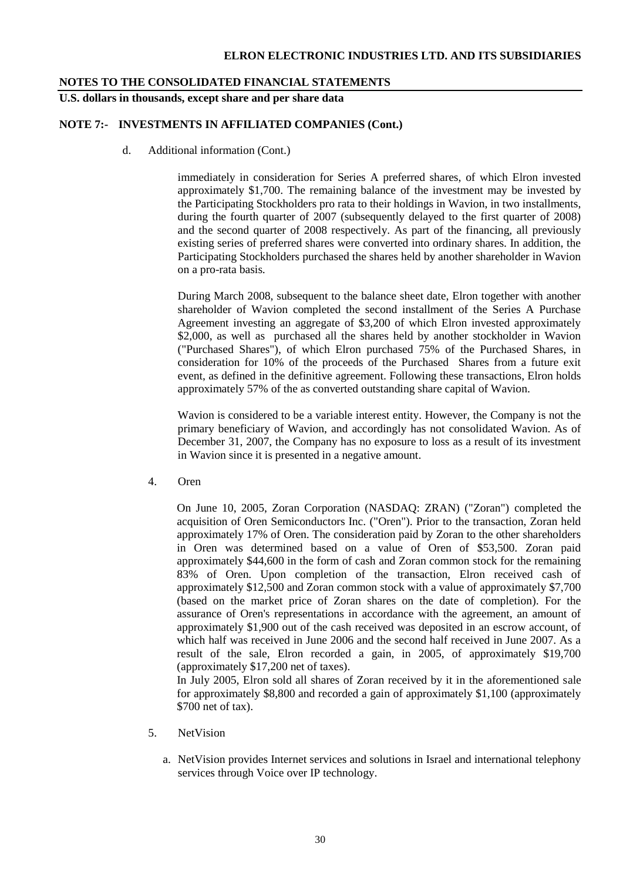#### **ELRON ELECTRONIC INDUSTRIES LTD. AND ITS SUBSIDIARIES**

#### **NOTES TO THE CONSOLIDATED FINANCIAL STATEMENTS**

**U.S. dollars in thousands, except share and per share data**

#### **NOTE 7:- INVESTMENTS IN AFFILIATED COMPANIES (Cont.)**

d. Additional information (Cont.)

immediately in consideration for Series A preferred shares, of which Elron invested approximately \$1,700. The remaining balance of the investment may be invested by the Participating Stockholders pro rata to their holdings in Wavion, in two installments, during the fourth quarter of 2007 (subsequently delayed to the first quarter of 2008) and the second quarter of 2008 respectively. As part of the financing, all previously existing series of preferred shares were converted into ordinary shares. In addition, the Participating Stockholders purchased the shares held by another shareholder in Wavion on a pro-rata basis.

During March 2008, subsequent to the balance sheet date, Elron together with another shareholder of Wavion completed the second installment of the Series A Purchase Agreement investing an aggregate of \$3,200 of which Elron invested approximately \$2,000, as well as purchased all the shares held by another stockholder in Wavion ("Purchased Shares"), of which Elron purchased 75% of the Purchased Shares, in consideration for 10% of the proceeds of the Purchased Shares from a future exit event, as defined in the definitive agreement. Following these transactions, Elron holds approximately 57% of the as converted outstanding share capital of Wavion.

Wavion is considered to be a variable interest entity. However, the Company is not the primary beneficiary of Wavion, and accordingly has not consolidated Wavion. As of December 31, 2007, the Company has no exposure to loss as a result of its investment in Wavion since it is presented in a negative amount.

4. Oren

On June 10, 2005, Zoran Corporation (NASDAQ: ZRAN) ("Zoran") completed the acquisition of Oren Semiconductors Inc. ("Oren"). Prior to the transaction, Zoran held approximately 17% of Oren. The consideration paid by Zoran to the other shareholders in Oren was determined based on a value of Oren of \$53,500. Zoran paid approximately \$44,600 in the form of cash and Zoran common stock for the remaining 83% of Oren. Upon completion of the transaction, Elron received cash of approximately \$12,500 and Zoran common stock with a value of approximately \$7,700 (based on the market price of Zoran shares on the date of completion). For the assurance of Oren's representations in accordance with the agreement, an amount of approximately \$1,900 out of the cash received was deposited in an escrow account, of which half was received in June 2006 and the second half received in June 2007. As a result of the sale, Elron recorded a gain, in 2005, of approximately \$19,700 (approximately \$17,200 net of taxes).

In July 2005, Elron sold all shares of Zoran received by it in the aforementioned sale for approximately \$8,800 and recorded a gain of approximately \$1,100 (approximately \$700 net of tax).

- 5. NetVision
	- a. NetVision provides Internet services and solutions in Israel and international telephony services through Voice over IP technology.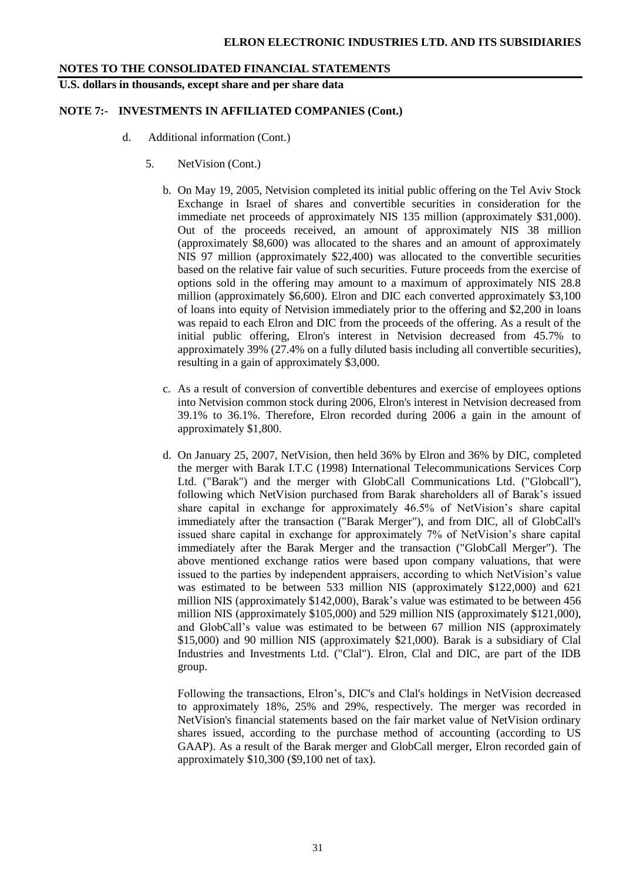**U.S. dollars in thousands, except share and per share data**

#### **NOTE 7:- INVESTMENTS IN AFFILIATED COMPANIES (Cont.)**

- d. Additional information (Cont.)
	- 5. NetVision (Cont.)
		- b. On May 19, 2005, Netvision completed its initial public offering on the Tel Aviv Stock Exchange in Israel of shares and convertible securities in consideration for the immediate net proceeds of approximately NIS 135 million (approximately \$31,000). Out of the proceeds received, an amount of approximately NIS 38 million (approximately \$8,600) was allocated to the shares and an amount of approximately NIS 97 million (approximately \$22,400) was allocated to the convertible securities based on the relative fair value of such securities. Future proceeds from the exercise of options sold in the offering may amount to a maximum of approximately NIS 28.8 million (approximately \$6,600). Elron and DIC each converted approximately \$3,100 of loans into equity of Netvision immediately prior to the offering and \$2,200 in loans was repaid to each Elron and DIC from the proceeds of the offering. As a result of the initial public offering, Elron's interest in Netvision decreased from 45.7% to approximately 39% (27.4% on a fully diluted basis including all convertible securities), resulting in a gain of approximately \$3,000.
		- c. As a result of conversion of convertible debentures and exercise of employees options into Netvision common stock during 2006, Elron's interest in Netvision decreased from 39.1% to 36.1%. Therefore, Elron recorded during 2006 a gain in the amount of approximately \$1,800.
		- d. On January 25, 2007, NetVision, then held 36% by Elron and 36% by DIC, completed the merger with Barak I.T.C (1998) International Telecommunications Services Corp Ltd. ("Barak") and the merger with GlobCall Communications Ltd. ("Globcall"), following which NetVision purchased from Barak shareholders all of Barak's issued share capital in exchange for approximately 46.5% of NetVision's share capital immediately after the transaction ("Barak Merger"), and from DIC, all of GlobCall's issued share capital in exchange for approximately 7% of NetVision's share capital immediately after the Barak Merger and the transaction ("GlobCall Merger"). The above mentioned exchange ratios were based upon company valuations, that were issued to the parties by independent appraisers, according to which NetVision's value was estimated to be between 533 million NIS (approximately \$122,000) and 621 million NIS (approximately \$142,000), Barak's value was estimated to be between 456 million NIS (approximately \$105,000) and 529 million NIS (approximately \$121,000), and GlobCall's value was estimated to be between 67 million NIS (approximately \$15,000) and 90 million NIS (approximately \$21,000). Barak is a subsidiary of Clal Industries and Investments Ltd. ("Clal"). Elron, Clal and DIC, are part of the IDB group.

Following the transactions, Elron's, DIC's and Clal's holdings in NetVision decreased to approximately 18%, 25% and 29%, respectively. The merger was recorded in NetVision's financial statements based on the fair market value of NetVision ordinary shares issued, according to the purchase method of accounting (according to US GAAP). As a result of the Barak merger and GlobCall merger, Elron recorded gain of approximately \$10,300 (\$9,100 net of tax).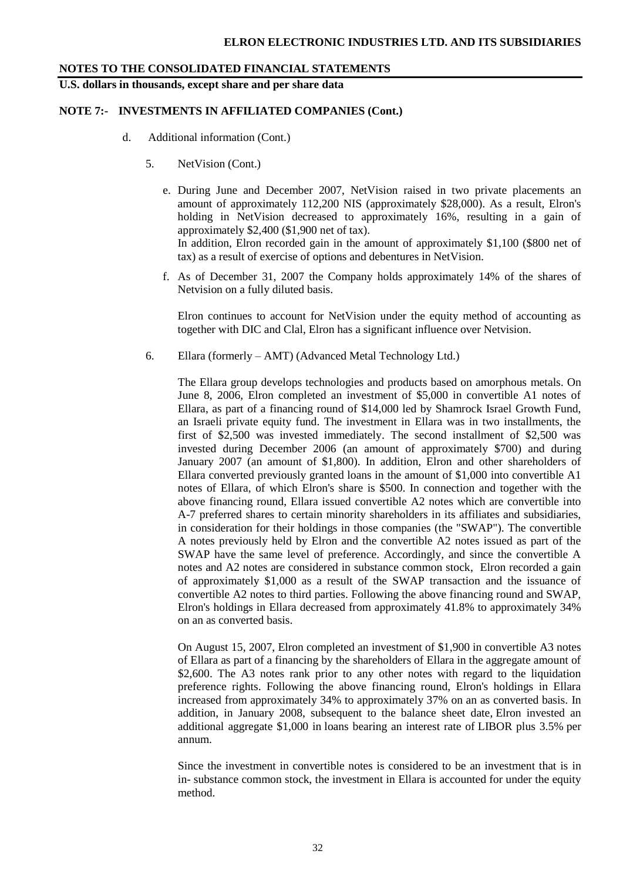**U.S. dollars in thousands, except share and per share data**

#### **NOTE 7:- INVESTMENTS IN AFFILIATED COMPANIES (Cont.)**

- d. Additional information (Cont.)
	- 5. NetVision (Cont.)
		- e. During June and December 2007, NetVision raised in two private placements an amount of approximately 112,200 NIS (approximately \$28,000). As a result, Elron's holding in NetVision decreased to approximately 16%, resulting in a gain of approximately \$2,400 (\$1,900 net of tax). In addition, Elron recorded gain in the amount of approximately \$1,100 (\$800 net of tax) as a result of exercise of options and debentures in NetVision.
		- f. As of December 31, 2007 the Company holds approximately 14% of the shares of Netvision on a fully diluted basis.

Elron continues to account for NetVision under the equity method of accounting as together with DIC and Clal, Elron has a significant influence over Netvision.

6. Ellara (formerly – AMT) (Advanced Metal Technology Ltd.)

The Ellara group develops technologies and products based on amorphous metals. On June 8, 2006, Elron completed an investment of \$5,000 in convertible A1 notes of Ellara, as part of a financing round of \$14,000 led by Shamrock Israel Growth Fund, an Israeli private equity fund. The investment in Ellara was in two installments, the first of \$2,500 was invested immediately. The second installment of \$2,500 was invested during December 2006 (an amount of approximately \$700) and during January 2007 (an amount of \$1,800). In addition, Elron and other shareholders of Ellara converted previously granted loans in the amount of \$1,000 into convertible A1 notes of Ellara, of which Elron's share is \$500. In connection and together with the above financing round, Ellara issued convertible A2 notes which are convertible into A-7 preferred shares to certain minority shareholders in its affiliates and subsidiaries, in consideration for their holdings in those companies (the "SWAP"). The convertible A notes previously held by Elron and the convertible A2 notes issued as part of the SWAP have the same level of preference. Accordingly, and since the convertible A notes and A2 notes are considered in substance common stock, Elron recorded a gain of approximately \$1,000 as a result of the SWAP transaction and the issuance of convertible A2 notes to third parties. Following the above financing round and SWAP, Elron's holdings in Ellara decreased from approximately 41.8% to approximately 34% on an as converted basis.

On August 15, 2007, Elron completed an investment of \$1,900 in convertible A3 notes of Ellara as part of a financing by the shareholders of Ellara in the aggregate amount of \$2,600. The A3 notes rank prior to any other notes with regard to the liquidation preference rights. Following the above financing round, Elron's holdings in Ellara increased from approximately 34% to approximately 37% on an as converted basis. In addition, in January 2008, subsequent to the balance sheet date, Elron invested an additional aggregate \$1,000 in loans bearing an interest rate of LIBOR plus 3.5% per annum.

Since the investment in convertible notes is considered to be an investment that is in in- substance common stock, the investment in Ellara is accounted for under the equity method.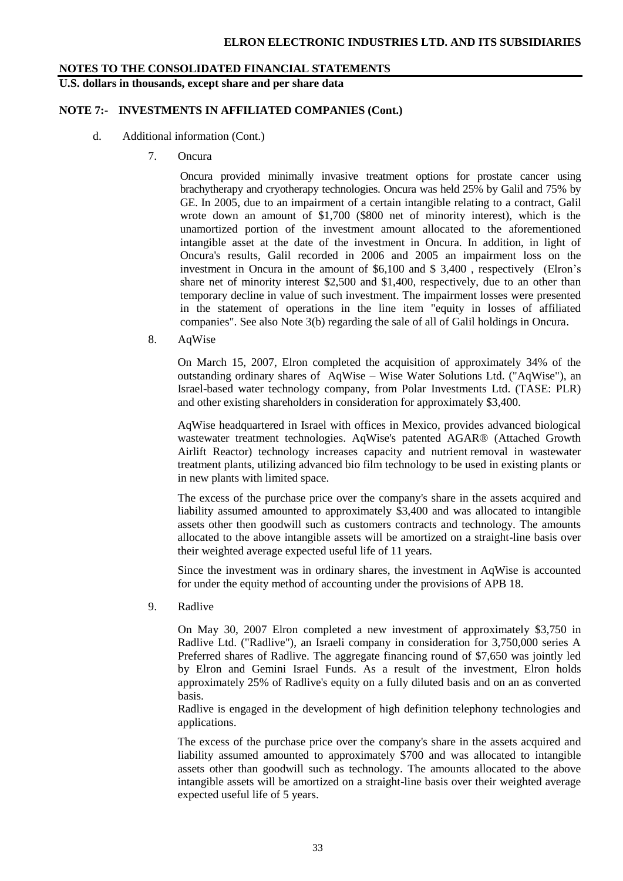**U.S. dollars in thousands, except share and per share data**

#### **NOTE 7:- INVESTMENTS IN AFFILIATED COMPANIES (Cont.)**

- d. Additional information (Cont.)
	- 7. Oncura

Oncura provided minimally invasive treatment options for prostate cancer using brachytherapy and cryotherapy technologies. Oncura was held 25% by Galil and 75% by GE. In 2005, due to an impairment of a certain intangible relating to a contract, Galil wrote down an amount of \$1,700 (\$800 net of minority interest), which is the unamortized portion of the investment amount allocated to the aforementioned intangible asset at the date of the investment in Oncura. In addition, in light of Oncura's results, Galil recorded in 2006 and 2005 an impairment loss on the investment in Oncura in the amount of \$6,100 and \$ 3,400 , respectively (Elron's share net of minority interest \$2,500 and \$1,400, respectively, due to an other than temporary decline in value of such investment. The impairment losses were presented in the statement of operations in the line item "equity in losses of affiliated companies". See also Note 3(b) regarding the sale of all of Galil holdings in Oncura.

8. AqWise

On March 15, 2007, Elron completed the acquisition of approximately 34% of the outstanding ordinary shares of AqWise – Wise Water Solutions Ltd. ("AqWise"), an Israel-based water technology company, from Polar Investments Ltd. (TASE: PLR) and other existing shareholders in consideration for approximately \$3,400.

AqWise headquartered in Israel with offices in Mexico, provides advanced biological wastewater treatment technologies. AqWise's patented AGAR® (Attached Growth Airlift Reactor) technology increases capacity and nutrient removal in wastewater treatment plants, utilizing advanced bio film technology to be used in existing plants or in new plants with limited space.

The excess of the purchase price over the company's share in the assets acquired and liability assumed amounted to approximately \$3,400 and was allocated to intangible assets other then goodwill such as customers contracts and technology. The amounts allocated to the above intangible assets will be amortized on a straight-line basis over their weighted average expected useful life of 11 years.

Since the investment was in ordinary shares, the investment in AqWise is accounted for under the equity method of accounting under the provisions of APB 18.

9. Radlive

On May 30, 2007 Elron completed a new investment of approximately \$3,750 in Radlive Ltd. ("Radlive"), an Israeli company in consideration for 3,750,000 series A Preferred shares of Radlive. The aggregate financing round of \$7,650 was jointly led by Elron and Gemini Israel Funds. As a result of the investment, Elron holds approximately 25% of Radlive's equity on a fully diluted basis and on an as converted basis.

Radlive is engaged in the development of high definition telephony technologies and applications.

The excess of the purchase price over the company's share in the assets acquired and liability assumed amounted to approximately \$700 and was allocated to intangible assets other than goodwill such as technology. The amounts allocated to the above intangible assets will be amortized on a straight-line basis over their weighted average expected useful life of 5 years.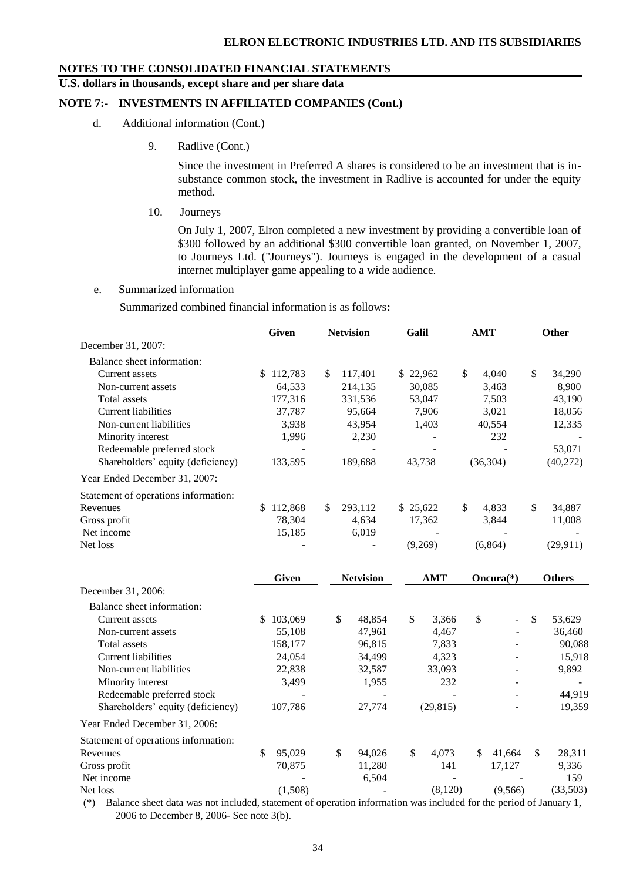#### **U.S. dollars in thousands, except share and per share data**

## **NOTE 7:- INVESTMENTS IN AFFILIATED COMPANIES (Cont.)**

- d. Additional information (Cont.)
	- 9. Radlive (Cont.)

Since the investment in Preferred A shares is considered to be an investment that is insubstance common stock, the investment in Radlive is accounted for under the equity method.

10. Journeys

On July 1, 2007, Elron completed a new investment by providing a convertible loan of \$300 followed by an additional \$300 convertible loan granted, on November 1, 2007, to Journeys Ltd. ("Journeys"). Journeys is engaged in the development of a casual internet multiplayer game appealing to a wide audience.

#### e. Summarized information

Summarized combined financial information is as follows**:**

|                                      | <b>Given</b> |    | <b>Netvision</b>         | Galil       |              | <b>AMT</b> |              | Other         |
|--------------------------------------|--------------|----|--------------------------|-------------|--------------|------------|--------------|---------------|
| December 31, 2007:                   |              |    |                          |             |              |            |              |               |
| Balance sheet information:           |              |    |                          |             |              |            |              |               |
| Current assets                       | \$112,783    | \$ | 117,401                  | \$22,962    | $\mathbb{S}$ |            | 4,040        | \$<br>34,290  |
| Non-current assets                   | 64,533       |    | 214,135                  | 30,085      |              |            | 3,463        | 8,900         |
| Total assets                         | 177,316      |    | 331,536                  | 53,047      |              |            | 7,503        | 43,190        |
| <b>Current liabilities</b>           | 37,787       |    | 95,664                   | 7,906       |              |            | 3,021        | 18,056        |
| Non-current liabilities              | 3,938        |    | 43,954                   | 1,403       |              |            | 40,554       | 12,335        |
| Minority interest                    | 1,996        |    | 2,230                    |             |              |            | 232          |               |
| Redeemable preferred stock           |              |    |                          |             |              |            |              | 53,071        |
| Shareholders' equity (deficiency)    | 133,595      |    | 189,688                  | 43,738      |              |            | (36, 304)    | (40,272)      |
| Year Ended December 31, 2007:        |              |    |                          |             |              |            |              |               |
| Statement of operations information: |              |    |                          |             |              |            |              |               |
| Revenues                             | \$112,868    | \$ | 293,112                  | \$25,622    | \$           |            | 4,833        | \$<br>34,887  |
| Gross profit                         | 78,304       |    | 4,634                    | 17,362      |              |            | 3,844        | 11,008        |
| Net income                           | 15,185       |    | 6,019                    |             |              |            |              |               |
| Net loss                             |              |    | $\overline{\phantom{a}}$ | (9,269)     |              |            | (6,864)      | (29, 911)     |
|                                      |              |    |                          |             |              |            |              |               |
|                                      | <b>Given</b> |    | <b>Netvision</b>         | <b>AMT</b>  |              |            | Oncura $(*)$ | <b>Others</b> |
| December 31, 2006:                   |              |    |                          |             |              |            |              |               |
| Balance sheet information:           |              |    |                          |             |              |            |              |               |
| Current assets                       | \$103,069    | \$ | 48,854                   | \$<br>3,366 |              | \$         |              | \$<br>53,629  |
| Non-current assets                   | 55,108       |    | 47,961                   | 4,467       |              |            |              | 36,460        |
| <b>Total assets</b>                  | 158,177      |    | 96,815                   | 7,833       |              |            |              | 90,088        |
| <b>Current liabilities</b>           | 24,054       |    | 34,499                   | 4,323       |              |            |              | 15,918        |
| Non-current liabilities              | 22,838       |    | 32,587                   | 33,093      |              |            |              | 9,892         |
| Minority interest                    | 3,499        |    | 1,955                    | 232         |              |            |              |               |
| Redeemable preferred stock           |              |    |                          |             |              |            |              | 44,919        |
| Shareholders' equity (deficiency)    | 107,786      |    | 27,774                   | (29, 815)   |              |            |              | 19,359        |
| Year Ended December 31, 2006:        |              |    |                          |             |              |            |              |               |
| Statement of operations information: |              |    |                          |             |              |            |              |               |
| Revenues                             | \$<br>95,029 | \$ | 94,026                   | \$<br>4,073 |              | \$         | 41,664       | \$<br>28,311  |
| Gross profit                         | 70,875       |    | 11,280                   | 141         |              |            | 17,127       | 9,336         |
| Net income                           |              |    | 6,504                    |             |              |            |              | 159           |
| Net loss                             | (1,508)      |    |                          | (8,120)     |              |            | (9,566)      | (33,503)      |

(\*) Balance sheet data was not included, statement of operation information was included for the period of January 1, 2006 to December 8, 2006- See note 3(b).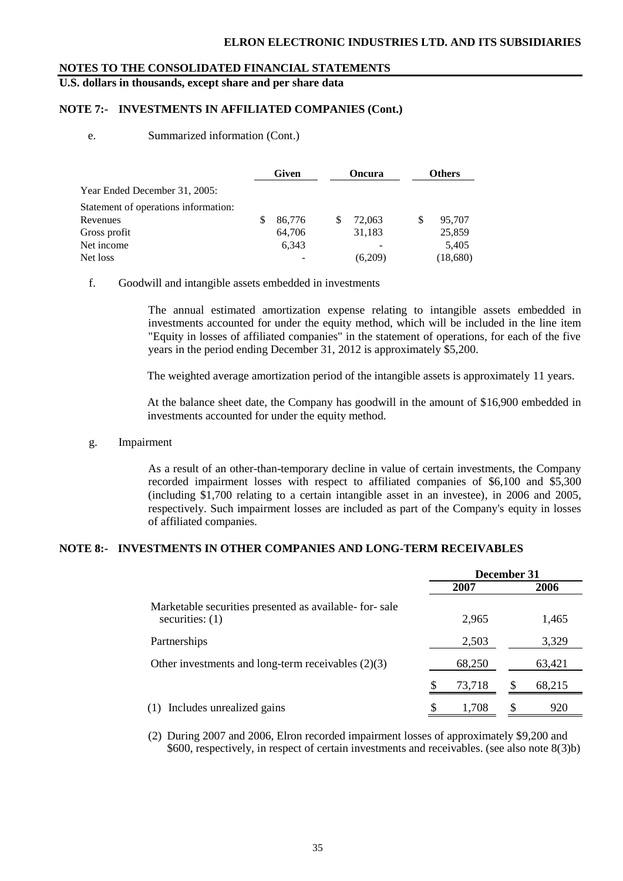#### **ELRON ELECTRONIC INDUSTRIES LTD. AND ITS SUBSIDIARIES**

#### **NOTES TO THE CONSOLIDATED FINANCIAL STATEMENTS**

**U.S. dollars in thousands, except share and per share data**

## **NOTE 7:- INVESTMENTS IN AFFILIATED COMPANIES (Cont.)**

#### e. Summarized information (Cont.)

|                                      |   | Given  |   | <b>Oncura</b> |   | <b>Others</b> |
|--------------------------------------|---|--------|---|---------------|---|---------------|
| Year Ended December 31, 2005:        |   |        |   |               |   |               |
| Statement of operations information: |   |        |   |               |   |               |
| Revenues                             | S | 86,776 | S | 72,063        | S | 95,707        |
| Gross profit                         |   | 64,706 |   | 31,183        |   | 25,859        |
| Net income                           |   | 6.343  |   |               |   | 5,405         |
| Net loss                             |   |        |   | (6,209)       |   | (18,680)      |

#### f. Goodwill and intangible assets embedded in investments

The annual estimated amortization expense relating to intangible assets embedded in investments accounted for under the equity method, which will be included in the line item "Equity in losses of affiliated companies" in the statement of operations, for each of the five years in the period ending December 31, 2012 is approximately \$5,200.

The weighted average amortization period of the intangible assets is approximately 11 years.

At the balance sheet date, the Company has goodwill in the amount of \$16,900 embedded in investments accounted for under the equity method.

#### g. Impairment

As a result of an other-than-temporary decline in value of certain investments, the Company recorded impairment losses with respect to affiliated companies of \$6,100 and \$5,300 (including \$1,700 relating to a certain intangible asset in an investee), in 2006 and 2005, respectively. Such impairment losses are included as part of the Company's equity in losses of affiliated companies.

#### **NOTE 8:- INVESTMENTS IN OTHER COMPANIES AND LONG-TERM RECEIVABLES**

|                                                                             | December 31 |              |  |  |
|-----------------------------------------------------------------------------|-------------|--------------|--|--|
|                                                                             | 2007        | 2006         |  |  |
| Marketable securities presented as available- for-sale<br>securities: $(1)$ | 2,965       | 1,465        |  |  |
| Partnerships                                                                | 2,503       | 3,329        |  |  |
| Other investments and long-term receivables $(2)(3)$                        | 68,250      | 63,421       |  |  |
|                                                                             | 73.718      | -S<br>68,215 |  |  |
| Includes unrealized gains                                                   | S<br>1,708  | \$<br>920    |  |  |

(2) During 2007 and 2006, Elron recorded impairment losses of approximately \$9,200 and \$600, respectively, in respect of certain investments and receivables. (see also note 8(3)b)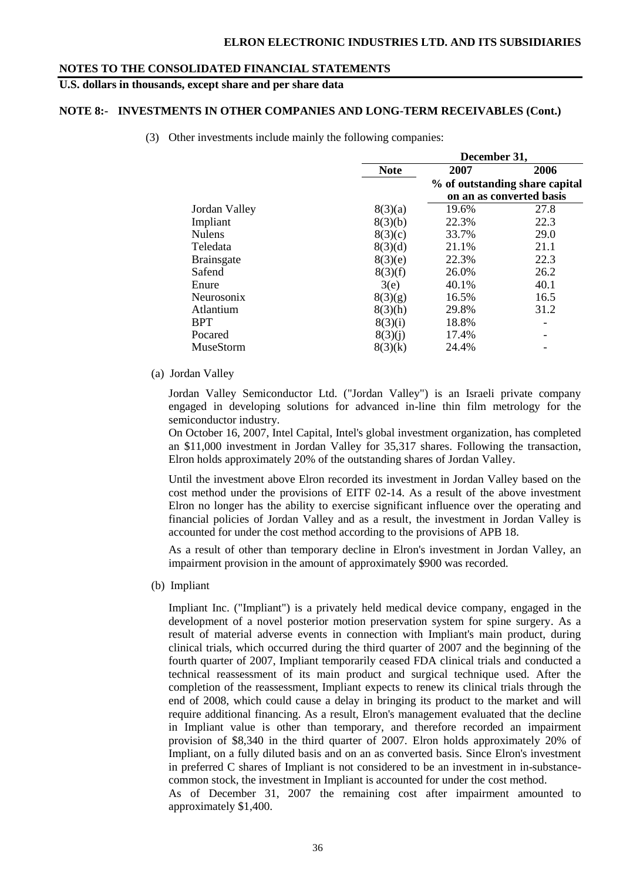## **U.S. dollars in thousands, except share and per share data**

#### **NOTE 8:- INVESTMENTS IN OTHER COMPANIES AND LONG-TERM RECEIVABLES (Cont.)**

(3) Other investments include mainly the following companies:

| December 31, |                                |  |  |  |  |
|--------------|--------------------------------|--|--|--|--|
| 2007         | 2006                           |  |  |  |  |
|              | % of outstanding share capital |  |  |  |  |
|              | on an as converted basis       |  |  |  |  |
| 19.6%        | 27.8                           |  |  |  |  |
| 22.3%        | 22.3                           |  |  |  |  |
| 33.7%        | 29.0                           |  |  |  |  |
| 21.1%        | 21.1                           |  |  |  |  |
| 22.3%        | 22.3                           |  |  |  |  |
| 26.0%        | 26.2                           |  |  |  |  |
| 40.1%        | 40.1                           |  |  |  |  |
| 16.5%        | 16.5                           |  |  |  |  |
| 29.8%        | 31.2                           |  |  |  |  |
| 18.8%        |                                |  |  |  |  |
| 17.4%        |                                |  |  |  |  |
| 24.4%        |                                |  |  |  |  |
|              |                                |  |  |  |  |

(a) Jordan Valley

Jordan Valley Semiconductor Ltd. ("Jordan Valley") is an Israeli private company engaged in developing solutions for advanced in-line thin film metrology for the semiconductor industry.

On October 16, 2007, Intel Capital, Intel's global investment organization, has completed an \$11,000 investment in Jordan Valley for 35,317 shares. Following the transaction, Elron holds approximately 20% of the outstanding shares of Jordan Valley.

Until the investment above Elron recorded its investment in Jordan Valley based on the cost method under the provisions of EITF 02-14. As a result of the above investment Elron no longer has the ability to exercise significant influence over the operating and financial policies of Jordan Valley and as a result, the investment in Jordan Valley is accounted for under the cost method according to the provisions of APB 18.

As a result of other than temporary decline in Elron's investment in Jordan Valley, an impairment provision in the amount of approximately \$900 was recorded.

(b) Impliant

Impliant Inc. ("Impliant") is a privately held medical device company, engaged in the development of a novel posterior motion preservation system for spine surgery. As a result of material adverse events in connection with Impliant's main product, during clinical trials, which occurred during the third quarter of 2007 and the beginning of the fourth quarter of 2007, Impliant temporarily ceased FDA clinical trials and conducted a technical reassessment of its main product and surgical technique used. After the completion of the reassessment, Impliant expects to renew its clinical trials through the end of 2008, which could cause a delay in bringing its product to the market and will require additional financing. As a result, Elron's management evaluated that the decline in Impliant value is other than temporary, and therefore recorded an impairment provision of \$8,340 in the third quarter of 2007. Elron holds approximately 20% of Impliant, on a fully diluted basis and on an as converted basis. Since Elron's investment in preferred C shares of Impliant is not considered to be an investment in in-substancecommon stock, the investment in Impliant is accounted for under the cost method.

As of December 31, 2007 the remaining cost after impairment amounted to approximately \$1,400.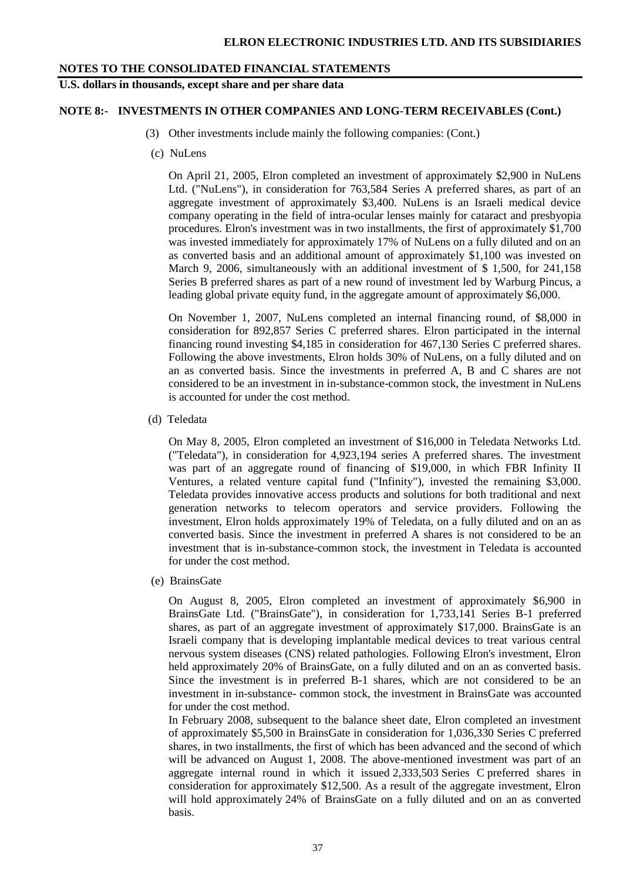**U.S. dollars in thousands, except share and per share data**

#### **NOTE 8:- INVESTMENTS IN OTHER COMPANIES AND LONG-TERM RECEIVABLES (Cont.)**

- (3) Other investments include mainly the following companies: (Cont.)
- (c) NuLens

On April 21, 2005, Elron completed an investment of approximately \$2,900 in NuLens Ltd. ("NuLens"), in consideration for 763,584 Series A preferred shares, as part of an aggregate investment of approximately \$3,400. NuLens is an Israeli medical device company operating in the field of intra-ocular lenses mainly for cataract and presbyopia procedures. Elron's investment was in two installments, the first of approximately \$1,700 was invested immediately for approximately 17% of NuLens on a fully diluted and on an as converted basis and an additional amount of approximately \$1,100 was invested on March 9, 2006, simultaneously with an additional investment of \$ 1,500, for 241,158 Series B preferred shares as part of a new round of investment led by Warburg Pincus, a leading global private equity fund, in the aggregate amount of approximately \$6,000.

On November 1, 2007, NuLens completed an internal financing round, of \$8,000 in consideration for 892,857 Series C preferred shares. Elron participated in the internal financing round investing \$4,185 in consideration for 467,130 Series C preferred shares. Following the above investments, Elron holds 30% of NuLens, on a fully diluted and on an as converted basis. Since the investments in preferred A, B and C shares are not considered to be an investment in in-substance-common stock, the investment in NuLens is accounted for under the cost method.

(d) Teledata

On May 8, 2005, Elron completed an investment of \$16,000 in Teledata Networks Ltd. ("Teledata"), in consideration for 4,923,194 series A preferred shares. The investment was part of an aggregate round of financing of \$19,000, in which FBR Infinity II Ventures, a related venture capital fund ("Infinity"), invested the remaining \$3,000. Teledata provides innovative access products and solutions for both traditional and next generation networks to telecom operators and service providers. Following the investment, Elron holds approximately 19% of Teledata, on a fully diluted and on an as converted basis. Since the investment in preferred A shares is not considered to be an investment that is in-substance-common stock, the investment in Teledata is accounted for under the cost method.

(e) BrainsGate

On August 8, 2005, Elron completed an investment of approximately \$6,900 in BrainsGate Ltd. ("BrainsGate"), in consideration for 1,733,141 Series B-1 preferred shares, as part of an aggregate investment of approximately \$17,000. BrainsGate is an Israeli company that is developing implantable medical devices to treat various central nervous system diseases (CNS) related pathologies. Following Elron's investment, Elron held approximately 20% of BrainsGate, on a fully diluted and on an as converted basis. Since the investment is in preferred B-1 shares, which are not considered to be an investment in in-substance- common stock, the investment in BrainsGate was accounted for under the cost method.

In February 2008, subsequent to the balance sheet date, Elron completed an investment of approximately \$5,500 in BrainsGate in consideration for 1,036,330 Series C preferred shares, in two installments, the first of which has been advanced and the second of which will be advanced on August 1, 2008. The above-mentioned investment was part of an aggregate internal round in which it issued 2,333,503 Series C preferred shares in consideration for approximately \$12,500. As a result of the aggregate investment, Elron will hold approximately 24% of BrainsGate on a fully diluted and on an as converted basis.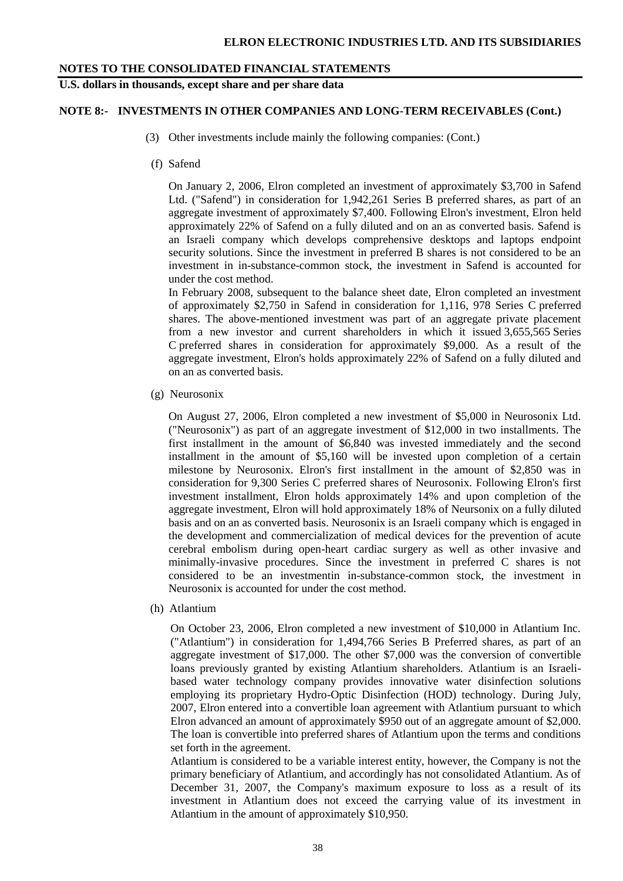**U.S. dollars in thousands, except share and per share data**

#### **NOTE 8:- INVESTMENTS IN OTHER COMPANIES AND LONG-TERM RECEIVABLES (Cont.)**

- (3) Other investments include mainly the following companies: (Cont.)
- (f) Safend

On January 2, 2006, Elron completed an investment of approximately \$3,700 in Safend Ltd. ("Safend") in consideration for 1,942,261 Series B preferred shares, as part of an aggregate investment of approximately \$7,400. Following Elron's investment, Elron held approximately 22% of Safend on a fully diluted and on an as converted basis. Safend is an Israeli company which develops comprehensive desktops and laptops endpoint security solutions. Since the investment in preferred B shares is not considered to be an investment in in-substance-common stock, the investment in Safend is accounted for under the cost method.

In February 2008, subsequent to the balance sheet date, Elron completed an investment of approximately \$2,750 in Safend in consideration for 1,116, 978 Series C preferred shares. The above-mentioned investment was part of an aggregate private placement from a new investor and current shareholders in which it issued 3,655,565 Series C preferred shares in consideration for approximately \$9,000. As a result of the aggregate investment, Elron's holds approximately 22% of Safend on a fully diluted and on an as converted basis.

(g) Neurosonix

On August 27, 2006, Elron completed a new investment of \$5,000 in Neurosonix Ltd. ("Neurosonix") as part of an aggregate investment of \$12,000 in two installments. The first installment in the amount of \$6,840 was invested immediately and the second installment in the amount of \$5,160 will be invested upon completion of a certain milestone by Neurosonix. Elron's first installment in the amount of \$2,850 was in consideration for 9,300 Series C preferred shares of Neurosonix. Following Elron's first investment installment, Elron holds approximately 14% and upon completion of the aggregate investment, Elron will hold approximately 18% of Neursonix on a fully diluted basis and on an as converted basis. Neurosonix is an Israeli company which is engaged in the development and commercialization of medical devices for the prevention of acute cerebral embolism during open-heart cardiac surgery as well as other invasive and minimally-invasive procedures. Since the investment in preferred C shares is not considered to be an investmentin in-substance-common stock, the investment in Neurosonix is accounted for under the cost method.

(h) Atlantium

On October 23, 2006, Elron completed a new investment of \$10,000 in Atlantium Inc. ("Atlantium") in consideration for 1,494,766 Series B Preferred shares, as part of an aggregate investment of \$17,000. The other \$7,000 was the conversion of convertible loans previously granted by existing Atlantium shareholders. Atlantium is an Israelibased water technology company provides innovative water disinfection solutions employing its proprietary Hydro-Optic Disinfection (HOD) technology. During July, 2007, Elron entered into a convertible loan agreement with Atlantium pursuant to which Elron advanced an amount of approximately \$950 out of an aggregate amount of \$2,000. The loan is convertible into preferred shares of Atlantium upon the terms and conditions set forth in the agreement.

Atlantium is considered to be a variable interest entity, however, the Company is not the primary beneficiary of Atlantium, and accordingly has not consolidated Atlantium. As of December 31, 2007, the Company's maximum exposure to loss as a result of its investment in Atlantium does not exceed the carrying value of its investment in Atlantium in the amount of approximately \$10,950.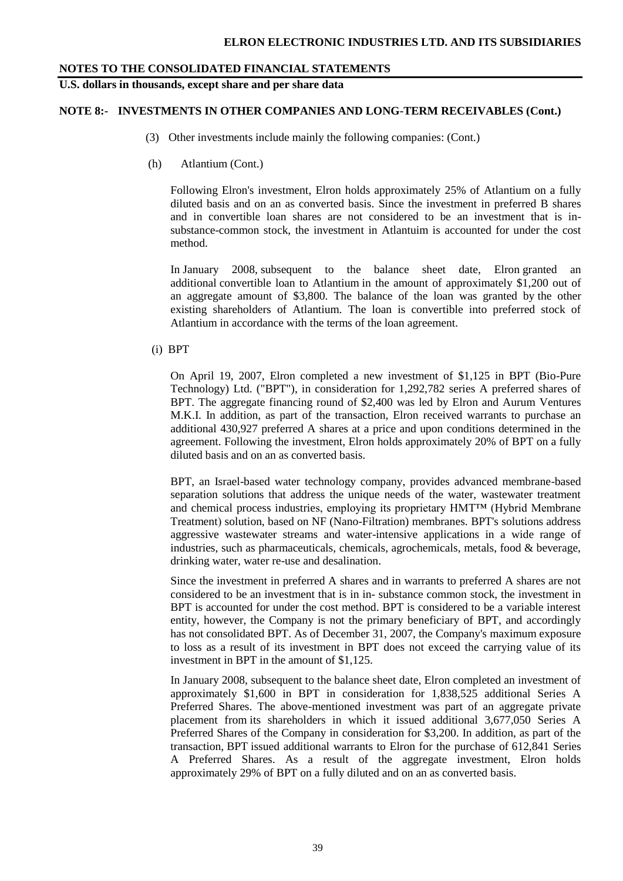**U.S. dollars in thousands, except share and per share data**

#### **NOTE 8:- INVESTMENTS IN OTHER COMPANIES AND LONG-TERM RECEIVABLES (Cont.)**

- (3) Other investments include mainly the following companies: (Cont.)
- (h) Atlantium (Cont.)

Following Elron's investment, Elron holds approximately 25% of Atlantium on a fully diluted basis and on an as converted basis. Since the investment in preferred B shares and in convertible loan shares are not considered to be an investment that is insubstance-common stock, the investment in Atlantuim is accounted for under the cost method.

In January 2008, subsequent to the balance sheet date, Elron granted an additional convertible loan to Atlantium in the amount of approximately \$1,200 out of an aggregate amount of \$3,800. The balance of the loan was granted by the other existing shareholders of Atlantium. The loan is convertible into preferred stock of Atlantium in accordance with the terms of the loan agreement.

#### (i) BPT

On April 19, 2007, Elron completed a new investment of \$1,125 in BPT (Bio-Pure Technology) Ltd. ("BPT"), in consideration for 1,292,782 series A preferred shares of BPT. The aggregate financing round of \$2,400 was led by Elron and Aurum Ventures M.K.I. In addition, as part of the transaction, Elron received warrants to purchase an additional 430,927 preferred A shares at a price and upon conditions determined in the agreement. Following the investment, Elron holds approximately 20% of BPT on a fully diluted basis and on an as converted basis.

BPT, an Israel-based water technology company, provides advanced membrane-based separation solutions that address the unique needs of the water, wastewater treatment and chemical process industries, employing its proprietary HMT™ (Hybrid Membrane Treatment) solution, based on NF (Nano-Filtration) membranes. BPT's solutions address aggressive wastewater streams and water-intensive applications in a wide range of industries, such as pharmaceuticals, chemicals, agrochemicals, metals, food & beverage, drinking water, water re-use and desalination.

Since the investment in preferred A shares and in warrants to preferred A shares are not considered to be an investment that is in in- substance common stock, the investment in BPT is accounted for under the cost method. BPT is considered to be a variable interest entity, however, the Company is not the primary beneficiary of BPT, and accordingly has not consolidated BPT. As of December 31, 2007, the Company's maximum exposure to loss as a result of its investment in BPT does not exceed the carrying value of its investment in BPT in the amount of \$1,125.

In January 2008, subsequent to the balance sheet date, Elron completed an investment of approximately \$1,600 in BPT in consideration for 1,838,525 additional Series A Preferred Shares. The above-mentioned investment was part of an aggregate private placement from its shareholders in which it issued additional 3,677,050 Series A Preferred Shares of the Company in consideration for \$3,200. In addition, as part of the transaction, BPT issued additional warrants to Elron for the purchase of 612,841 Series A Preferred Shares. As a result of the aggregate investment, Elron holds approximately 29% of BPT on a fully diluted and on an as converted basis.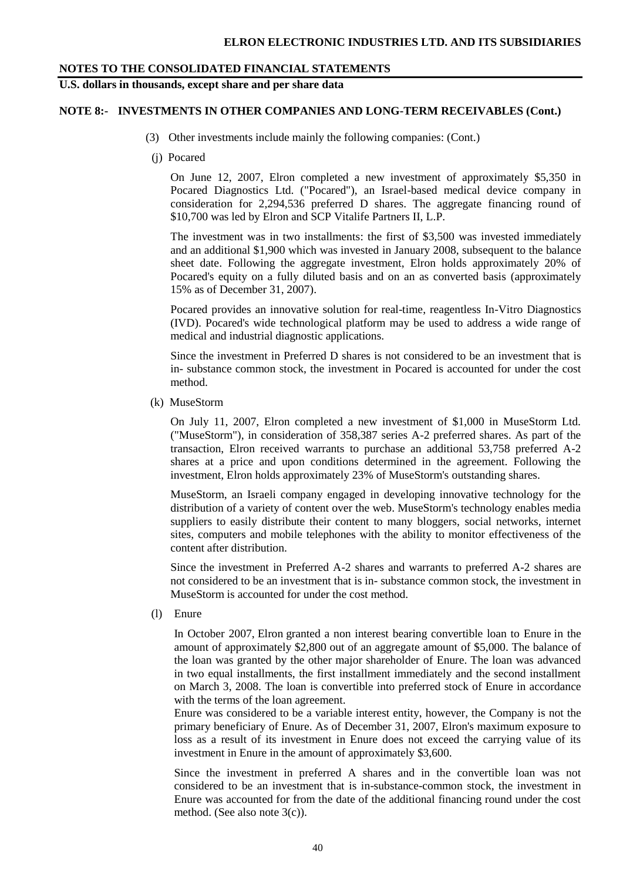## **U.S. dollars in thousands, except share and per share data**

#### **NOTE 8:- INVESTMENTS IN OTHER COMPANIES AND LONG-TERM RECEIVABLES (Cont.)**

- (3) Other investments include mainly the following companies: (Cont.)
- (j) Pocared

On June 12, 2007, Elron completed a new investment of approximately \$5,350 in Pocared Diagnostics Ltd. ("Pocared"), an Israel-based medical device company in consideration for 2,294,536 preferred D shares. The aggregate financing round of \$10,700 was led by Elron and SCP Vitalife Partners II, L.P.

The investment was in two installments: the first of \$3,500 was invested immediately and an additional \$1,900 which was invested in January 2008, subsequent to the balance sheet date. Following the aggregate investment, Elron holds approximately 20% of Pocared's equity on a fully diluted basis and on an as converted basis (approximately 15% as of December 31, 2007).

Pocared provides an innovative solution for real-time, reagentless In-Vitro Diagnostics (IVD). Pocared's wide technological platform may be used to address a wide range of medical and industrial diagnostic applications.

Since the investment in Preferred D shares is not considered to be an investment that is in- substance common stock, the investment in Pocared is accounted for under the cost method.

(k) MuseStorm

On July 11, 2007, Elron completed a new investment of \$1,000 in MuseStorm Ltd. ("MuseStorm"), in consideration of 358,387 series A-2 preferred shares. As part of the transaction, Elron received warrants to purchase an additional 53,758 preferred A-2 shares at a price and upon conditions determined in the agreement. Following the investment, Elron holds approximately 23% of MuseStorm's outstanding shares.

MuseStorm, an Israeli company engaged in developing innovative technology for the distribution of a variety of content over the web. MuseStorm's technology enables media suppliers to easily distribute their content to many bloggers, social networks, internet sites, computers and mobile telephones with the ability to monitor effectiveness of the content after distribution.

Since the investment in Preferred A-2 shares and warrants to preferred A-2 shares are not considered to be an investment that is in- substance common stock, the investment in MuseStorm is accounted for under the cost method.

(l) Enure

In October 2007, Elron granted a non interest bearing convertible loan to Enure in the amount of approximately \$2,800 out of an aggregate amount of \$5,000. The balance of the loan was granted by the other major shareholder of Enure. The loan was advanced in two equal installments, the first installment immediately and the second installment on March 3, 2008. The loan is convertible into preferred stock of Enure in accordance with the terms of the loan agreement.

Enure was considered to be a variable interest entity, however, the Company is not the primary beneficiary of Enure. As of December 31, 2007, Elron's maximum exposure to loss as a result of its investment in Enure does not exceed the carrying value of its investment in Enure in the amount of approximately \$3,600.

Since the investment in preferred A shares and in the convertible loan was not considered to be an investment that is in-substance-common stock, the investment in Enure was accounted for from the date of the additional financing round under the cost method. (See also note 3(c)).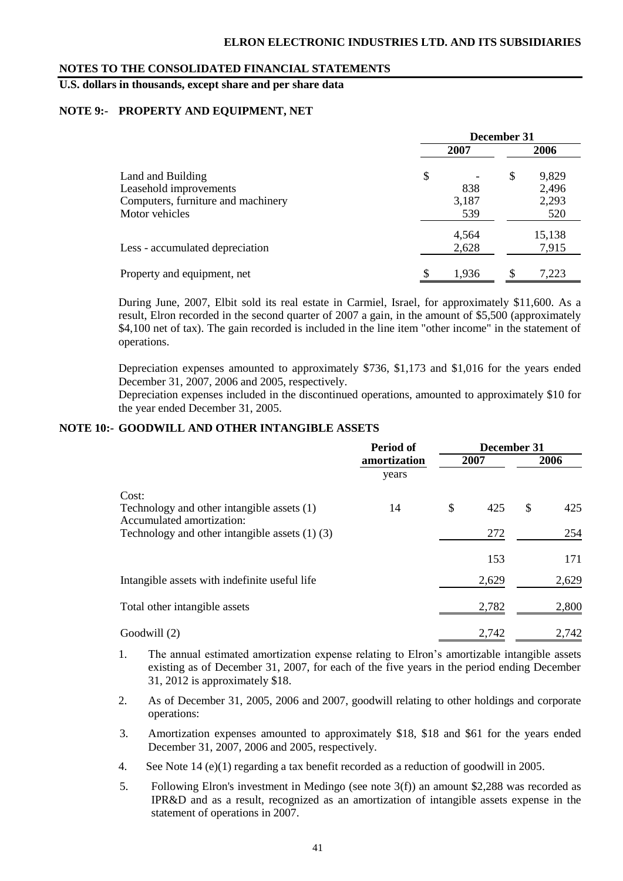**U.S. dollars in thousands, except share and per share data**

#### **NOTE 9:- PROPERTY AND EQUIPMENT, NET**

|                                    | December 31 |       |    |        |  |
|------------------------------------|-------------|-------|----|--------|--|
|                                    |             | 2007  |    | 2006   |  |
| Land and Building                  | \$          |       | \$ | 9,829  |  |
| Leasehold improvements             |             | 838   |    | 2,496  |  |
| Computers, furniture and machinery |             | 3,187 |    | 2,293  |  |
| Motor vehicles                     |             | 539   |    | 520    |  |
|                                    |             | 4,564 |    | 15,138 |  |
| Less - accumulated depreciation    |             | 2,628 |    | 7,915  |  |
| Property and equipment, net        | \$          | 1,936 | S  | 7,223  |  |

During June, 2007, Elbit sold its real estate in Carmiel, Israel, for approximately \$11,600. As a result, Elron recorded in the second quarter of 2007 a gain, in the amount of \$5,500 (approximately \$4,100 net of tax). The gain recorded is included in the line item "other income" in the statement of operations.

Depreciation expenses amounted to approximately \$736, \$1,173 and \$1,016 for the years ended December 31, 2007, 2006 and 2005, respectively.

Depreciation expenses included in the discontinued operations, amounted to approximately \$10 for the year ended December 31, 2005.

#### **NOTE 10:- GOODWILL AND OTHER INTANGIBLE ASSETS**

|                                                                         | Period of    | December 31 |       |      |       |  |
|-------------------------------------------------------------------------|--------------|-------------|-------|------|-------|--|
|                                                                         | amortization |             | 2007  | 2006 |       |  |
|                                                                         | years        |             |       |      |       |  |
| Cost:                                                                   |              |             |       |      |       |  |
| Technology and other intangible assets (1)<br>Accumulated amortization: | 14           | \$          | 425   | \$   | 425   |  |
| Technology and other intangible assets $(1)$ $(3)$                      |              |             | 272   |      | 254   |  |
|                                                                         |              |             | 153   |      | 171   |  |
| Intangible assets with indefinite useful life                           |              |             | 2,629 |      | 2,629 |  |
| Total other intangible assets                                           |              |             | 2,782 |      | 2,800 |  |
| Goodwill (2)                                                            |              |             | 2,742 |      | 2,742 |  |

- 1. The annual estimated amortization expense relating to Elron's amortizable intangible assets existing as of December 31, 2007, for each of the five years in the period ending December 31, 2012 is approximately \$18.
- 2. As of December 31, 2005, 2006 and 2007, goodwill relating to other holdings and corporate operations:
- 3. Amortization expenses amounted to approximately \$18, \$18 and \$61 for the years ended December 31, 2007, 2006 and 2005, respectively.
- 4. See Note 14 (e)(1) regarding a tax benefit recorded as a reduction of goodwill in 2005.
- 5. Following Elron's investment in Medingo (see note 3(f)) an amount \$2,288 was recorded as IPR&D and as a result, recognized as an amortization of intangible assets expense in the statement of operations in 2007.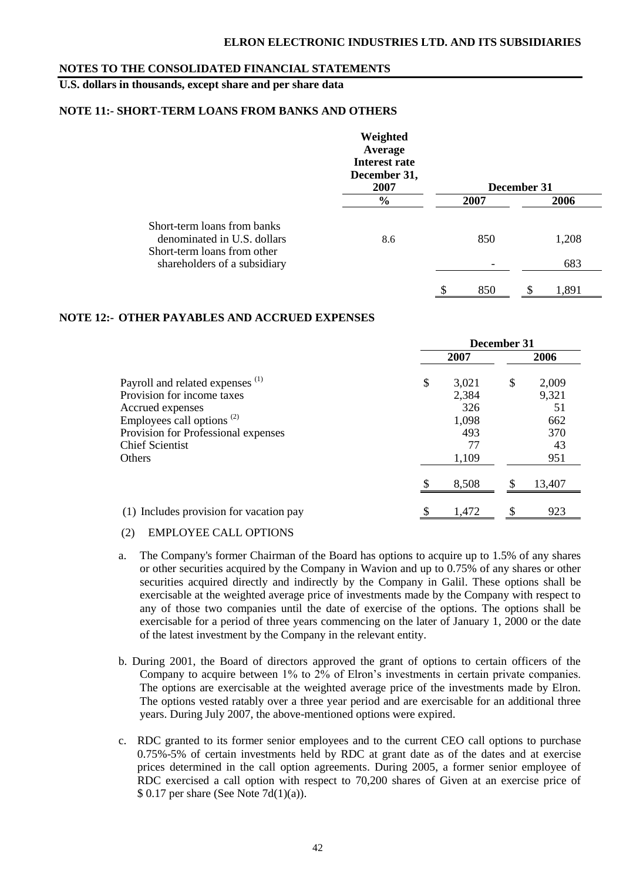## **U.S. dollars in thousands, except share and per share data**

#### **NOTE 11:- SHORT-TERM LOANS FROM BANKS AND OTHERS**

|                                                                                           | Weighted<br>Average<br>Interest rate<br>December 31,<br>2007 |           | December 31 |       |
|-------------------------------------------------------------------------------------------|--------------------------------------------------------------|-----------|-------------|-------|
|                                                                                           | $\frac{6}{6}$                                                | 2007      |             | 2006  |
| Short-term loans from banks<br>denominated in U.S. dollars<br>Short-term loans from other | 8.6                                                          | 850       |             | 1,208 |
| shareholders of a subsidiary                                                              |                                                              |           |             | 683   |
|                                                                                           |                                                              | \$<br>850 | S           | 1,891 |

#### **NOTE 12:- OTHER PAYABLES AND ACCRUED EXPENSES**

|                                                                                                                                                                                                                   | December 31 |                                                      |    |                                                 |
|-------------------------------------------------------------------------------------------------------------------------------------------------------------------------------------------------------------------|-------------|------------------------------------------------------|----|-------------------------------------------------|
|                                                                                                                                                                                                                   |             | 2007                                                 |    | 2006                                            |
| Payroll and related expenses <sup>(1)</sup><br>Provision for income taxes<br>Accrued expenses<br>Employees call options <sup>(2)</sup><br>Provision for Professional expenses<br><b>Chief Scientist</b><br>Others | \$          | 3,021<br>2,384<br>326<br>1,098<br>493<br>77<br>1,109 | \$ | 2,009<br>9,321<br>51<br>662<br>370<br>43<br>951 |
|                                                                                                                                                                                                                   |             | 8,508                                                |    | 13,407                                          |
| (1) Includes provision for vacation pay                                                                                                                                                                           | S           | 1,472                                                | \$ | 923                                             |

#### (2) EMPLOYEE CALL OPTIONS

- a. The Company's former Chairman of the Board has options to acquire up to 1.5% of any shares or other securities acquired by the Company in Wavion and up to 0.75% of any shares or other securities acquired directly and indirectly by the Company in Galil. These options shall be exercisable at the weighted average price of investments made by the Company with respect to any of those two companies until the date of exercise of the options. The options shall be exercisable for a period of three years commencing on the later of January 1, 2000 or the date of the latest investment by the Company in the relevant entity.
- b. During 2001, the Board of directors approved the grant of options to certain officers of the Company to acquire between 1% to 2% of Elron's investments in certain private companies. The options are exercisable at the weighted average price of the investments made by Elron. The options vested ratably over a three year period and are exercisable for an additional three years. During July 2007, the above-mentioned options were expired.
- c. RDC granted to its former senior employees and to the current CEO call options to purchase 0.75%-5% of certain investments held by RDC at grant date as of the dates and at exercise prices determined in the call option agreements. During 2005, a former senior employee of RDC exercised a call option with respect to 70,200 shares of Given at an exercise price of  $$ 0.17$  per share (See Note 7d(1)(a)).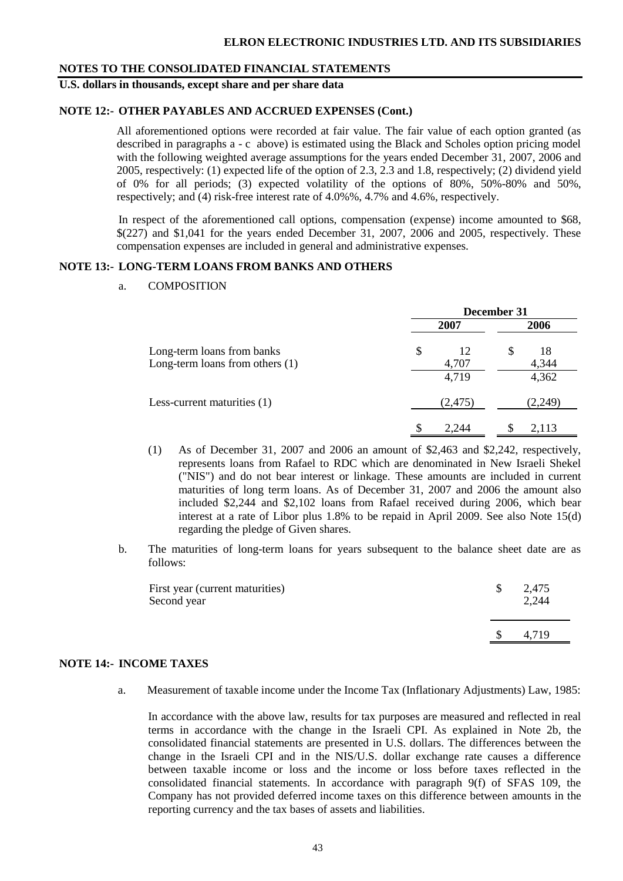## **U.S. dollars in thousands, except share and per share data**

#### **NOTE 12:- OTHER PAYABLES AND ACCRUED EXPENSES (Cont.)**

All aforementioned options were recorded at fair value. The fair value of each option granted (as described in paragraphs a - c above) is estimated using the Black and Scholes option pricing model with the following weighted average assumptions for the years ended December 31, 2007, 2006 and 2005, respectively: (1) expected life of the option of 2.3, 2.3 and 1.8, respectively; (2) dividend yield of 0% for all periods; (3) expected volatility of the options of 80%, 50%-80% and 50%, respectively; and (4) risk-free interest rate of 4.0%%, 4.7% and 4.6%, respectively.

In respect of the aforementioned call options, compensation (expense) income amounted to \$68, \$(227) and \$1,041 for the years ended December 31, 2007, 2006 and 2005, respectively. These compensation expenses are included in general and administrative expenses.

#### **NOTE 13:- LONG-TERM LOANS FROM BANKS AND OTHERS**

a. COMPOSITION

|                                                                 | December 31 |             |   |             |  |  |  |
|-----------------------------------------------------------------|-------------|-------------|---|-------------|--|--|--|
|                                                                 |             | 2007        |   | 2006        |  |  |  |
| Long-term loans from banks<br>Long-term loans from others $(1)$ | \$          | 12<br>4,707 | S | 18<br>4,344 |  |  |  |
|                                                                 |             | 4,719       |   | 4,362       |  |  |  |
| Less-current maturities (1)                                     |             | (2,475)     |   | (2,249)     |  |  |  |
|                                                                 |             | 2.244       |   | 2,113       |  |  |  |

- (1) As of December 31, 2007 and 2006 an amount of \$2,463 and \$2,242, respectively, represents loans from Rafael to RDC which are denominated in New Israeli Shekel ("NIS") and do not bear interest or linkage. These amounts are included in current maturities of long term loans. As of December 31, 2007 and 2006 the amount also included \$2,244 and \$2,102 loans from Rafael received during 2006, which bear interest at a rate of Libor plus 1.8% to be repaid in April 2009. See also Note 15(d) regarding the pledge of Given shares.
- b. The maturities of long-term loans for years subsequent to the balance sheet date are as follows:

| First year (current maturities)<br>Second year | 2,475<br>2,244 |
|------------------------------------------------|----------------|
|                                                | 4.719          |

#### **NOTE 14:- INCOME TAXES**

a. Measurement of taxable income under the Income Tax (Inflationary Adjustments) Law, 1985:

In accordance with the above law, results for tax purposes are measured and reflected in real terms in accordance with the change in the Israeli CPI. As explained in Note 2b, the consolidated financial statements are presented in U.S. dollars. The differences between the change in the Israeli CPI and in the NIS/U.S. dollar exchange rate causes a difference between taxable income or loss and the income or loss before taxes reflected in the consolidated financial statements. In accordance with paragraph 9(f) of SFAS 109, the Company has not provided deferred income taxes on this difference between amounts in the reporting currency and the tax bases of assets and liabilities.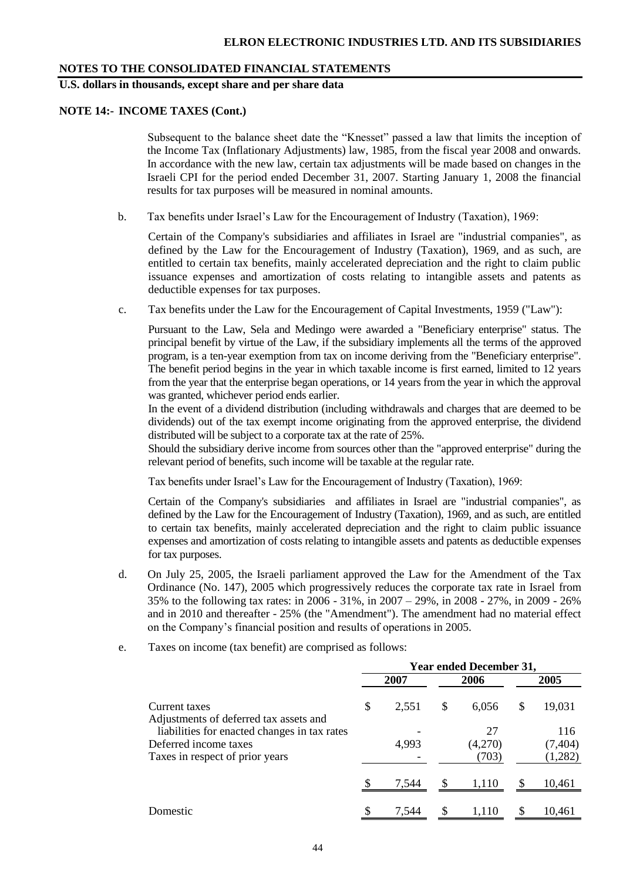**U.S. dollars in thousands, except share and per share data**

#### **NOTE 14:- INCOME TAXES (Cont.)**

Subsequent to the balance sheet date the "Knesset" passed a law that limits the inception of the Income Tax (Inflationary Adjustments) law, 1985, from the fiscal year 2008 and onwards. In accordance with the new law, certain tax adjustments will be made based on changes in the Israeli CPI for the period ended December 31, 2007. Starting January 1, 2008 the financial results for tax purposes will be measured in nominal amounts.

b. Tax benefits under Israel's Law for the Encouragement of Industry (Taxation), 1969:

Certain of the Company's subsidiaries and affiliates in Israel are "industrial companies", as defined by the Law for the Encouragement of Industry (Taxation), 1969, and as such, are entitled to certain tax benefits, mainly accelerated depreciation and the right to claim public issuance expenses and amortization of costs relating to intangible assets and patents as deductible expenses for tax purposes.

c. Tax benefits under the Law for the Encouragement of Capital Investments, 1959 ("Law"):

Pursuant to the Law, Sela and Medingo were awarded a "Beneficiary enterprise" status. The principal benefit by virtue of the Law, if the subsidiary implements all the terms of the approved program, is a ten-year exemption from tax on income deriving from the "Beneficiary enterprise". The benefit period begins in the year in which taxable income is first earned, limited to 12 years from the year that the enterprise began operations, or 14 years from the year in which the approval was granted, whichever period ends earlier.

In the event of a dividend distribution (including withdrawals and charges that are deemed to be dividends) out of the tax exempt income originating from the approved enterprise, the dividend distributed will be subject to a corporate tax at the rate of 25%.

Should the subsidiary derive income from sources other than the "approved enterprise" during the relevant period of benefits, such income will be taxable at the regular rate.

Tax benefits under Israel's Law for the Encouragement of Industry (Taxation), 1969:

Certain of the Company's subsidiaries and affiliates in Israel are "industrial companies", as defined by the Law for the Encouragement of Industry (Taxation), 1969, and as such, are entitled to certain tax benefits, mainly accelerated depreciation and the right to claim public issuance expenses and amortization of costs relating to intangible assets and patents as deductible expenses for tax purposes.

- d. On July 25, 2005, the Israeli parliament approved the Law for the Amendment of the Tax Ordinance (No. 147), 2005 which progressively reduces the corporate tax rate in Israel from 35% to the following tax rates: in 2006 - 31%, in 2007 – 29%, in 2008 - 27%, in 2009 - 26% and in 2010 and thereafter - 25% (the "Amendment"). The amendment had no material effect on the Company's financial position and results of operations in 2005.
- e. Taxes on income (tax benefit) are comprised as follows:

|                                                                       | <b>Year ended December 31,</b> |       |               |               |    |                 |  |  |  |
|-----------------------------------------------------------------------|--------------------------------|-------|---------------|---------------|----|-----------------|--|--|--|
|                                                                       |                                | 2007  |               | 2006          |    | 2005            |  |  |  |
| Current taxes<br>Adjustments of deferred tax assets and               | \$                             | 2.551 | \$            | 6,056         | \$ | 19,031          |  |  |  |
| liabilities for enacted changes in tax rates<br>Deferred income taxes |                                | 4,993 |               | 27<br>(4,270) |    | 116<br>(7, 404) |  |  |  |
| Taxes in respect of prior years                                       |                                |       |               | (703)         |    | (1,282)         |  |  |  |
|                                                                       |                                | 7,544 |               | 1,110         |    | 10,461          |  |  |  |
| Domestic                                                              | \$                             | 7.544 | <sup>\$</sup> | 1,110         | \$ | 10,461          |  |  |  |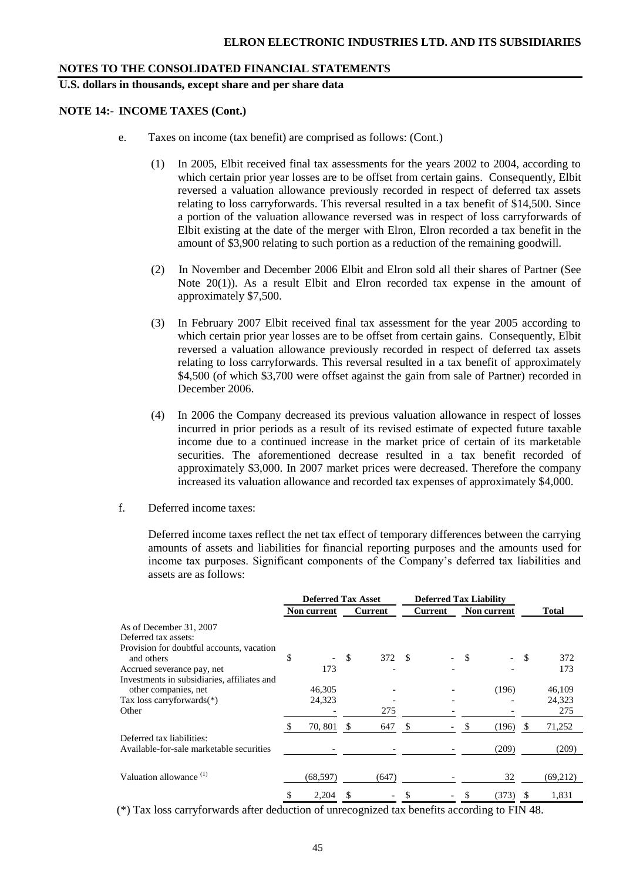**U.S. dollars in thousands, except share and per share data**

#### **NOTE 14:- INCOME TAXES (Cont.)**

- e. Taxes on income (tax benefit) are comprised as follows: (Cont.)
	- (1) In 2005, Elbit received final tax assessments for the years 2002 to 2004, according to which certain prior year losses are to be offset from certain gains. Consequently, Elbit reversed a valuation allowance previously recorded in respect of deferred tax assets relating to loss carryforwards. This reversal resulted in a tax benefit of \$14,500. Since a portion of the valuation allowance reversed was in respect of loss carryforwards of Elbit existing at the date of the merger with Elron, Elron recorded a tax benefit in the amount of \$3,900 relating to such portion as a reduction of the remaining goodwill.
	- (2) In November and December 2006 Elbit and Elron sold all their shares of Partner (See Note 20(1)). As a result Elbit and Elron recorded tax expense in the amount of approximately \$7,500.
	- (3) In February 2007 Elbit received final tax assessment for the year 2005 according to which certain prior year losses are to be offset from certain gains. Consequently, Elbit reversed a valuation allowance previously recorded in respect of deferred tax assets relating to loss carryforwards. This reversal resulted in a tax benefit of approximately \$4,500 (of which \$3,700 were offset against the gain from sale of Partner) recorded in December 2006.
	- (4) In 2006 the Company decreased its previous valuation allowance in respect of losses incurred in prior periods as a result of its revised estimate of expected future taxable income due to a continued increase in the market price of certain of its marketable securities. The aforementioned decrease resulted in a tax benefit recorded of approximately \$3,000. In 2007 market prices were decreased. Therefore the company increased its valuation allowance and recorded tax expenses of approximately \$4,000.
- f. Deferred income taxes:

Deferred income taxes reflect the net tax effect of temporary differences between the carrying amounts of assets and liabilities for financial reporting purposes and the amounts used for income tax purposes. Significant components of the Company's deferred tax liabilities and assets are as follows:

|                                             |    |             | <b>Deferred Tax Asset</b> |         | <b>Deferred Tax Liability</b> |                        |   |              |     |          |
|---------------------------------------------|----|-------------|---------------------------|---------|-------------------------------|------------------------|---|--------------|-----|----------|
|                                             |    | Non current |                           | Current |                               | Current<br>Non current |   | <b>Total</b> |     |          |
| As of December 31, 2007                     |    |             |                           |         |                               |                        |   |              |     |          |
| Deferred tax assets:                        |    |             |                           |         |                               |                        |   |              |     |          |
| Provision for doubtful accounts, vacation   |    |             |                           |         |                               |                        |   |              |     |          |
| and others                                  | \$ |             | <sup>\$</sup>             | 372 \$  |                               |                        | S |              | -S  | 372      |
| Accrued severance pay, net                  |    | 173         |                           |         |                               |                        |   |              |     | 173      |
| Investments in subsidiaries, affiliates and |    |             |                           |         |                               |                        |   |              |     |          |
| other companies, net                        |    | 46,305      |                           |         |                               |                        |   | (196)        |     | 46,109   |
| Tax loss carryforwards $(*)$                |    | 24,323      |                           |         |                               |                        |   |              |     | 24,323   |
| Other                                       |    |             |                           | 275     |                               |                        |   |              |     | 275      |
|                                             |    | 70, 801     | S                         | 647     | -S                            |                        | S | (196)        | \$. | 71,252   |
| Deferred tax liabilities:                   |    |             |                           |         |                               |                        |   |              |     |          |
| Available-for-sale marketable securities    |    |             |                           |         |                               |                        |   | (209)        |     | (209)    |
|                                             |    |             |                           |         |                               |                        |   |              |     |          |
| Valuation allowance <sup>(1)</sup>          |    | (68, 597)   |                           | (647)   |                               |                        |   | 32           |     | (69,212) |
|                                             | S  | 2,204       |                           |         |                               |                        | S | (373)        | \$. | 1,831    |

(\*) Tax loss carryforwards after deduction of unrecognized tax benefits according to FIN 48.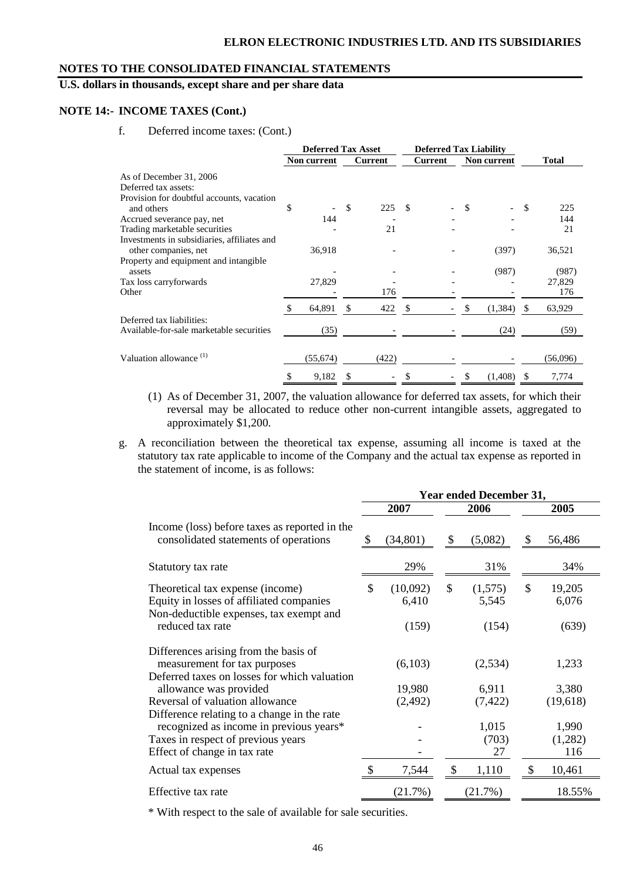## **U.S. dollars in thousands, except share and per share data**

#### **NOTE 14:- INCOME TAXES (Cont.)**

f. Deferred income taxes: (Cont.)

|                                                                     | <b>Deferred Tax Asset</b> |    |                | <b>Deferred Tax Liability</b> |         |     |             |              |              |
|---------------------------------------------------------------------|---------------------------|----|----------------|-------------------------------|---------|-----|-------------|--------------|--------------|
|                                                                     | Non current               |    | <b>Current</b> |                               | Current |     | Non current |              | <b>Total</b> |
| As of December 31, 2006                                             |                           |    |                |                               |         |     |             |              |              |
| Deferred tax assets:                                                |                           |    |                |                               |         |     |             |              |              |
| Provision for doubtful accounts, vacation                           |                           |    |                |                               |         |     |             |              |              |
| and others                                                          | \$                        | \$ | 225            | -S                            |         | \$. |             | -S           | 225          |
| Accrued severance pay, net                                          | 144                       |    |                |                               |         |     |             |              | 144          |
| Trading marketable securities                                       |                           |    | 21             |                               |         |     |             |              | 21           |
| Investments in subsidiaries, affiliates and<br>other companies, net | 36,918                    |    |                |                               |         |     | (397)       |              | 36,521       |
| Property and equipment and intangible<br>assets                     |                           |    |                |                               |         |     | (987)       |              | (987)        |
| Tax loss carryforwards                                              | 27,829                    |    |                |                               |         |     |             |              | 27,829       |
| Other                                                               |                           |    | 176            |                               |         |     |             |              | 176          |
|                                                                     | 64,891                    | S  | 422            |                               |         |     | (1, 384)    | <sup>S</sup> | 63,929       |
| Deferred tax liabilities:                                           |                           |    |                |                               |         |     |             |              |              |
| Available-for-sale marketable securities                            | (35)                      |    |                |                               |         |     | (24)        |              | (59)         |
| Valuation allowance (1)                                             |                           |    | (422)          |                               |         |     |             |              | (56,096)     |
|                                                                     | (55,674)                  |    |                |                               |         |     |             |              |              |
|                                                                     | \$<br>9,182               | S  |                |                               |         | \$  | (1,408)     | -S           | 7,774        |

- (1) As of December 31, 2007, the valuation allowance for deferred tax assets, for which their reversal may be allocated to reduce other non-current intangible assets, aggregated to approximately \$1,200.
- g. A reconciliation between the theoretical tax expense, assuming all income is taxed at the statutory tax rate applicable to income of the Company and the actual tax expense as reported in the statement of income, is as follows:

|                                                                                        |                | <b>Year ended December 31,</b> |              |  |  |
|----------------------------------------------------------------------------------------|----------------|--------------------------------|--------------|--|--|
|                                                                                        | 2007           | 2006                           | 2005         |  |  |
| Income (loss) before taxes as reported in the<br>consolidated statements of operations | (34, 801)      | \$<br>(5,082)                  | 56,486       |  |  |
| Statutory tax rate                                                                     | 29%            | 31%                            | 34%          |  |  |
| Theoretical tax expense (income)                                                       | \$<br>(10,092) | \$<br>(1,575)                  | \$<br>19,205 |  |  |
| Equity in losses of affiliated companies<br>Non-deductible expenses, tax exempt and    | 6,410          | 5,545                          | 6,076        |  |  |
| reduced tax rate                                                                       | (159)          | (154)                          | (639)        |  |  |
| Differences arising from the basis of                                                  |                |                                |              |  |  |
| measurement for tax purposes                                                           | (6,103)        | (2,534)                        | 1,233        |  |  |
| Deferred taxes on losses for which valuation<br>allowance was provided                 | 19,980         | 6,911                          | 3,380        |  |  |
| Reversal of valuation allowance                                                        | (2, 492)       | (7, 422)                       | (19,618)     |  |  |
| Difference relating to a change in the rate                                            |                |                                |              |  |  |
| recognized as income in previous years*                                                |                | 1,015                          | 1,990        |  |  |
| Taxes in respect of previous years                                                     |                | (703)                          | (1,282)      |  |  |
| Effect of change in tax rate                                                           |                | 27                             | 116          |  |  |
| Actual tax expenses                                                                    | 7,544          | \$<br>1,110                    | \$<br>10,461 |  |  |
| Effective tax rate                                                                     | (21.7%)        | (21.7%)                        | 18.55%       |  |  |
|                                                                                        |                |                                |              |  |  |

\* With respect to the sale of available for sale securities.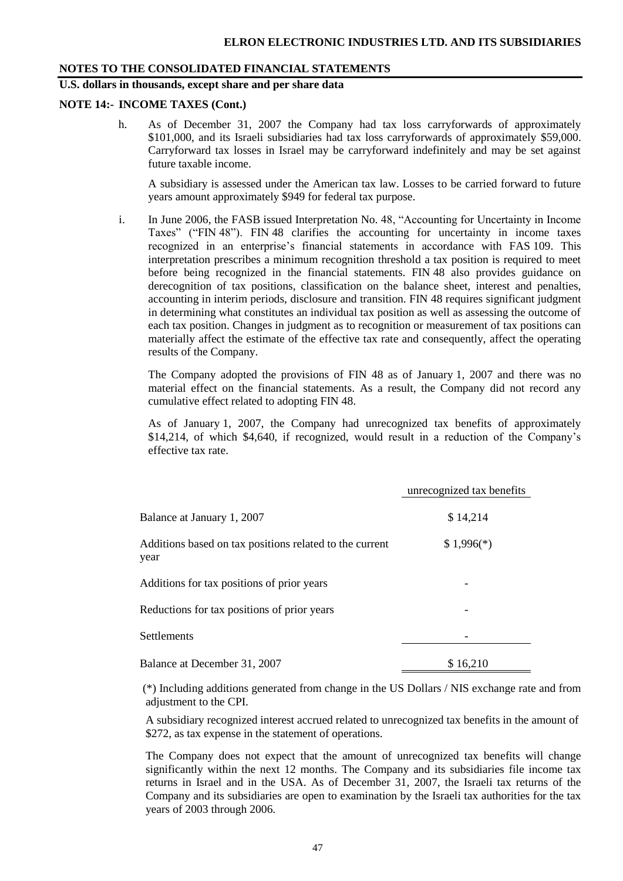## **U.S. dollars in thousands, except share and per share data**

#### **NOTE 14:- INCOME TAXES (Cont.)**

h. As of December 31, 2007 the Company had tax loss carryforwards of approximately \$101,000, and its Israeli subsidiaries had tax loss carryforwards of approximately \$59,000. Carryforward tax losses in Israel may be carryforward indefinitely and may be set against future taxable income.

A subsidiary is assessed under the American tax law. Losses to be carried forward to future years amount approximately \$949 for federal tax purpose.

i. In June 2006, the FASB issued Interpretation No. 48, "Accounting for Uncertainty in Income Taxes" ("FIN 48"). FIN 48 clarifies the accounting for uncertainty in income taxes recognized in an enterprise's financial statements in accordance with FAS 109. This interpretation prescribes a minimum recognition threshold a tax position is required to meet before being recognized in the financial statements. FIN 48 also provides guidance on derecognition of tax positions, classification on the balance sheet, interest and penalties, accounting in interim periods, disclosure and transition. FIN 48 requires significant judgment in determining what constitutes an individual tax position as well as assessing the outcome of each tax position. Changes in judgment as to recognition or measurement of tax positions can materially affect the estimate of the effective tax rate and consequently, affect the operating results of the Company.

The Company adopted the provisions of FIN 48 as of January 1, 2007 and there was no material effect on the financial statements. As a result, the Company did not record any cumulative effect related to adopting FIN 48.

As of January 1, 2007, the Company had unrecognized tax benefits of approximately \$14,214, of which \$4,640, if recognized, would result in a reduction of the Company's effective tax rate.

|                                                                 | unrecognized tax benefits |
|-----------------------------------------------------------------|---------------------------|
| Balance at January 1, 2007                                      | \$14,214                  |
| Additions based on tax positions related to the current<br>year | $$1,996(*)$               |
| Additions for tax positions of prior years                      |                           |
| Reductions for tax positions of prior years                     |                           |
| <b>Settlements</b>                                              |                           |
| Balance at December 31, 2007                                    | \$16,210                  |

(\*) Including additions generated from change in the US Dollars / NIS exchange rate and from adjustment to the CPI.

A subsidiary recognized interest accrued related to unrecognized tax benefits in the amount of \$272, as tax expense in the statement of operations.

The Company does not expect that the amount of unrecognized tax benefits will change significantly within the next 12 months. The Company and its subsidiaries file income tax returns in Israel and in the USA. As of December 31, 2007, the Israeli tax returns of the Company and its subsidiaries are open to examination by the Israeli tax authorities for the tax years of 2003 through 2006.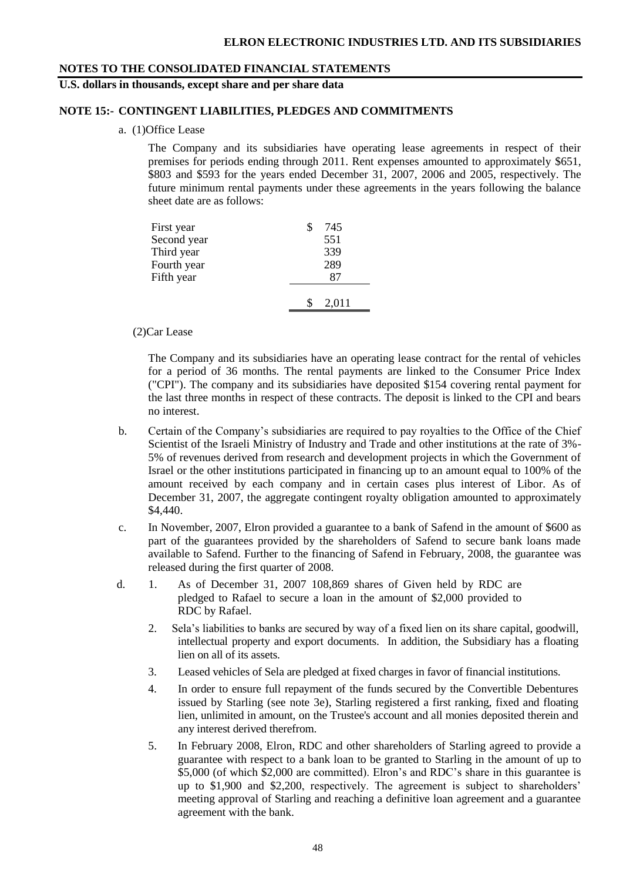#### **U.S. dollars in thousands, except share and per share data**

#### **NOTE 15:- CONTINGENT LIABILITIES, PLEDGES AND COMMITMENTS**

a. (1)Office Lease

The Company and its subsidiaries have operating lease agreements in respect of their premises for periods ending through 2011. Rent expenses amounted to approximately \$651, \$803 and \$593 for the years ended December 31, 2007, 2006 and 2005, respectively. The future minimum rental payments under these agreements in the years following the balance sheet date are as follows:

| First year  | 745   |
|-------------|-------|
| Second year | 551   |
| Third year  | 339   |
| Fourth year | 289   |
| Fifth year  | 87    |
|             |       |
|             | 2,011 |

(2)Car Lease

The Company and its subsidiaries have an operating lease contract for the rental of vehicles for a period of 36 months. The rental payments are linked to the Consumer Price Index ("CPI"). The company and its subsidiaries have deposited \$154 covering rental payment for the last three months in respect of these contracts. The deposit is linked to the CPI and bears no interest.

- b. Certain of the Company's subsidiaries are required to pay royalties to the Office of the Chief Scientist of the Israeli Ministry of Industry and Trade and other institutions at the rate of 3%- 5% of revenues derived from research and development projects in which the Government of Israel or the other institutions participated in financing up to an amount equal to 100% of the amount received by each company and in certain cases plus interest of Libor. As of December 31, 2007, the aggregate contingent royalty obligation amounted to approximately \$4,440.
- c. In November, 2007, Elron provided a guarantee to a bank of Safend in the amount of \$600 as part of the guarantees provided by the shareholders of Safend to secure bank loans made available to Safend. Further to the financing of Safend in February, 2008, the guarantee was released during the first quarter of 2008.
- d. 1. As of December 31, 2007 108,869 shares of Given held by RDC are pledged to Rafael to secure a loan in the amount of \$2,000 provided to RDC by Rafael.
	- 2. Sela's liabilities to banks are secured by way of a fixed lien on its share capital, goodwill, intellectual property and export documents. In addition, the Subsidiary has a floating lien on all of its assets.
	- 3. Leased vehicles of Sela are pledged at fixed charges in favor of financial institutions.
	- 4. In order to ensure full repayment of the funds secured by the Convertible Debentures issued by Starling (see note 3e), Starling registered a first ranking, fixed and floating lien, unlimited in amount, on the Trustee's account and all monies deposited therein and any interest derived therefrom.
	- 5. In February 2008, Elron, RDC and other shareholders of Starling agreed to provide a guarantee with respect to a bank loan to be granted to Starling in the amount of up to \$5,000 (of which \$2,000 are committed). Elron's and RDC's share in this guarantee is up to \$1,900 and \$2,200, respectively. The agreement is subject to shareholders' meeting approval of Starling and reaching a definitive loan agreement and a guarantee agreement with the bank.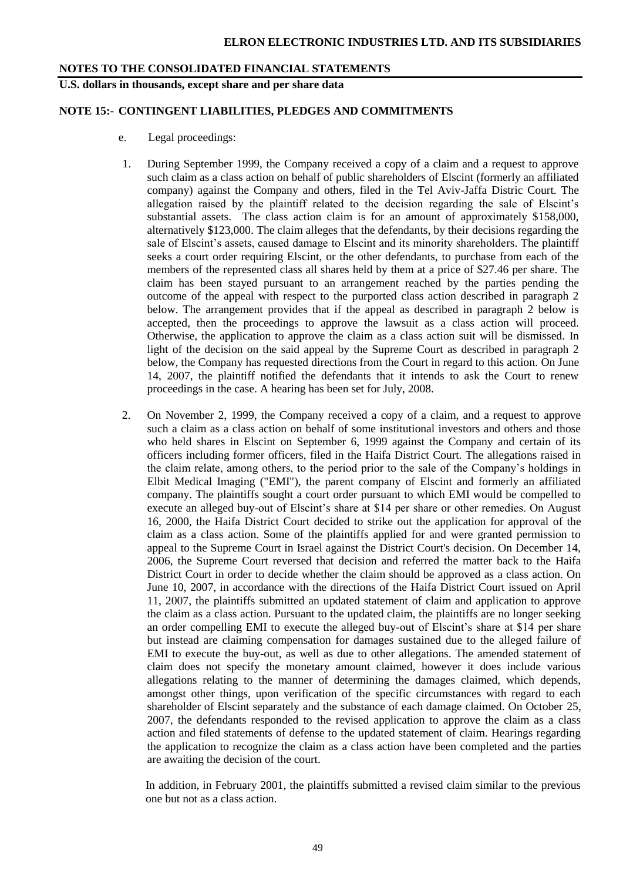#### **U.S. dollars in thousands, except share and per share data**

#### **NOTE 15:- CONTINGENT LIABILITIES, PLEDGES AND COMMITMENTS**

- e. Legal proceedings:
- 1. During September 1999, the Company received a copy of a claim and a request to approve such claim as a class action on behalf of public shareholders of Elscint (formerly an affiliated company) against the Company and others, filed in the Tel Aviv-Jaffa Distric Court. The allegation raised by the plaintiff related to the decision regarding the sale of Elscint's substantial assets. The class action claim is for an amount of approximately \$158,000, alternatively \$123,000. The claim alleges that the defendants, by their decisions regarding the sale of Elscint's assets, caused damage to Elscint and its minority shareholders. The plaintiff seeks a court order requiring Elscint, or the other defendants, to purchase from each of the members of the represented class all shares held by them at a price of \$27.46 per share. The claim has been stayed pursuant to an arrangement reached by the parties pending the outcome of the appeal with respect to the purported class action described in paragraph 2 below. The arrangement provides that if the appeal as described in paragraph 2 below is accepted, then the proceedings to approve the lawsuit as a class action will proceed. Otherwise, the application to approve the claim as a class action suit will be dismissed. In light of the decision on the said appeal by the Supreme Court as described in paragraph 2 below, the Company has requested directions from the Court in regard to this action. On June 14, 2007, the plaintiff notified the defendants that it intends to ask the Court to renew proceedings in the case. A hearing has been set for July, 2008.
- 2. On November 2, 1999, the Company received a copy of a claim, and a request to approve such a claim as a class action on behalf of some institutional investors and others and those who held shares in Elscint on September 6, 1999 against the Company and certain of its officers including former officers, filed in the Haifa District Court. The allegations raised in the claim relate, among others, to the period prior to the sale of the Company's holdings in Elbit Medical Imaging ("EMI"), the parent company of Elscint and formerly an affiliated company. The plaintiffs sought a court order pursuant to which EMI would be compelled to execute an alleged buy-out of Elscint's share at \$14 per share or other remedies. On August 16, 2000, the Haifa District Court decided to strike out the application for approval of the claim as a class action. Some of the plaintiffs applied for and were granted permission to appeal to the Supreme Court in Israel against the District Court's decision. On December 14, 2006, the Supreme Court reversed that decision and referred the matter back to the Haifa District Court in order to decide whether the claim should be approved as a class action. On June 10, 2007, in accordance with the directions of the Haifa District Court issued on April 11, 2007, the plaintiffs submitted an updated statement of claim and application to approve the claim as a class action. Pursuant to the updated claim, the plaintiffs are no longer seeking an order compelling EMI to execute the alleged buy-out of Elscint's share at \$14 per share but instead are claiming compensation for damages sustained due to the alleged failure of EMI to execute the buy-out, as well as due to other allegations. The amended statement of claim does not specify the monetary amount claimed, however it does include various allegations relating to the manner of determining the damages claimed, which depends, amongst other things, upon verification of the specific circumstances with regard to each shareholder of Elscint separately and the substance of each damage claimed. On October 25, 2007, the defendants responded to the revised application to approve the claim as a class action and filed statements of defense to the updated statement of claim. Hearings regarding the application to recognize the claim as a class action have been completed and the parties are awaiting the decision of the court.

In addition, in February 2001, the plaintiffs submitted a revised claim similar to the previous one but not as a class action.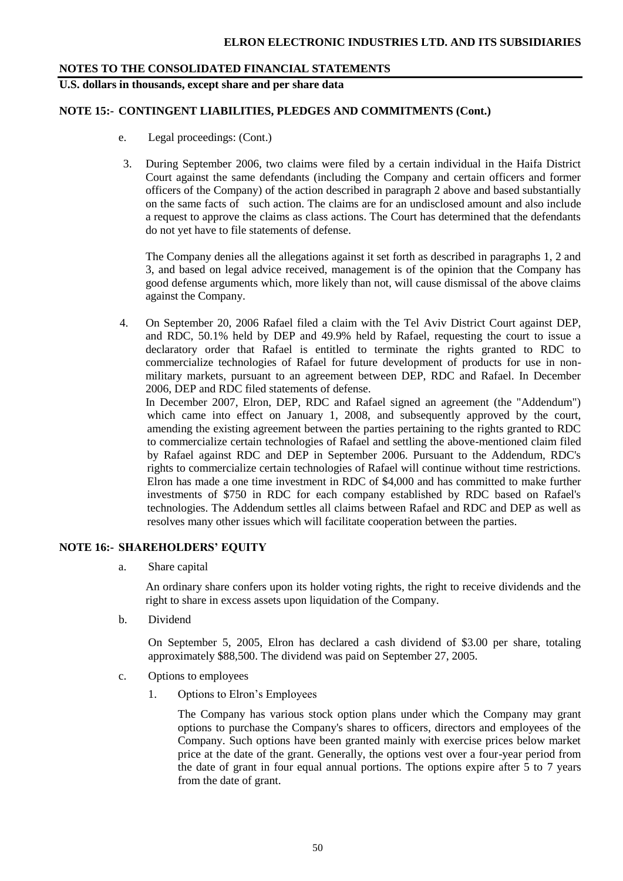**U.S. dollars in thousands, except share and per share data**

#### **NOTE 15:- CONTINGENT LIABILITIES, PLEDGES AND COMMITMENTS (Cont.)**

- e. Legal proceedings: (Cont.)
- 3. During September 2006, two claims were filed by a certain individual in the Haifa District Court against the same defendants (including the Company and certain officers and former officers of the Company) of the action described in paragraph 2 above and based substantially on the same facts of such action. The claims are for an undisclosed amount and also include a request to approve the claims as class actions. The Court has determined that the defendants do not yet have to file statements of defense.

The Company denies all the allegations against it set forth as described in paragraphs 1, 2 and 3, and based on legal advice received, management is of the opinion that the Company has good defense arguments which, more likely than not, will cause dismissal of the above claims against the Company.

4. On September 20, 2006 Rafael filed a claim with the Tel Aviv District Court against DEP, and RDC, 50.1% held by DEP and 49.9% held by Rafael, requesting the court to issue a declaratory order that Rafael is entitled to terminate the rights granted to RDC to commercialize technologies of Rafael for future development of products for use in nonmilitary markets, pursuant to an agreement between DEP, RDC and Rafael. In December 2006, DEP and RDC filed statements of defense.

In December 2007, Elron, DEP, RDC and Rafael signed an agreement (the "Addendum") which came into effect on January 1, 2008, and subsequently approved by the court, amending the existing agreement between the parties pertaining to the rights granted to RDC to commercialize certain technologies of Rafael and settling the above-mentioned claim filed by Rafael against RDC and DEP in September 2006. Pursuant to the Addendum, RDC's rights to commercialize certain technologies of Rafael will continue without time restrictions. Elron has made a one time investment in RDC of \$4,000 and has committed to make further investments of \$750 in RDC for each company established by RDC based on Rafael's technologies. The Addendum settles all claims between Rafael and RDC and DEP as well as resolves many other issues which will facilitate cooperation between the parties.

#### **NOTE 16:- SHAREHOLDERS' EQUITY**

a. Share capital

An ordinary share confers upon its holder voting rights, the right to receive dividends and the right to share in excess assets upon liquidation of the Company.

b. Dividend

On September 5, 2005, Elron has declared a cash dividend of \$3.00 per share, totaling approximately \$88,500. The dividend was paid on September 27, 2005.

- c. Options to employees
	- 1. Options to Elron's Employees

The Company has various stock option plans under which the Company may grant options to purchase the Company's shares to officers, directors and employees of the Company. Such options have been granted mainly with exercise prices below market price at the date of the grant. Generally, the options vest over a four-year period from the date of grant in four equal annual portions. The options expire after 5 to 7 years from the date of grant.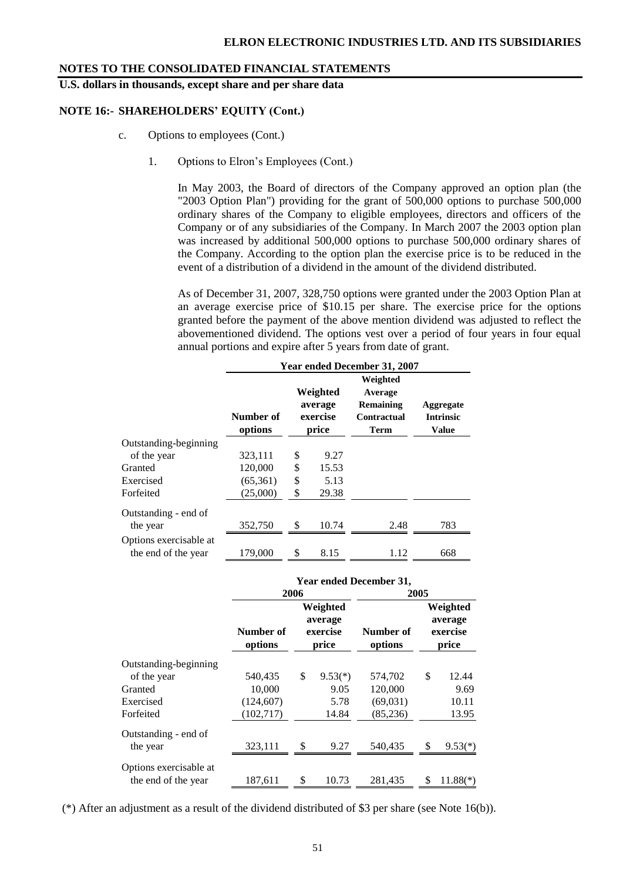**U.S. dollars in thousands, except share and per share data**

#### **NOTE 16:- SHAREHOLDERS' EQUITY (Cont.)**

- c. Options to employees (Cont.)
	- 1. Options to Elron's Employees (Cont.)

In May 2003, the Board of directors of the Company approved an option plan (the "2003 Option Plan") providing for the grant of 500,000 options to purchase 500,000 ordinary shares of the Company to eligible employees, directors and officers of the Company or of any subsidiaries of the Company. In March 2007 the 2003 option plan was increased by additional 500,000 options to purchase 500,000 ordinary shares of the Company. According to the option plan the exercise price is to be reduced in the event of a distribution of a dividend in the amount of the dividend distributed.

As of December 31, 2007, 328,750 options were granted under the 2003 Option Plan at an average exercise price of \$10.15 per share. The exercise price for the options granted before the payment of the above mention dividend was adjusted to reflect the abovementioned dividend. The options vest over a period of four years in four equal annual portions and expire after 5 years from date of grant.

|                                  | <b>Year ended December 31, 2007</b> |    |                                          |                                                                |                                               |  |  |  |  |  |  |  |
|----------------------------------|-------------------------------------|----|------------------------------------------|----------------------------------------------------------------|-----------------------------------------------|--|--|--|--|--|--|--|
|                                  | Number of<br>options                |    | Weighted<br>average<br>exercise<br>price | Weighted<br>Average<br><b>Remaining</b><br>Contractual<br>Term | Aggregate<br><b>Intrinsic</b><br><b>Value</b> |  |  |  |  |  |  |  |
| Outstanding-beginning            |                                     |    |                                          |                                                                |                                               |  |  |  |  |  |  |  |
| of the year                      | 323,111                             | \$ | 9.27                                     |                                                                |                                               |  |  |  |  |  |  |  |
| Granted                          | 120,000                             | \$ | 15.53                                    |                                                                |                                               |  |  |  |  |  |  |  |
| Exercised                        | (65,361)                            | \$ | 5.13                                     |                                                                |                                               |  |  |  |  |  |  |  |
| Forfeited                        | (25,000)                            | \$ | 29.38                                    |                                                                |                                               |  |  |  |  |  |  |  |
| Outstanding - end of<br>the year | 352,750                             | \$ | 10.74                                    | 2.48                                                           | 783                                           |  |  |  |  |  |  |  |
| Options exercisable at           |                                     |    |                                          |                                                                |                                               |  |  |  |  |  |  |  |
| the end of the year              | 179,000                             | \$ | 8.15                                     | 1.12                                                           | 668                                           |  |  |  |  |  |  |  |

|                        |                      | <b>Year ended December 31,</b> |                                          |                      |                                          |            |  |  |  |  |  |  |
|------------------------|----------------------|--------------------------------|------------------------------------------|----------------------|------------------------------------------|------------|--|--|--|--|--|--|
|                        | 2006                 |                                |                                          | 2005                 |                                          |            |  |  |  |  |  |  |
|                        | Number of<br>options |                                | Weighted<br>average<br>exercise<br>price | Number of<br>options | Weighted<br>average<br>exercise<br>price |            |  |  |  |  |  |  |
| Outstanding-beginning  |                      |                                |                                          |                      |                                          |            |  |  |  |  |  |  |
| of the year            | 540,435              | \$                             | $9.53(*)$                                | 574,702              | \$                                       | 12.44      |  |  |  |  |  |  |
| Granted                | 10,000               |                                | 9.05                                     | 120,000              |                                          | 9.69       |  |  |  |  |  |  |
| Exercised              | (124, 607)           |                                | 5.78                                     | (69,031)             |                                          | 10.11      |  |  |  |  |  |  |
| Forfeited              | (102, 717)           |                                | 14.84                                    | (85,236)             |                                          | 13.95      |  |  |  |  |  |  |
| Outstanding - end of   |                      |                                |                                          |                      |                                          |            |  |  |  |  |  |  |
| the year               | 323,111              | \$                             | 9.27                                     | 540,435              | \$                                       | $9.53(*)$  |  |  |  |  |  |  |
| Options exercisable at |                      |                                |                                          |                      |                                          |            |  |  |  |  |  |  |
| the end of the year    | 187,611              | \$                             | 10.73                                    | 281.435              | \$                                       | $11.88(*)$ |  |  |  |  |  |  |

(\*) After an adjustment as a result of the dividend distributed of \$3 per share (see Note 16(b)).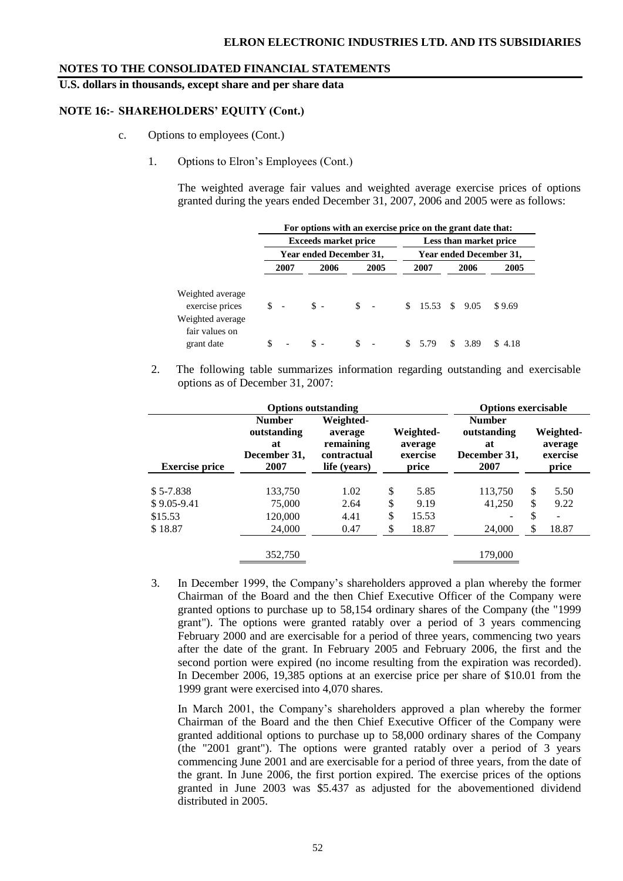**U.S. dollars in thousands, except share and per share data**

#### **NOTE 16:- SHAREHOLDERS' EQUITY (Cont.)**

- c. Options to employees (Cont.)
	- 1. Options to Elron's Employees (Cont.)

The weighted average fair values and weighted average exercise prices of options granted during the years ended December 31, 2007, 2006 and 2005 were as follows:

|                                                                                         | For options with an exercise price on the grant date that: |                             |                       |                        |                         |                  |  |  |  |
|-----------------------------------------------------------------------------------------|------------------------------------------------------------|-----------------------------|-----------------------|------------------------|-------------------------|------------------|--|--|--|
|                                                                                         |                                                            | <b>Exceeds market price</b> |                       |                        | Less than market price  |                  |  |  |  |
|                                                                                         |                                                            | Year ended December 31,     |                       |                        | Year ended December 31, |                  |  |  |  |
|                                                                                         | 2007                                                       | 2006                        | 2005                  | 2007                   | 2006<br>2005            |                  |  |  |  |
| Weighted average<br>exercise prices<br>Weighted average<br>fair values on<br>grant date | $S -$<br>S                                                 | $S -$                       | $\mathbb{S}$ –<br>\$. | \$15.53\$39.05<br>5.79 | \$3.89                  | \$9.69<br>\$4.18 |  |  |  |

2. The following table summarizes information regarding outstanding and exercisable options as of December 31, 2007:

|                       | <b>Options exercisable</b>                                 |                                                                  |                                           |       |                                                            |                                           |       |
|-----------------------|------------------------------------------------------------|------------------------------------------------------------------|-------------------------------------------|-------|------------------------------------------------------------|-------------------------------------------|-------|
| <b>Exercise price</b> | <b>Number</b><br>outstanding<br>at<br>December 31,<br>2007 | Weighted-<br>average<br>remaining<br>contractual<br>life (years) | Weighted-<br>average<br>exercise<br>price |       | <b>Number</b><br>outstanding<br>at<br>December 31,<br>2007 | Weighted-<br>average<br>exercise<br>price |       |
| $$5-7.838$            | 133,750                                                    | 1.02                                                             | \$                                        | 5.85  | 113,750                                                    | \$                                        | 5.50  |
| $$9.05-9.41$          | 75,000                                                     | 2.64                                                             | \$                                        | 9.19  | 41,250                                                     | S                                         | 9.22  |
| \$15.53               | 120,000                                                    | 4.41                                                             | \$                                        | 15.53 |                                                            | \$                                        | ۰     |
| \$18.87               | 24,000                                                     | 0.47                                                             | ¢<br>D                                    | 18.87 | 24,000                                                     | S                                         | 18.87 |
|                       | 352,750                                                    |                                                                  |                                           |       | 179.000                                                    |                                           |       |

3. In December 1999, the Company's shareholders approved a plan whereby the former Chairman of the Board and the then Chief Executive Officer of the Company were granted options to purchase up to 58,154 ordinary shares of the Company (the "1999 grant"). The options were granted ratably over a period of 3 years commencing February 2000 and are exercisable for a period of three years, commencing two years after the date of the grant. In February 2005 and February 2006, the first and the second portion were expired (no income resulting from the expiration was recorded). In December 2006, 19,385 options at an exercise price per share of \$10.01 from the 1999 grant were exercised into 4,070 shares.

In March 2001, the Company's shareholders approved a plan whereby the former Chairman of the Board and the then Chief Executive Officer of the Company were granted additional options to purchase up to 58,000 ordinary shares of the Company (the "2001 grant"). The options were granted ratably over a period of 3 years commencing June 2001 and are exercisable for a period of three years, from the date of the grant. In June 2006, the first portion expired. The exercise prices of the options granted in June 2003 was \$5.437 as adjusted for the abovementioned dividend distributed in 2005.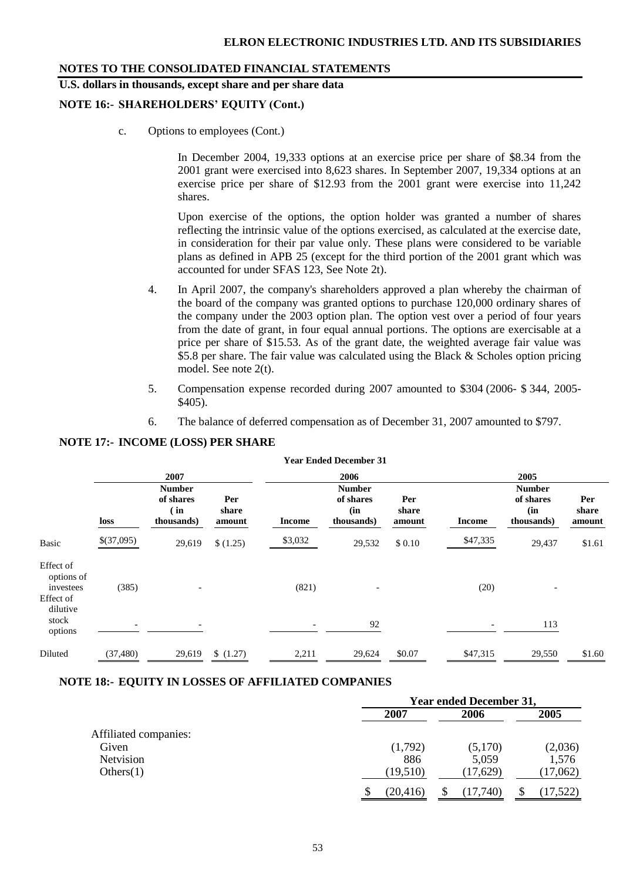## **U.S. dollars in thousands, except share and per share data**

#### **NOTE 16:- SHAREHOLDERS' EQUITY (Cont.)**

c. Options to employees (Cont.)

In December 2004, 19,333 options at an exercise price per share of \$8.34 from the 2001 grant were exercised into 8,623 shares. In September 2007, 19,334 options at an exercise price per share of \$12.93 from the 2001 grant were exercise into 11,242 shares.

Upon exercise of the options, the option holder was granted a number of shares reflecting the intrinsic value of the options exercised, as calculated at the exercise date, in consideration for their par value only. These plans were considered to be variable plans as defined in APB 25 (except for the third portion of the 2001 grant which was accounted for under SFAS 123, See Note 2t).

- 4. In April 2007, the company's shareholders approved a plan whereby the chairman of the board of the company was granted options to purchase 120,000 ordinary shares of the company under the 2003 option plan. The option vest over a period of four years from the date of grant, in four equal annual portions. The options are exercisable at a price per share of \$15.53. As of the grant date, the weighted average fair value was \$5.8 per share. The fair value was calculated using the Black & Scholes option pricing model. See note 2(t).
- 5. Compensation expense recorded during 2007 amounted to \$304 (2006- \$ 344, 2005- \$405).
- 6. The balance of deferred compensation as of December 31, 2007 amounted to \$797.

| <b>Year Ended December 31</b>                                          |            |                                                  |                        |               |                                                 |                        |               |                                                 |                        |  |  |  |
|------------------------------------------------------------------------|------------|--------------------------------------------------|------------------------|---------------|-------------------------------------------------|------------------------|---------------|-------------------------------------------------|------------------------|--|--|--|
|                                                                        |            | 2007                                             |                        |               | 2006                                            |                        |               | 2005                                            |                        |  |  |  |
|                                                                        | loss       | <b>Number</b><br>of shares<br>(in)<br>thousands) | Per<br>share<br>amount | <b>Income</b> | <b>Number</b><br>of shares<br>(in<br>thousands) | Per<br>share<br>amount | <b>Income</b> | <b>Number</b><br>of shares<br>(in<br>thousands) | Per<br>share<br>amount |  |  |  |
| <b>Basic</b>                                                           | \$(37,095) | 29,619                                           | (1.25)                 | \$3,032       | 29,532                                          | \$0.10                 | \$47,335      | 29,437                                          | \$1.61                 |  |  |  |
| Effect of<br>options of<br>investees<br>Effect of<br>dilutive<br>stock | (385)      |                                                  |                        | (821)         | $\overline{\phantom{a}}$                        |                        | (20)          | $\overline{\phantom{a}}$                        |                        |  |  |  |
| options                                                                |            |                                                  |                        |               | 92                                              |                        |               | 113                                             |                        |  |  |  |
| Diluted                                                                | (37, 480)  | 29,619                                           | \$(1.27)               | 2,211         | 29,624                                          | \$0.07                 | \$47,315      | 29,550                                          | \$1.60                 |  |  |  |

#### **NOTE 17:- INCOME (LOSS) PER SHARE**

#### **NOTE 18:- EQUITY IN LOSSES OF AFFILIATED COMPANIES**

|                       |           | <b>Year ended December 31,</b> |          |  |  |  |
|-----------------------|-----------|--------------------------------|----------|--|--|--|
|                       | 2007      | 2006                           | 2005     |  |  |  |
| Affiliated companies: |           |                                |          |  |  |  |
| Given                 | (1,792)   | (5,170)                        | (2,036)  |  |  |  |
| Netvision             | 886       | 5,059                          | 1,576    |  |  |  |
| Others(1)             | (19, 510) | (17,629)                       | (17,062) |  |  |  |
|                       | (20, 416) | (17,740)                       | 17,522   |  |  |  |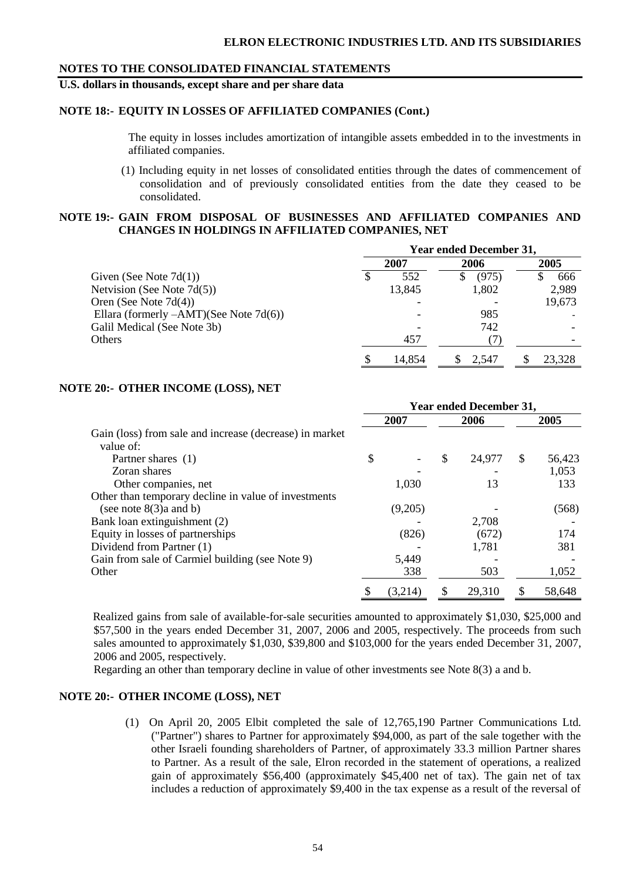#### **U.S. dollars in thousands, except share and per share data**

#### **NOTE 18:- EQUITY IN LOSSES OF AFFILIATED COMPANIES (Cont.)**

The equity in losses includes amortization of intangible assets embedded in to the investments in affiliated companies.

(1) Including equity in net losses of consolidated entities through the dates of commencement of consolidation and of previously consolidated entities from the date they ceased to be consolidated.

#### **NOTE 19:- GAIN FROM DISPOSAL OF BUSINESSES AND AFFILIATED COMPANIES AND CHANGES IN HOLDINGS IN AFFILIATED COMPANIES, NET**

|                                           | <b>Year ended December 31,</b> |        |  |       |  |        |
|-------------------------------------------|--------------------------------|--------|--|-------|--|--------|
|                                           |                                | 2007   |  | 2006  |  | 2005   |
| Given (See Note $7d(1)$ )                 |                                | 552    |  | (975) |  | 666    |
| Netvision (See Note $7d(5)$ )             |                                | 13,845 |  | 1,802 |  | 2,989  |
| Oren (See Note $7d(4)$ )                  |                                |        |  |       |  | 19,673 |
| Ellara (formerly $-AMT$ )(See Note 7d(6)) |                                |        |  | 985   |  |        |
| Galil Medical (See Note 3b)               |                                |        |  | 742   |  |        |
| Others                                    |                                | 457    |  |       |  |        |
|                                           |                                | 14,854 |  | 2.547 |  | 23,328 |

#### **NOTE 20:- OTHER INCOME (LOSS), NET**

|                                                         | <b>Year ended December 31,</b> |         |      |        |      |        |
|---------------------------------------------------------|--------------------------------|---------|------|--------|------|--------|
|                                                         | 2007                           |         | 2006 |        | 2005 |        |
| Gain (loss) from sale and increase (decrease) in market |                                |         |      |        |      |        |
| value of:                                               |                                |         |      |        |      |        |
| Partner shares (1)                                      | \$                             |         | \$   | 24,977 | \$   | 56,423 |
| Zoran shares                                            |                                |         |      |        |      | 1,053  |
| Other companies, net                                    |                                | 1,030   |      | 13     |      | 133    |
| Other than temporary decline in value of investments    |                                |         |      |        |      |        |
| (see note $8(3)$ a and b)                               |                                | (9,205) |      |        |      | (568)  |
| Bank loan extinguishment (2)                            |                                |         |      | 2,708  |      |        |
| Equity in losses of partnerships                        |                                | (826)   |      | (672)  |      | 174    |
| Dividend from Partner (1)                               |                                |         |      | 1,781  |      | 381    |
| Gain from sale of Carmiel building (see Note 9)         |                                | 5,449   |      |        |      |        |
| Other                                                   |                                | 338     |      | 503    |      | 1,052  |
|                                                         | S                              | (3,214) | S    | 29,310 |      | 58,648 |

 Realized gains from sale of available-for-sale securities amounted to approximately \$1,030, \$25,000 and \$57,500 in the years ended December 31, 2007, 2006 and 2005, respectively. The proceeds from such sales amounted to approximately \$1,030, \$39,800 and \$103,000 for the years ended December 31, 2007, 2006 and 2005, respectively.

Regarding an other than temporary decline in value of other investments see Note 8(3) a and b.

#### **NOTE 20:- OTHER INCOME (LOSS), NET**

(1) On April 20, 2005 Elbit completed the sale of 12,765,190 Partner Communications Ltd. ("Partner") shares to Partner for approximately \$94,000, as part of the sale together with the other Israeli founding shareholders of Partner, of approximately 33.3 million Partner shares to Partner. As a result of the sale, Elron recorded in the statement of operations, a realized gain of approximately \$56,400 (approximately \$45,400 net of tax). The gain net of tax includes a reduction of approximately \$9,400 in the tax expense as a result of the reversal of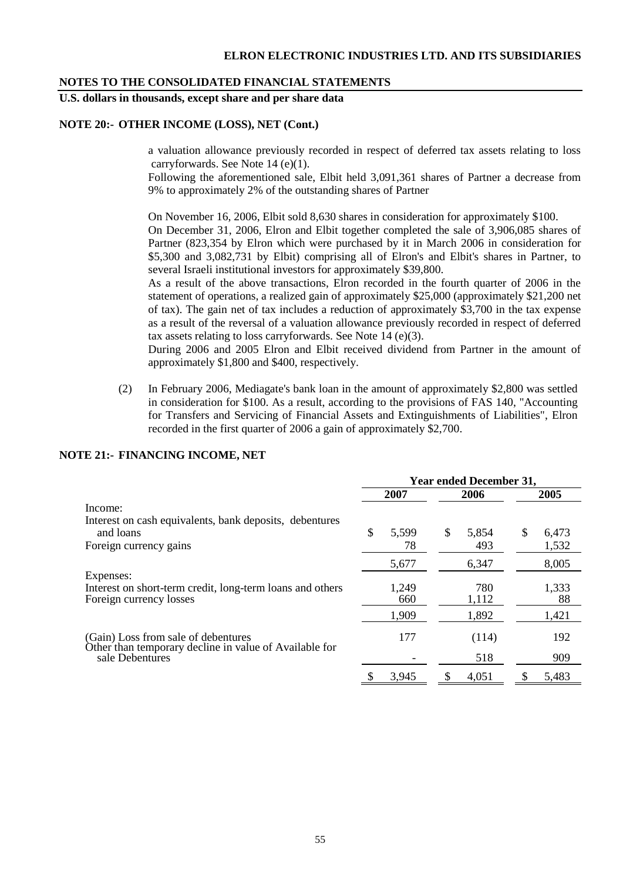## **U.S. dollars in thousands, except share and per share data**

#### **NOTE 20:- OTHER INCOME (LOSS), NET (Cont.)**

a valuation allowance previously recorded in respect of deferred tax assets relating to loss carryforwards. See Note 14 (e)(1).

Following the aforementioned sale, Elbit held 3,091,361 shares of Partner a decrease from 9% to approximately 2% of the outstanding shares of Partner

On November 16, 2006, Elbit sold 8,630 shares in consideration for approximately \$100.

On December 31, 2006, Elron and Elbit together completed the sale of 3,906,085 shares of Partner (823,354 by Elron which were purchased by it in March 2006 in consideration for \$5,300 and 3,082,731 by Elbit) comprising all of Elron's and Elbit's shares in Partner, to several Israeli institutional investors for approximately \$39,800.

As a result of the above transactions, Elron recorded in the fourth quarter of 2006 in the statement of operations, a realized gain of approximately \$25,000 (approximately \$21,200 net of tax). The gain net of tax includes a reduction of approximately \$3,700 in the tax expense as a result of the reversal of a valuation allowance previously recorded in respect of deferred tax assets relating to loss carryforwards. See Note 14 (e)(3).

During 2006 and 2005 Elron and Elbit received dividend from Partner in the amount of approximately \$1,800 and \$400, respectively.

(2) In February 2006, Mediagate's bank loan in the amount of approximately \$2,800 was settled in consideration for \$100. As a result, according to the provisions of FAS 140, "Accounting for Transfers and Servicing of Financial Assets and Extinguishments of Liabilities", Elron recorded in the first quarter of 2006 a gain of approximately \$2,700.

#### **NOTE 21:- FINANCING INCOME, NET**

|                                                                                               | <b>Year ended December 31,</b> |       |      |       |    |       |  |      |  |
|-----------------------------------------------------------------------------------------------|--------------------------------|-------|------|-------|----|-------|--|------|--|
|                                                                                               | 2007                           |       | 2006 |       |    |       |  | 2005 |  |
| Income:                                                                                       |                                |       |      |       |    |       |  |      |  |
| Interest on cash equivalents, bank deposits, debentures                                       |                                |       |      |       |    |       |  |      |  |
| and loans                                                                                     | \$                             | 5,599 | \$   | 5,854 | \$ | 6,473 |  |      |  |
| Foreign currency gains                                                                        |                                | 78    |      | 493   |    | 1,532 |  |      |  |
|                                                                                               |                                | 5,677 |      | 6,347 |    | 8,005 |  |      |  |
| Expenses:                                                                                     |                                |       |      |       |    |       |  |      |  |
| Interest on short-term credit, long-term loans and others                                     |                                | 1,249 |      | 780   |    | 1,333 |  |      |  |
| Foreign currency losses                                                                       |                                | 660   |      | 1,112 |    | 88    |  |      |  |
|                                                                                               |                                | 1,909 |      | 1,892 |    | 1,421 |  |      |  |
| (Gain) Loss from sale of debentures<br>Other than temporary decline in value of Available for |                                | 177   |      | (114) |    | 192   |  |      |  |
| sale Debentures                                                                               |                                |       |      | 518   |    | 909   |  |      |  |
|                                                                                               |                                | 3.945 | S    | 4,051 |    | 5,483 |  |      |  |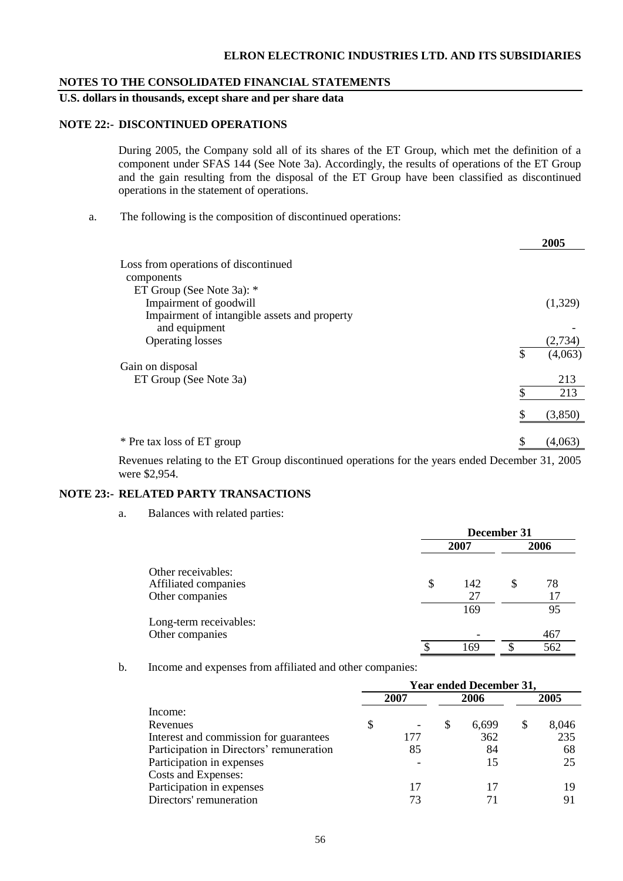#### **ELRON ELECTRONIC INDUSTRIES LTD. AND ITS SUBSIDIARIES**

#### **NOTES TO THE CONSOLIDATED FINANCIAL STATEMENTS**

## **U.S. dollars in thousands, except share and per share data**

#### **NOTE 22:- DISCONTINUED OPERATIONS**

During 2005, the Company sold all of its shares of the ET Group, which met the definition of a component under SFAS 144 (See Note 3a). Accordingly, the results of operations of the ET Group and the gain resulting from the disposal of the ET Group have been classified as discontinued operations in the statement of operations.

a. The following is the composition of discontinued operations:

|                                              |    | 2005    |
|----------------------------------------------|----|---------|
| Loss from operations of discontinued         |    |         |
| components                                   |    |         |
| ET Group (See Note 3a): *                    |    |         |
| Impairment of goodwill                       |    | (1,329) |
| Impairment of intangible assets and property |    |         |
| and equipment                                |    |         |
| <b>Operating losses</b>                      |    | (2,734) |
|                                              | \$ | (4,063) |
| Gain on disposal                             |    |         |
| ET Group (See Note 3a)                       |    | 213     |
|                                              | \$ | 213     |
|                                              |    | (3,850) |
|                                              |    |         |
| * Pre tax loss of ET group                   | S  | (4,063) |
|                                              |    |         |

Revenues relating to the ET Group discontinued operations for the years ended December 31, 2005 were \$2,954.

#### **NOTE 23:- RELATED PARTY TRANSACTIONS**

a. Balances with related parties:

|                                                               | December 31     |   |           |  |  |
|---------------------------------------------------------------|-----------------|---|-----------|--|--|
|                                                               | 2007            |   |           |  |  |
| Other receivables:<br>Affiliated companies<br>Other companies | \$<br>142<br>27 | J | 78        |  |  |
| Long-term receivables:<br>Other companies                     | 169             |   | 95<br>467 |  |  |
|                                                               | \$<br>169       |   | 562       |  |  |

b. Income and expenses from affiliated and other companies:

|                                          | <b>Year ended December 31,</b> |      |   |       |  |       |  |
|------------------------------------------|--------------------------------|------|---|-------|--|-------|--|
|                                          |                                | 2007 |   | 2006  |  | 2005  |  |
| Income:                                  |                                |      |   |       |  |       |  |
| Revenues                                 | S                              |      | S | 6,699 |  | 8,046 |  |
| Interest and commission for guarantees   |                                | 177  |   | 362   |  | 235   |  |
| Participation in Directors' remuneration |                                | 85   |   | 84    |  | 68    |  |
| Participation in expenses                |                                |      |   | 15    |  | 25    |  |
| Costs and Expenses:                      |                                |      |   |       |  |       |  |
| Participation in expenses                |                                | 17   |   | 17    |  | 19    |  |
| Directors' remuneration                  |                                | 73   |   |       |  | 91    |  |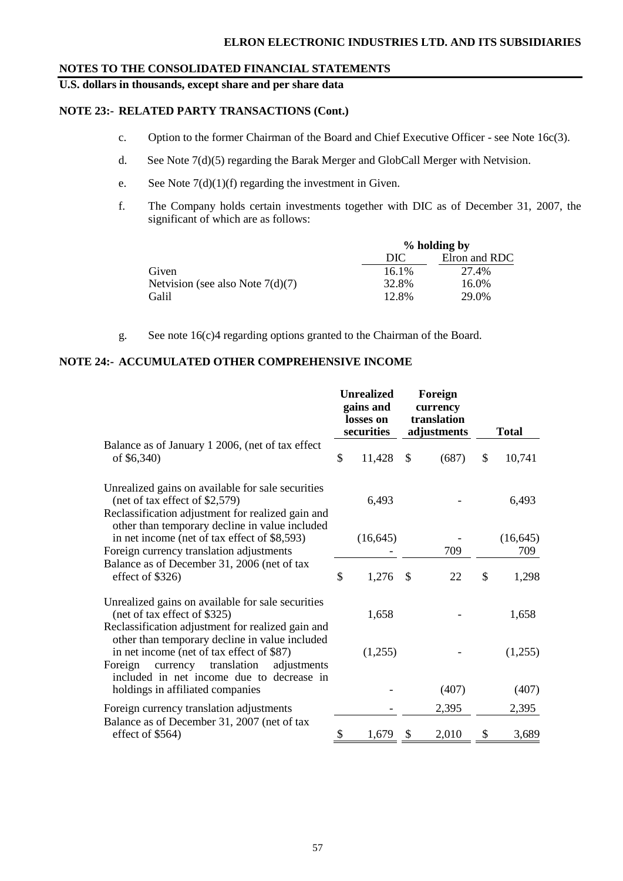**U.S. dollars in thousands, except share and per share data**

## **NOTE 23:- RELATED PARTY TRANSACTIONS (Cont.)**

- c. Option to the former Chairman of the Board and Chief Executive Officer see Note 16c(3).
- d. See Note 7(d)(5) regarding the Barak Merger and GlobCall Merger with Netvision.
- e. See Note  $7(d)(1)(f)$  regarding the investment in Given.
- f. The Company holds certain investments together with DIC as of December 31, 2007, the significant of which are as follows:

|                                      |       | % holding by  |  |  |  |  |
|--------------------------------------|-------|---------------|--|--|--|--|
|                                      | DIC   | Elron and RDC |  |  |  |  |
| Given                                | 16.1% | 27.4%         |  |  |  |  |
| Netvision (see also Note $7(d)(7)$ ) | 32.8% | 16.0%         |  |  |  |  |
| Galil                                | 12.8% | 29.0%         |  |  |  |  |

g. See note 16(c)4 regarding options granted to the Chairman of the Board.

## **NOTE 24:- ACCUMULATED OTHER COMPREHENSIVE INCOME**

|                                                                                                                                                                                          |    | <b>Unrealized</b><br>gains and<br>losses on<br>securities |              | Foreign<br>currency<br>translation<br>adjustments |    | <b>Total</b>     |
|------------------------------------------------------------------------------------------------------------------------------------------------------------------------------------------|----|-----------------------------------------------------------|--------------|---------------------------------------------------|----|------------------|
| Balance as of January 1 2006, (net of tax effect<br>of \$6,340)                                                                                                                          | \$ | 11,428                                                    | $\mathbb{S}$ | (687)                                             | \$ | 10,741           |
| Unrealized gains on available for sale securities<br>(net of tax effect of \$2,579)<br>Reclassification adjustment for realized gain and                                                 |    | 6,493                                                     |              |                                                   |    | 6,493            |
| other than temporary decline in value included<br>in net income (net of tax effect of \$8,593)<br>Foreign currency translation adjustments                                               |    | (16, 645)                                                 |              | 709                                               |    | (16, 645)<br>709 |
| Balance as of December 31, 2006 (net of tax<br>effect of \$326)                                                                                                                          | \$ | 1,276                                                     | $\sqrt{3}$   | 22                                                | \$ | 1,298            |
| Unrealized gains on available for sale securities<br>(net of tax effect of \$325)<br>Reclassification adjustment for realized gain and<br>other than temporary decline in value included |    | 1,658                                                     |              |                                                   |    | 1,658            |
| in net income (net of tax effect of \$87)<br>Foreign<br>currency translation<br>adjustments<br>included in net income due to decrease in                                                 |    | (1,255)                                                   |              |                                                   |    | (1,255)          |
| holdings in affiliated companies                                                                                                                                                         |    |                                                           |              | (407)                                             |    | (407)            |
| Foreign currency translation adjustments                                                                                                                                                 |    |                                                           |              | 2,395                                             |    | 2,395            |
| Balance as of December 31, 2007 (net of tax<br>effect of $$564)$                                                                                                                         | \$ | 1,679                                                     | - \$         | 2,010                                             | \$ | 3,689            |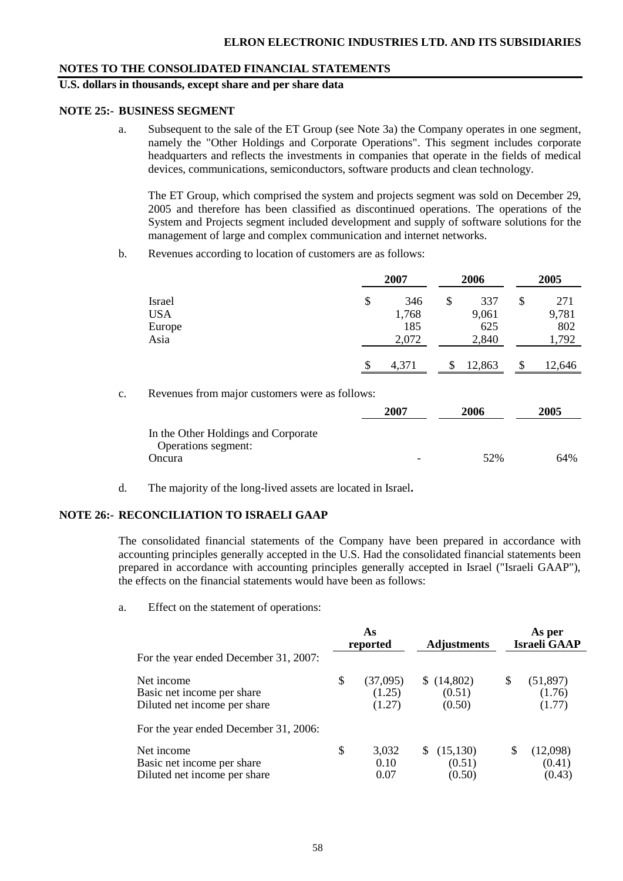## **U.S. dollars in thousands, except share and per share data**

#### **NOTE 25:- BUSINESS SEGMENT**

a. Subsequent to the sale of the ET Group (see Note 3a) the Company operates in one segment, namely the "Other Holdings and Corporate Operations". This segment includes corporate headquarters and reflects the investments in companies that operate in the fields of medical devices, communications, semiconductors, software products and clean technology.

The ET Group, which comprised the system and projects segment was sold on December 29, 2005 and therefore has been classified as discontinued operations. The operations of the System and Projects segment included development and supply of software solutions for the management of large and complex communication and internet networks.

b. Revenues according to location of customers are as follows:

|            | 2007        |    | 2006   | 2005 |        |
|------------|-------------|----|--------|------|--------|
| Israel     | \$<br>346   | \$ | 337    | \$   | 271    |
| <b>USA</b> | 1,768       |    | 9,061  |      | 9,781  |
| Europe     | 185         |    | 625    |      | 802    |
| Asia       | 2,072       |    | 2,840  |      | 1,792  |
|            | \$<br>4,371 |    | 12,863 | \$   | 12,646 |

c. Revenues from major customers were as follows:

|                                                            | 2007 | 2006 | 2005 |
|------------------------------------------------------------|------|------|------|
| In the Other Holdings and Corporate<br>Operations segment: |      |      |      |
| Oncura                                                     |      | 52%  | 64%  |

d. The majority of the long-lived assets are located in Israel**.**

#### **NOTE 26:- RECONCILIATION TO ISRAELI GAAP**

The consolidated financial statements of the Company have been prepared in accordance with accounting principles generally accepted in the U.S. Had the consolidated financial statements been prepared in accordance with accounting principles generally accepted in Israel ("Israeli GAAP"), the effects on the financial statements would have been as follows:

a. Effect on the statement of operations:

|                                                                          | As<br>reported |                              | <b>Adjustments</b>             | As per<br><b>Israeli GAAP</b> |                               |
|--------------------------------------------------------------------------|----------------|------------------------------|--------------------------------|-------------------------------|-------------------------------|
| For the year ended December 31, 2007:                                    |                |                              |                                |                               |                               |
| Net income<br>Basic net income per share<br>Diluted net income per share | \$             | (37,095)<br>(1.25)<br>(1.27) | \$(14,802)<br>(0.51)<br>(0.50) | S                             | (51, 897)<br>(1.76)<br>(1.77) |
| For the year ended December 31, 2006:                                    |                |                              |                                |                               |                               |
| Net income<br>Basic net income per share<br>Diluted net income per share | \$             | 3,032<br>0.10<br>0.07        | (15, 130)<br>(0.51)<br>(0.50)  | S                             | (12,098)<br>(0.41)<br>(0.43)  |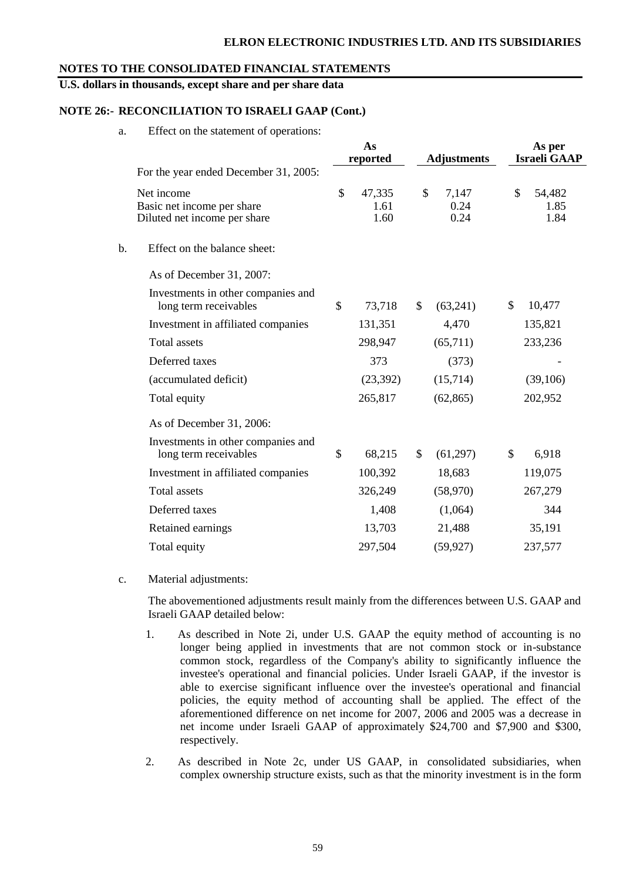#### **ELRON ELECTRONIC INDUSTRIES LTD. AND ITS SUBSIDIARIES**

#### **NOTES TO THE CONSOLIDATED FINANCIAL STATEMENTS**

#### **U.S. dollars in thousands, except share and per share data**

#### **NOTE 26:- RECONCILIATION TO ISRAELI GAAP (Cont.)**

a. Effect on the statement of operations:

|                                                                          | As<br>reported |                        | <b>Adjustments</b> |                       |              | As per<br><b>Israeli GAAP</b> |  |
|--------------------------------------------------------------------------|----------------|------------------------|--------------------|-----------------------|--------------|-------------------------------|--|
| For the year ended December 31, 2005:                                    |                |                        |                    |                       |              |                               |  |
| Net income<br>Basic net income per share<br>Diluted net income per share | \$             | 47,335<br>1.61<br>1.60 | \$                 | 7,147<br>0.24<br>0.24 | $\mathbb{S}$ | 54,482<br>1.85<br>1.84        |  |
| b.<br>Effect on the balance sheet:                                       |                |                        |                    |                       |              |                               |  |
| As of December 31, 2007:                                                 |                |                        |                    |                       |              |                               |  |
| Investments in other companies and<br>long term receivables              | \$             | 73,718                 | \$                 | (63,241)              | \$           | 10,477                        |  |
| Investment in affiliated companies                                       |                | 131,351                |                    | 4,470                 |              | 135,821                       |  |
| <b>Total</b> assets                                                      |                | 298,947                |                    | (65,711)              |              | 233,236                       |  |
| Deferred taxes                                                           |                | 373                    |                    | (373)                 |              |                               |  |
| (accumulated deficit)                                                    |                | (23, 392)              |                    | (15,714)              |              | (39,106)                      |  |
| Total equity                                                             |                | 265,817                |                    | (62, 865)             |              | 202,952                       |  |
| As of December 31, 2006:                                                 |                |                        |                    |                       |              |                               |  |
| Investments in other companies and<br>long term receivables              | \$             | 68,215                 | $\mathcal{S}$      | (61,297)              | \$           | 6,918                         |  |
| Investment in affiliated companies                                       |                | 100,392                |                    | 18,683                |              | 119,075                       |  |
| <b>Total</b> assets                                                      |                | 326,249                |                    | (58,970)              |              | 267,279                       |  |
| Deferred taxes                                                           |                | 1,408                  |                    | (1,064)               |              | 344                           |  |
| Retained earnings                                                        |                | 13,703                 |                    | 21,488                |              | 35,191                        |  |
| Total equity                                                             |                | 297,504                |                    | (59, 927)             |              | 237,577                       |  |
|                                                                          |                |                        |                    |                       |              |                               |  |

c. Material adjustments:

The abovementioned adjustments result mainly from the differences between U.S. GAAP and Israeli GAAP detailed below:

- 1. As described in Note 2i, under U.S. GAAP the equity method of accounting is no longer being applied in investments that are not common stock or in-substance common stock, regardless of the Company's ability to significantly influence the investee's operational and financial policies. Under Israeli GAAP, if the investor is able to exercise significant influence over the investee's operational and financial policies, the equity method of accounting shall be applied. The effect of the aforementioned difference on net income for 2007, 2006 and 2005 was a decrease in net income under Israeli GAAP of approximately \$24,700 and \$7,900 and \$300, respectively.
- 2. As described in Note 2c, under US GAAP, in consolidated subsidiaries, when complex ownership structure exists, such as that the minority investment is in the form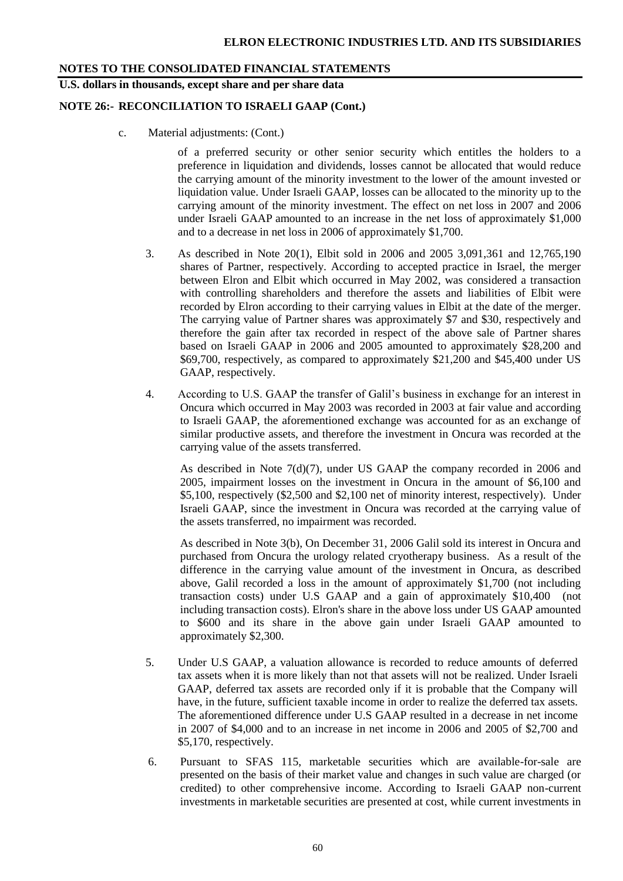## **U.S. dollars in thousands, except share and per share data**

#### **NOTE 26:- RECONCILIATION TO ISRAELI GAAP (Cont.)**

c. Material adjustments: (Cont.)

of a preferred security or other senior security which entitles the holders to a preference in liquidation and dividends, losses cannot be allocated that would reduce the carrying amount of the minority investment to the lower of the amount invested or liquidation value. Under Israeli GAAP, losses can be allocated to the minority up to the carrying amount of the minority investment. The effect on net loss in 2007 and 2006 under Israeli GAAP amounted to an increase in the net loss of approximately \$1,000 and to a decrease in net loss in 2006 of approximately \$1,700.

- 3. As described in Note 20(1), Elbit sold in 2006 and 2005 3,091,361 and 12,765,190 shares of Partner, respectively. According to accepted practice in Israel, the merger between Elron and Elbit which occurred in May 2002, was considered a transaction with controlling shareholders and therefore the assets and liabilities of Elbit were recorded by Elron according to their carrying values in Elbit at the date of the merger. The carrying value of Partner shares was approximately \$7 and \$30, respectively and therefore the gain after tax recorded in respect of the above sale of Partner shares based on Israeli GAAP in 2006 and 2005 amounted to approximately \$28,200 and \$69,700, respectively, as compared to approximately \$21,200 and \$45,400 under US GAAP, respectively.
- 4. According to U.S. GAAP the transfer of Galil's business in exchange for an interest in Oncura which occurred in May 2003 was recorded in 2003 at fair value and according to Israeli GAAP, the aforementioned exchange was accounted for as an exchange of similar productive assets, and therefore the investment in Oncura was recorded at the carrying value of the assets transferred.

As described in Note  $7(d)(7)$ , under US GAAP the company recorded in 2006 and 2005, impairment losses on the investment in Oncura in the amount of \$6,100 and \$5,100, respectively (\$2,500 and \$2,100 net of minority interest, respectively). Under Israeli GAAP, since the investment in Oncura was recorded at the carrying value of the assets transferred, no impairment was recorded.

As described in Note 3(b), On December 31, 2006 Galil sold its interest in Oncura and purchased from Oncura the urology related cryotherapy business. As a result of the difference in the carrying value amount of the investment in Oncura, as described above, Galil recorded a loss in the amount of approximately \$1,700 (not including transaction costs) under U.S GAAP and a gain of approximately \$10,400 (not including transaction costs). Elron's share in the above loss under US GAAP amounted to \$600 and its share in the above gain under Israeli GAAP amounted to approximately \$2,300.

- 5. Under U.S GAAP, a valuation allowance is recorded to reduce amounts of deferred tax assets when it is more likely than not that assets will not be realized. Under Israeli GAAP, deferred tax assets are recorded only if it is probable that the Company will have, in the future, sufficient taxable income in order to realize the deferred tax assets. The aforementioned difference under U.S GAAP resulted in a decrease in net income in 2007 of \$4,000 and to an increase in net income in 2006 and 2005 of \$2,700 and \$5,170, respectively.
- 6. Pursuant to SFAS 115, marketable securities which are available-for-sale are presented on the basis of their market value and changes in such value are charged (or credited) to other comprehensive income. According to Israeli GAAP non-current investments in marketable securities are presented at cost, while current investments in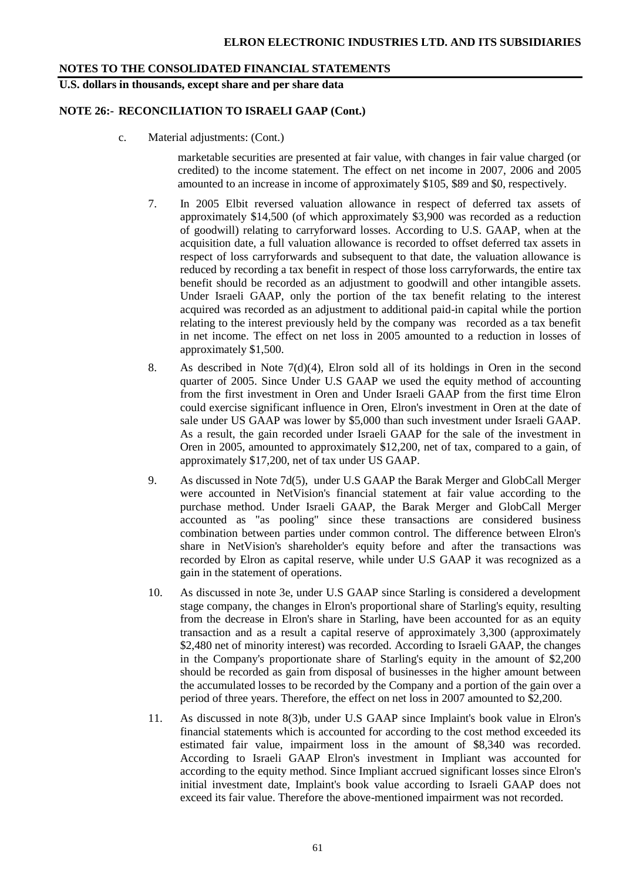#### **U.S. dollars in thousands, except share and per share data**

## **NOTE 26:- RECONCILIATION TO ISRAELI GAAP (Cont.)**

c. Material adjustments: (Cont.)

marketable securities are presented at fair value, with changes in fair value charged (or credited) to the income statement. The effect on net income in 2007, 2006 and 2005 amounted to an increase in income of approximately \$105, \$89 and \$0, respectively.

- 7. In 2005 Elbit reversed valuation allowance in respect of deferred tax assets of approximately \$14,500 (of which approximately \$3,900 was recorded as a reduction of goodwill) relating to carryforward losses. According to U.S. GAAP, when at the acquisition date, a full valuation allowance is recorded to offset deferred tax assets in respect of loss carryforwards and subsequent to that date, the valuation allowance is reduced by recording a tax benefit in respect of those loss carryforwards, the entire tax benefit should be recorded as an adjustment to goodwill and other intangible assets. Under Israeli GAAP, only the portion of the tax benefit relating to the interest acquired was recorded as an adjustment to additional paid-in capital while the portion relating to the interest previously held by the company was recorded as a tax benefit in net income. The effect on net loss in 2005 amounted to a reduction in losses of approximately \$1,500.
- 8. As described in Note  $7(d)(4)$ , Elron sold all of its holdings in Oren in the second quarter of 2005. Since Under U.S GAAP we used the equity method of accounting from the first investment in Oren and Under Israeli GAAP from the first time Elron could exercise significant influence in Oren, Elron's investment in Oren at the date of sale under US GAAP was lower by \$5,000 than such investment under Israeli GAAP. As a result, the gain recorded under Israeli GAAP for the sale of the investment in Oren in 2005, amounted to approximately \$12,200, net of tax, compared to a gain, of approximately \$17,200, net of tax under US GAAP.
- 9. As discussed in Note 7d(5), under U.S GAAP the Barak Merger and GlobCall Merger were accounted in NetVision's financial statement at fair value according to the purchase method. Under Israeli GAAP, the Barak Merger and GlobCall Merger accounted as "as pooling" since these transactions are considered business combination between parties under common control. The difference between Elron's share in NetVision's shareholder's equity before and after the transactions was recorded by Elron as capital reserve, while under U.S GAAP it was recognized as a gain in the statement of operations.
- 10. As discussed in note 3e, under U.S GAAP since Starling is considered a development stage company, the changes in Elron's proportional share of Starling's equity, resulting from the decrease in Elron's share in Starling, have been accounted for as an equity transaction and as a result a capital reserve of approximately 3,300 (approximately \$2,480 net of minority interest) was recorded. According to Israeli GAAP, the changes in the Company's proportionate share of Starling's equity in the amount of \$2,200 should be recorded as gain from disposal of businesses in the higher amount between the accumulated losses to be recorded by the Company and a portion of the gain over a period of three years. Therefore, the effect on net loss in 2007 amounted to \$2,200.
- 11. As discussed in note 8(3)b, under U.S GAAP since Implaint's book value in Elron's financial statements which is accounted for according to the cost method exceeded its estimated fair value, impairment loss in the amount of \$8,340 was recorded. According to Israeli GAAP Elron's investment in Impliant was accounted for according to the equity method. Since Impliant accrued significant losses since Elron's initial investment date, Implaint's book value according to Israeli GAAP does not exceed its fair value. Therefore the above-mentioned impairment was not recorded.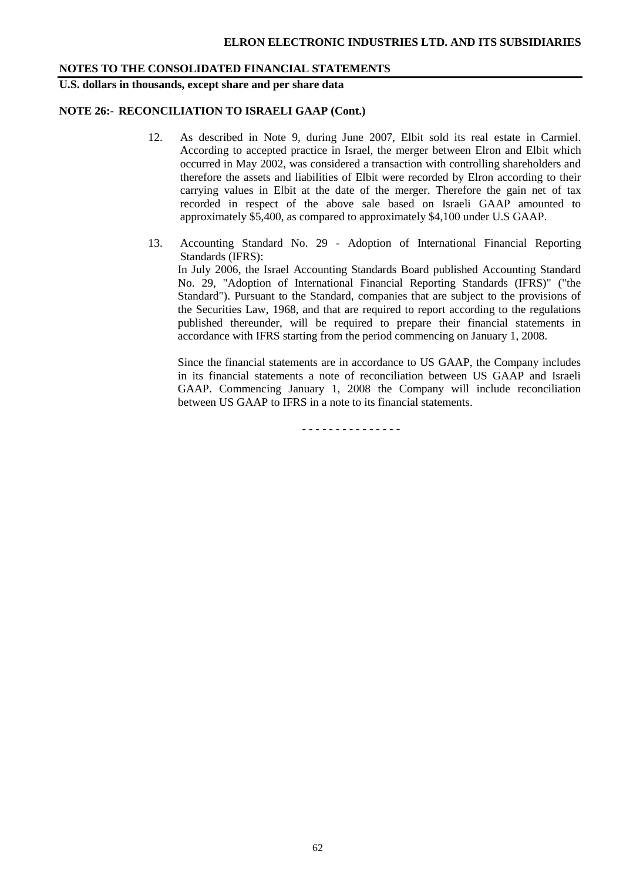**U.S. dollars in thousands, except share and per share data**

#### **NOTE 26:- RECONCILIATION TO ISRAELI GAAP (Cont.)**

- 12. As described in Note 9, during June 2007, Elbit sold its real estate in Carmiel. According to accepted practice in Israel, the merger between Elron and Elbit which occurred in May 2002, was considered a transaction with controlling shareholders and therefore the assets and liabilities of Elbit were recorded by Elron according to their carrying values in Elbit at the date of the merger. Therefore the gain net of tax recorded in respect of the above sale based on Israeli GAAP amounted to approximately \$5,400, as compared to approximately \$4,100 under U.S GAAP.
- 13. Accounting Standard No. 29 Adoption of International Financial Reporting Standards (IFRS): In July 2006, the Israel Accounting Standards Board published Accounting Standard No. 29, "Adoption of International Financial Reporting Standards (IFRS)" ("the Standard"). Pursuant to the Standard, companies that are subject to the provisions of the Securities Law, 1968, and that are required to report according to the regulations published thereunder, will be required to prepare their financial statements in accordance with IFRS starting from the period commencing on January 1, 2008.

Since the financial statements are in accordance to US GAAP, the Company includes in its financial statements a note of reconciliation between US GAAP and Israeli GAAP. Commencing January 1, 2008 the Company will include reconciliation between US GAAP to IFRS in a note to its financial statements.

**- - - - - - - - - - - - - - -**